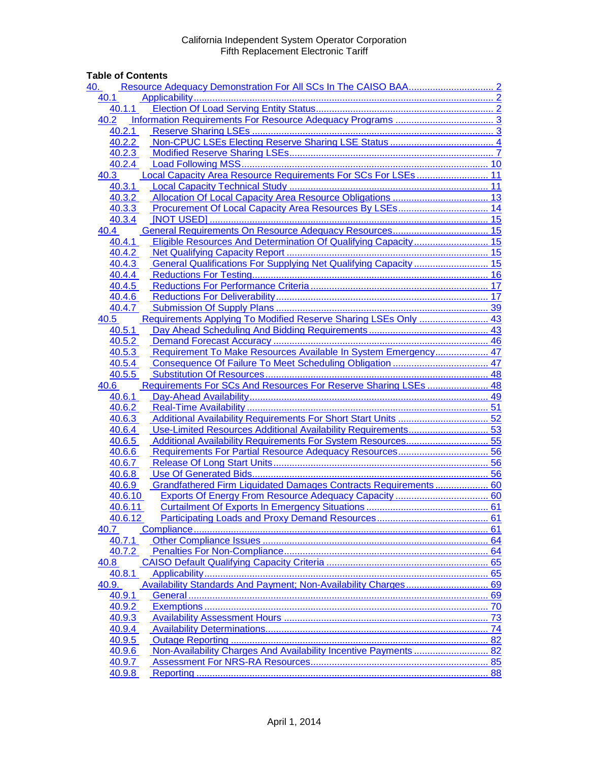## **Table of Contents**

| 40.                                                                        |    |
|----------------------------------------------------------------------------|----|
| 40.1                                                                       |    |
| 40.1.1                                                                     |    |
| 40.2                                                                       |    |
| 40.2.1                                                                     |    |
| 40.2.2                                                                     |    |
| 40.2.3                                                                     |    |
| 40.2.4                                                                     |    |
| Local Capacity Area Resource Requirements For SCs For LSEs 11<br>40.3      |    |
| 40.3.1                                                                     |    |
| 40.3.2                                                                     |    |
| 40.3.3                                                                     |    |
| 40.3.4                                                                     |    |
| 40.4                                                                       |    |
| Eligible Resources And Determination Of Qualifying Capacity 15<br>40.4.1   |    |
| 40.4.2                                                                     |    |
| General Qualifications For Supplying Net Qualifying Capacity  15<br>40.4.3 |    |
| 40.4.4                                                                     |    |
| 40.4.5                                                                     |    |
| 40.4.6                                                                     |    |
| 40.4.7                                                                     |    |
| Requirements Applying To Modified Reserve Sharing LSEs Only  43<br>40.5    |    |
| 40.5.1                                                                     |    |
| 40.5.2<br>Requirement To Make Resources Available In System Emergency 47   |    |
| 40.5.3<br>40.5.4                                                           |    |
| 40.5.5                                                                     |    |
| Requirements For SCs And Resources For Reserve Sharing LSEs  48<br>40.6    |    |
| 40.6.1                                                                     |    |
| 40.6.2                                                                     |    |
| 40.6.3                                                                     |    |
| Use-Limited Resources Additional Availability Requirements 53<br>40.6.4    |    |
| 40.6.5                                                                     |    |
| 40.6.6                                                                     |    |
| 40.6.7                                                                     |    |
| 40.6.8                                                                     |    |
| Grandfathered Firm Liquidated Damages Contracts Requirements 60<br>40.6.9  |    |
| 40.6.10                                                                    |    |
| 40.6.11                                                                    |    |
| 40.6.12                                                                    |    |
| 40.7                                                                       |    |
| 40.7.1                                                                     |    |
| 40.7.2                                                                     |    |
| 40.8                                                                       |    |
| 40.8.1                                                                     |    |
| 40.9.                                                                      |    |
| 40.9.1                                                                     | 69 |
| 40.9.2                                                                     | 70 |
| 40.9.3                                                                     |    |
| 40.9.4                                                                     |    |
| 40.9.5                                                                     |    |
| Non-Availability Charges And Availability Incentive Payments  82<br>40.9.6 |    |
| 40.9.7                                                                     |    |
| 40.9.8                                                                     |    |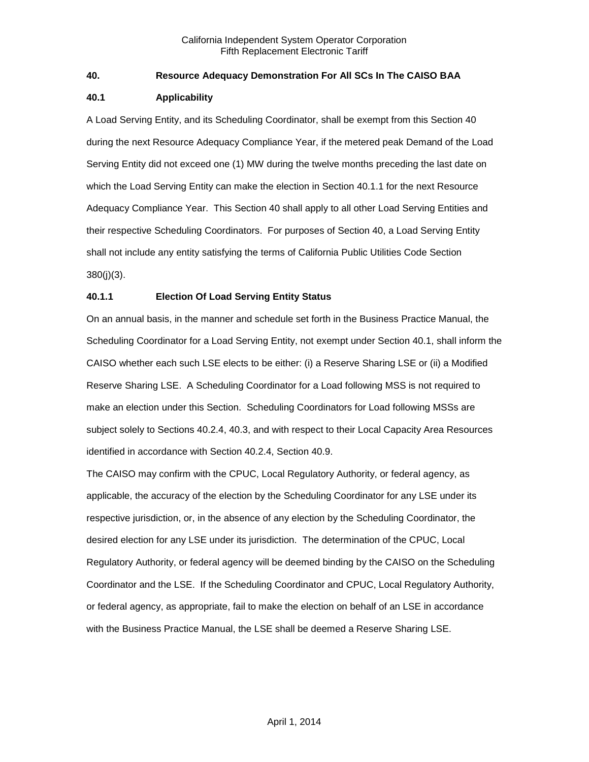## <span id="page-1-0"></span>**40. Resource Adequacy Demonstration For All SCs In The CAISO BAA**

#### <span id="page-1-1"></span>**40.1 Applicability**

A Load Serving Entity, and its Scheduling Coordinator, shall be exempt from this Section 40 during the next Resource Adequacy Compliance Year, if the metered peak Demand of the Load Serving Entity did not exceed one (1) MW during the twelve months preceding the last date on which the Load Serving Entity can make the election in Section 40.1.1 for the next Resource Adequacy Compliance Year. This Section 40 shall apply to all other Load Serving Entities and their respective Scheduling Coordinators. For purposes of Section 40, a Load Serving Entity shall not include any entity satisfying the terms of California Public Utilities Code Section 380(j)(3).

## <span id="page-1-2"></span>**40.1.1 Election Of Load Serving Entity Status**

On an annual basis, in the manner and schedule set forth in the Business Practice Manual, the Scheduling Coordinator for a Load Serving Entity, not exempt under Section 40.1, shall inform the CAISO whether each such LSE elects to be either: (i) a Reserve Sharing LSE or (ii) a Modified Reserve Sharing LSE. A Scheduling Coordinator for a Load following MSS is not required to make an election under this Section. Scheduling Coordinators for Load following MSSs are subject solely to Sections 40.2.4, 40.3, and with respect to their Local Capacity Area Resources identified in accordance with Section 40.2.4, Section 40.9.

The CAISO may confirm with the CPUC, Local Regulatory Authority, or federal agency, as applicable, the accuracy of the election by the Scheduling Coordinator for any LSE under its respective jurisdiction, or, in the absence of any election by the Scheduling Coordinator, the desired election for any LSE under its jurisdiction. The determination of the CPUC, Local Regulatory Authority, or federal agency will be deemed binding by the CAISO on the Scheduling Coordinator and the LSE. If the Scheduling Coordinator and CPUC, Local Regulatory Authority, or federal agency, as appropriate, fail to make the election on behalf of an LSE in accordance with the Business Practice Manual, the LSE shall be deemed a Reserve Sharing LSE.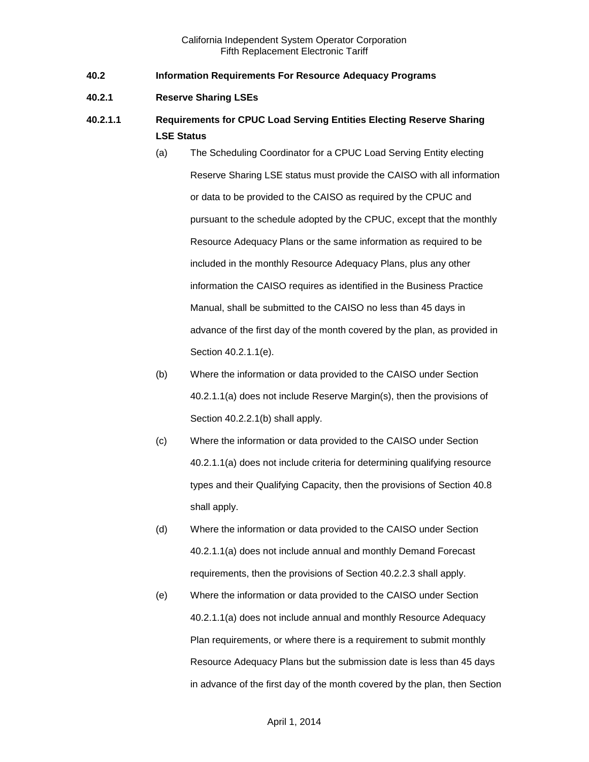- <span id="page-2-0"></span>**40.2 Information Requirements For Resource Adequacy Programs**
- <span id="page-2-1"></span>**40.2.1 Reserve Sharing LSEs**
- **40.2.1.1 Requirements for CPUC Load Serving Entities Electing Reserve Sharing LSE Status**
	- (a) The Scheduling Coordinator for a CPUC Load Serving Entity electing Reserve Sharing LSE status must provide the CAISO with all information or data to be provided to the CAISO as required by the CPUC and pursuant to the schedule adopted by the CPUC, except that the monthly Resource Adequacy Plans or the same information as required to be included in the monthly Resource Adequacy Plans, plus any other information the CAISO requires as identified in the Business Practice Manual, shall be submitted to the CAISO no less than 45 days in advance of the first day of the month covered by the plan, as provided in Section 40.2.1.1(e).
	- (b) Where the information or data provided to the CAISO under Section 40.2.1.1(a) does not include Reserve Margin(s), then the provisions of Section 40.2.2.1(b) shall apply.
	- (c) Where the information or data provided to the CAISO under Section 40.2.1.1(a) does not include criteria for determining qualifying resource types and their Qualifying Capacity, then the provisions of Section 40.8 shall apply.
	- (d) Where the information or data provided to the CAISO under Section 40.2.1.1(a) does not include annual and monthly Demand Forecast requirements, then the provisions of Section 40.2.2.3 shall apply.
	- (e) Where the information or data provided to the CAISO under Section 40.2.1.1(a) does not include annual and monthly Resource Adequacy Plan requirements, or where there is a requirement to submit monthly Resource Adequacy Plans but the submission date is less than 45 days in advance of the first day of the month covered by the plan, then Section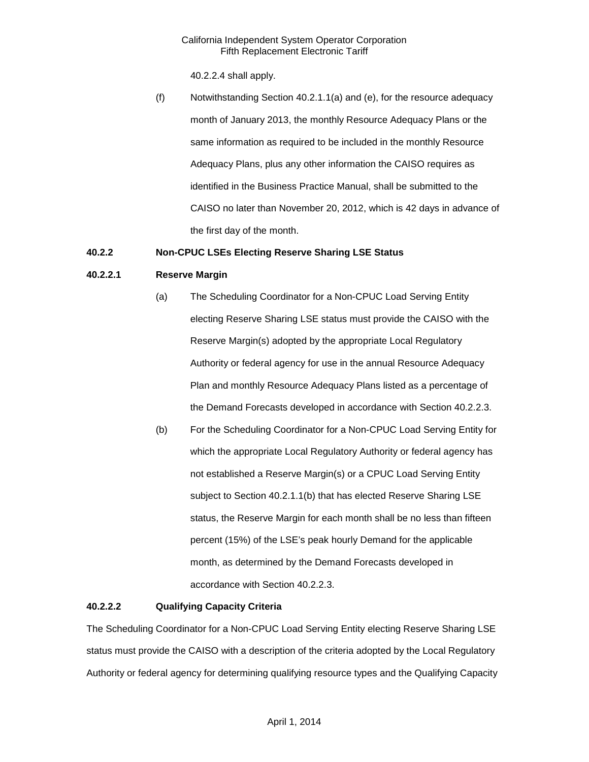40.2.2.4 shall apply.

(f) Notwithstanding Section 40.2.1.1(a) and (e), for the resource adequacy month of January 2013, the monthly Resource Adequacy Plans or the same information as required to be included in the monthly Resource Adequacy Plans, plus any other information the CAISO requires as identified in the Business Practice Manual, shall be submitted to the CAISO no later than November 20, 2012, which is 42 days in advance of the first day of the month.

## <span id="page-3-0"></span>**40.2.2 Non-CPUC LSEs Electing Reserve Sharing LSE Status**

## **40.2.2.1 Reserve Margin**

- (a) The Scheduling Coordinator for a Non-CPUC Load Serving Entity electing Reserve Sharing LSE status must provide the CAISO with the Reserve Margin(s) adopted by the appropriate Local Regulatory Authority or federal agency for use in the annual Resource Adequacy Plan and monthly Resource Adequacy Plans listed as a percentage of the Demand Forecasts developed in accordance with Section 40.2.2.3.
- (b) For the Scheduling Coordinator for a Non-CPUC Load Serving Entity for which the appropriate Local Regulatory Authority or federal agency has not established a Reserve Margin(s) or a CPUC Load Serving Entity subject to Section 40.2.1.1(b) that has elected Reserve Sharing LSE status, the Reserve Margin for each month shall be no less than fifteen percent (15%) of the LSE's peak hourly Demand for the applicable month, as determined by the Demand Forecasts developed in accordance with Section 40.2.2.3.

#### **40.2.2.2 Qualifying Capacity Criteria**

The Scheduling Coordinator for a Non-CPUC Load Serving Entity electing Reserve Sharing LSE status must provide the CAISO with a description of the criteria adopted by the Local Regulatory Authority or federal agency for determining qualifying resource types and the Qualifying Capacity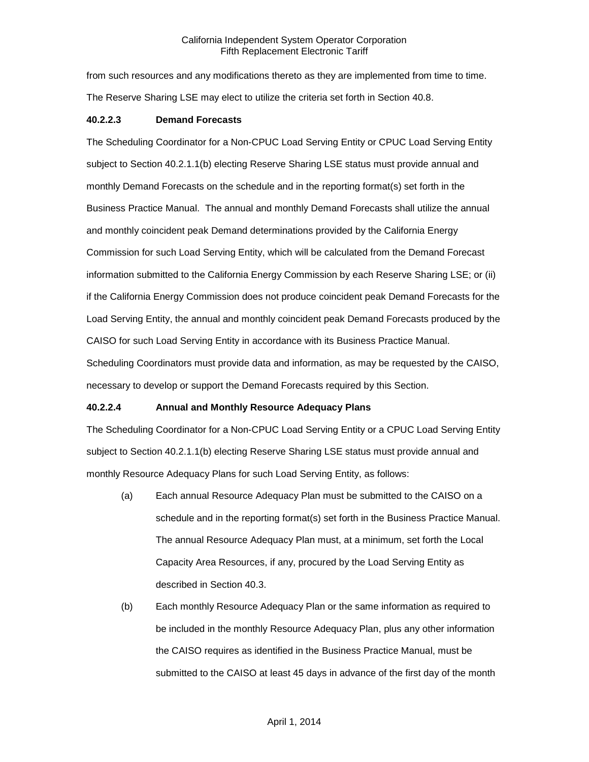from such resources and any modifications thereto as they are implemented from time to time. The Reserve Sharing LSE may elect to utilize the criteria set forth in Section 40.8.

#### **40.2.2.3 Demand Forecasts**

The Scheduling Coordinator for a Non-CPUC Load Serving Entity or CPUC Load Serving Entity subject to Section 40.2.1.1(b) electing Reserve Sharing LSE status must provide annual and monthly Demand Forecasts on the schedule and in the reporting format(s) set forth in the Business Practice Manual. The annual and monthly Demand Forecasts shall utilize the annual and monthly coincident peak Demand determinations provided by the California Energy Commission for such Load Serving Entity, which will be calculated from the Demand Forecast information submitted to the California Energy Commission by each Reserve Sharing LSE; or (ii) if the California Energy Commission does not produce coincident peak Demand Forecasts for the Load Serving Entity, the annual and monthly coincident peak Demand Forecasts produced by the CAISO for such Load Serving Entity in accordance with its Business Practice Manual. Scheduling Coordinators must provide data and information, as may be requested by the CAISO, necessary to develop or support the Demand Forecasts required by this Section.

#### **40.2.2.4 Annual and Monthly Resource Adequacy Plans**

The Scheduling Coordinator for a Non-CPUC Load Serving Entity or a CPUC Load Serving Entity subject to Section 40.2.1.1(b) electing Reserve Sharing LSE status must provide annual and monthly Resource Adequacy Plans for such Load Serving Entity, as follows:

- (a) Each annual Resource Adequacy Plan must be submitted to the CAISO on a schedule and in the reporting format(s) set forth in the Business Practice Manual. The annual Resource Adequacy Plan must, at a minimum, set forth the Local Capacity Area Resources, if any, procured by the Load Serving Entity as described in Section 40.3.
- (b) Each monthly Resource Adequacy Plan or the same information as required to be included in the monthly Resource Adequacy Plan, plus any other information the CAISO requires as identified in the Business Practice Manual, must be submitted to the CAISO at least 45 days in advance of the first day of the month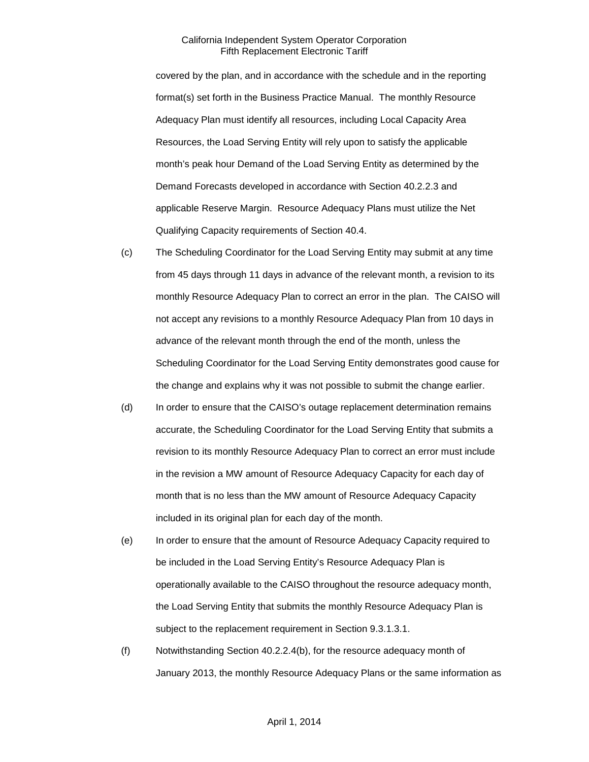covered by the plan, and in accordance with the schedule and in the reporting format(s) set forth in the Business Practice Manual. The monthly Resource Adequacy Plan must identify all resources, including Local Capacity Area Resources, the Load Serving Entity will rely upon to satisfy the applicable month's peak hour Demand of the Load Serving Entity as determined by the Demand Forecasts developed in accordance with Section 40.2.2.3 and applicable Reserve Margin. Resource Adequacy Plans must utilize the Net Qualifying Capacity requirements of Section 40.4.

- (c) The Scheduling Coordinator for the Load Serving Entity may submit at any time from 45 days through 11 days in advance of the relevant month, a revision to its monthly Resource Adequacy Plan to correct an error in the plan. The CAISO will not accept any revisions to a monthly Resource Adequacy Plan from 10 days in advance of the relevant month through the end of the month, unless the Scheduling Coordinator for the Load Serving Entity demonstrates good cause for the change and explains why it was not possible to submit the change earlier.
- (d) In order to ensure that the CAISO's outage replacement determination remains accurate, the Scheduling Coordinator for the Load Serving Entity that submits a revision to its monthly Resource Adequacy Plan to correct an error must include in the revision a MW amount of Resource Adequacy Capacity for each day of month that is no less than the MW amount of Resource Adequacy Capacity included in its original plan for each day of the month.
- (e) In order to ensure that the amount of Resource Adequacy Capacity required to be included in the Load Serving Entity's Resource Adequacy Plan is operationally available to the CAISO throughout the resource adequacy month, the Load Serving Entity that submits the monthly Resource Adequacy Plan is subject to the replacement requirement in Section 9.3.1.3.1.
- (f) Notwithstanding Section 40.2.2.4(b), for the resource adequacy month of January 2013, the monthly Resource Adequacy Plans or the same information as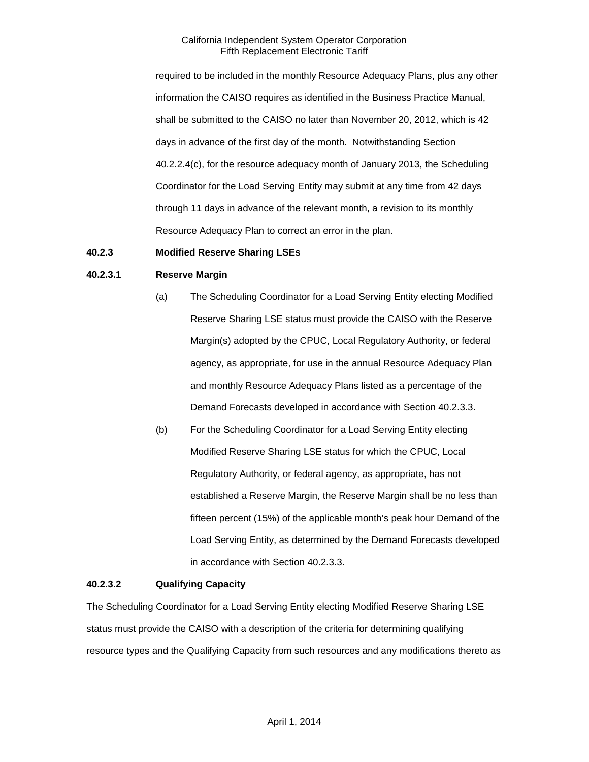required to be included in the monthly Resource Adequacy Plans, plus any other information the CAISO requires as identified in the Business Practice Manual, shall be submitted to the CAISO no later than November 20, 2012, which is 42 days in advance of the first day of the month. Notwithstanding Section 40.2.2.4(c), for the resource adequacy month of January 2013, the Scheduling Coordinator for the Load Serving Entity may submit at any time from 42 days through 11 days in advance of the relevant month, a revision to its monthly Resource Adequacy Plan to correct an error in the plan.

#### <span id="page-6-0"></span>**40.2.3 Modified Reserve Sharing LSEs**

#### **40.2.3.1 Reserve Margin**

- (a) The Scheduling Coordinator for a Load Serving Entity electing Modified Reserve Sharing LSE status must provide the CAISO with the Reserve Margin(s) adopted by the CPUC, Local Regulatory Authority, or federal agency, as appropriate, for use in the annual Resource Adequacy Plan and monthly Resource Adequacy Plans listed as a percentage of the Demand Forecasts developed in accordance with Section 40.2.3.3.
- (b) For the Scheduling Coordinator for a Load Serving Entity electing Modified Reserve Sharing LSE status for which the CPUC, Local Regulatory Authority, or federal agency, as appropriate, has not established a Reserve Margin, the Reserve Margin shall be no less than fifteen percent (15%) of the applicable month's peak hour Demand of the Load Serving Entity, as determined by the Demand Forecasts developed in accordance with Section 40.2.3.3.

#### **40.2.3.2 Qualifying Capacity**

The Scheduling Coordinator for a Load Serving Entity electing Modified Reserve Sharing LSE status must provide the CAISO with a description of the criteria for determining qualifying resource types and the Qualifying Capacity from such resources and any modifications thereto as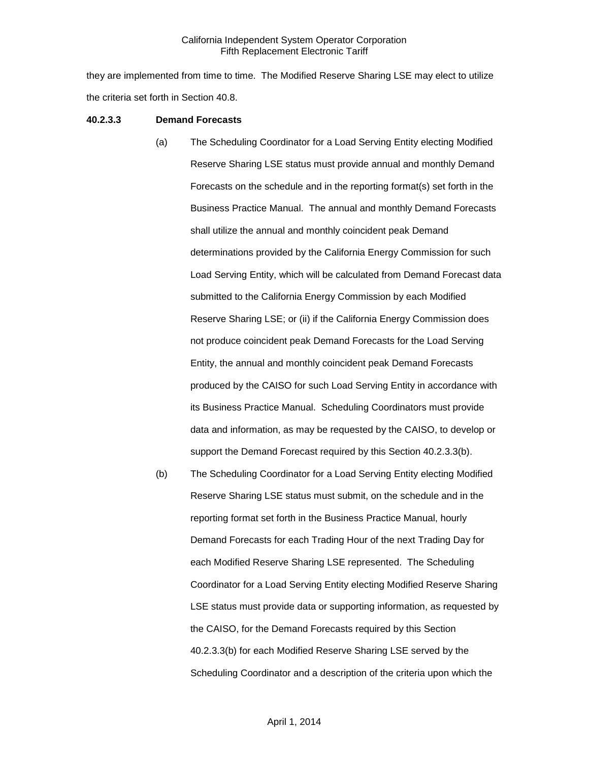they are implemented from time to time. The Modified Reserve Sharing LSE may elect to utilize the criteria set forth in Section 40.8.

#### **40.2.3.3 Demand Forecasts**

- (a) The Scheduling Coordinator for a Load Serving Entity electing Modified Reserve Sharing LSE status must provide annual and monthly Demand Forecasts on the schedule and in the reporting format(s) set forth in the Business Practice Manual. The annual and monthly Demand Forecasts shall utilize the annual and monthly coincident peak Demand determinations provided by the California Energy Commission for such Load Serving Entity, which will be calculated from Demand Forecast data submitted to the California Energy Commission by each Modified Reserve Sharing LSE; or (ii) if the California Energy Commission does not produce coincident peak Demand Forecasts for the Load Serving Entity, the annual and monthly coincident peak Demand Forecasts produced by the CAISO for such Load Serving Entity in accordance with its Business Practice Manual. Scheduling Coordinators must provide data and information, as may be requested by the CAISO, to develop or support the Demand Forecast required by this Section 40.2.3.3(b).
- (b) The Scheduling Coordinator for a Load Serving Entity electing Modified Reserve Sharing LSE status must submit, on the schedule and in the reporting format set forth in the Business Practice Manual, hourly Demand Forecasts for each Trading Hour of the next Trading Day for each Modified Reserve Sharing LSE represented. The Scheduling Coordinator for a Load Serving Entity electing Modified Reserve Sharing LSE status must provide data or supporting information, as requested by the CAISO, for the Demand Forecasts required by this Section 40.2.3.3(b) for each Modified Reserve Sharing LSE served by the Scheduling Coordinator and a description of the criteria upon which the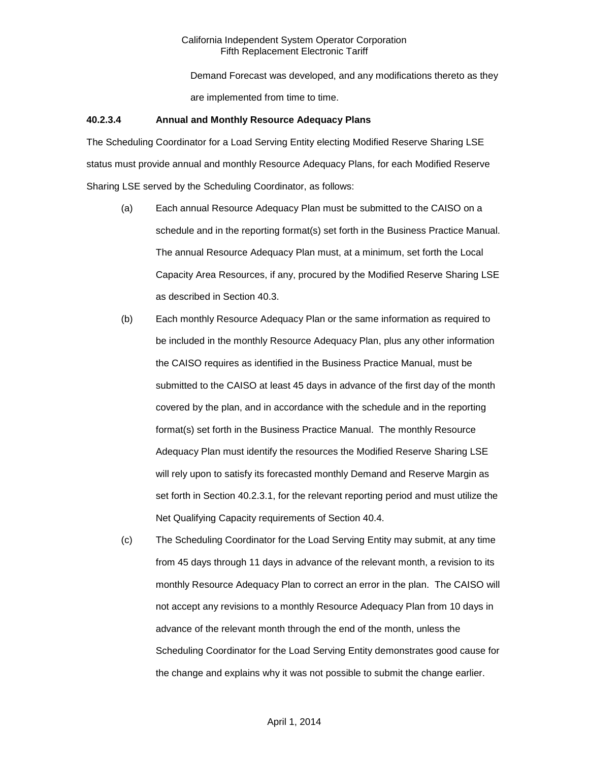Demand Forecast was developed, and any modifications thereto as they are implemented from time to time.

#### **40.2.3.4 Annual and Monthly Resource Adequacy Plans**

The Scheduling Coordinator for a Load Serving Entity electing Modified Reserve Sharing LSE status must provide annual and monthly Resource Adequacy Plans, for each Modified Reserve Sharing LSE served by the Scheduling Coordinator, as follows:

- (a) Each annual Resource Adequacy Plan must be submitted to the CAISO on a schedule and in the reporting format(s) set forth in the Business Practice Manual. The annual Resource Adequacy Plan must, at a minimum, set forth the Local Capacity Area Resources, if any, procured by the Modified Reserve Sharing LSE as described in Section 40.3.
- (b) Each monthly Resource Adequacy Plan or the same information as required to be included in the monthly Resource Adequacy Plan, plus any other information the CAISO requires as identified in the Business Practice Manual, must be submitted to the CAISO at least 45 days in advance of the first day of the month covered by the plan, and in accordance with the schedule and in the reporting format(s) set forth in the Business Practice Manual. The monthly Resource Adequacy Plan must identify the resources the Modified Reserve Sharing LSE will rely upon to satisfy its forecasted monthly Demand and Reserve Margin as set forth in Section 40.2.3.1, for the relevant reporting period and must utilize the Net Qualifying Capacity requirements of Section 40.4.
- (c) The Scheduling Coordinator for the Load Serving Entity may submit, at any time from 45 days through 11 days in advance of the relevant month, a revision to its monthly Resource Adequacy Plan to correct an error in the plan. The CAISO will not accept any revisions to a monthly Resource Adequacy Plan from 10 days in advance of the relevant month through the end of the month, unless the Scheduling Coordinator for the Load Serving Entity demonstrates good cause for the change and explains why it was not possible to submit the change earlier.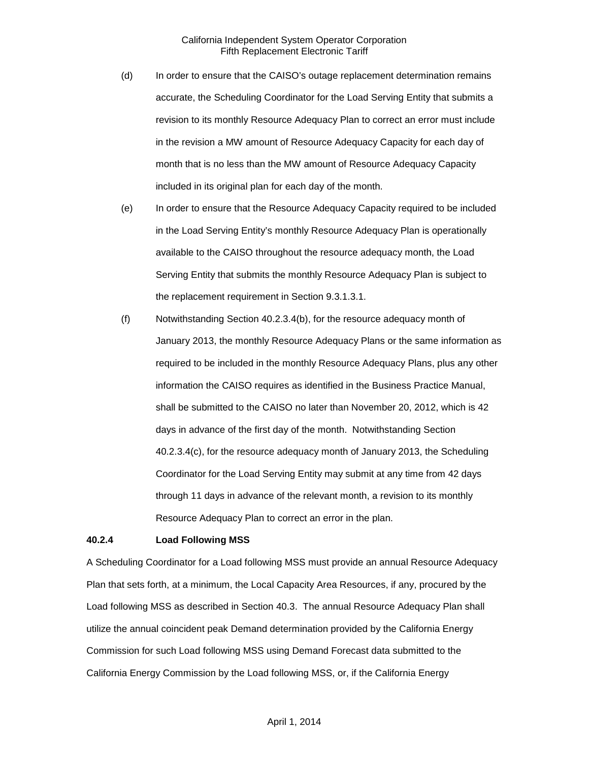- (d) In order to ensure that the CAISO's outage replacement determination remains accurate, the Scheduling Coordinator for the Load Serving Entity that submits a revision to its monthly Resource Adequacy Plan to correct an error must include in the revision a MW amount of Resource Adequacy Capacity for each day of month that is no less than the MW amount of Resource Adequacy Capacity included in its original plan for each day of the month.
- (e) In order to ensure that the Resource Adequacy Capacity required to be included in the Load Serving Entity's monthly Resource Adequacy Plan is operationally available to the CAISO throughout the resource adequacy month, the Load Serving Entity that submits the monthly Resource Adequacy Plan is subject to the replacement requirement in Section 9.3.1.3.1.
- (f) Notwithstanding Section 40.2.3.4(b), for the resource adequacy month of January 2013, the monthly Resource Adequacy Plans or the same information as required to be included in the monthly Resource Adequacy Plans, plus any other information the CAISO requires as identified in the Business Practice Manual, shall be submitted to the CAISO no later than November 20, 2012, which is 42 days in advance of the first day of the month. Notwithstanding Section 40.2.3.4(c), for the resource adequacy month of January 2013, the Scheduling Coordinator for the Load Serving Entity may submit at any time from 42 days through 11 days in advance of the relevant month, a revision to its monthly Resource Adequacy Plan to correct an error in the plan.

#### <span id="page-9-0"></span>**40.2.4 Load Following MSS**

A Scheduling Coordinator for a Load following MSS must provide an annual Resource Adequacy Plan that sets forth, at a minimum, the Local Capacity Area Resources, if any, procured by the Load following MSS as described in Section 40.3. The annual Resource Adequacy Plan shall utilize the annual coincident peak Demand determination provided by the California Energy Commission for such Load following MSS using Demand Forecast data submitted to the California Energy Commission by the Load following MSS, or, if the California Energy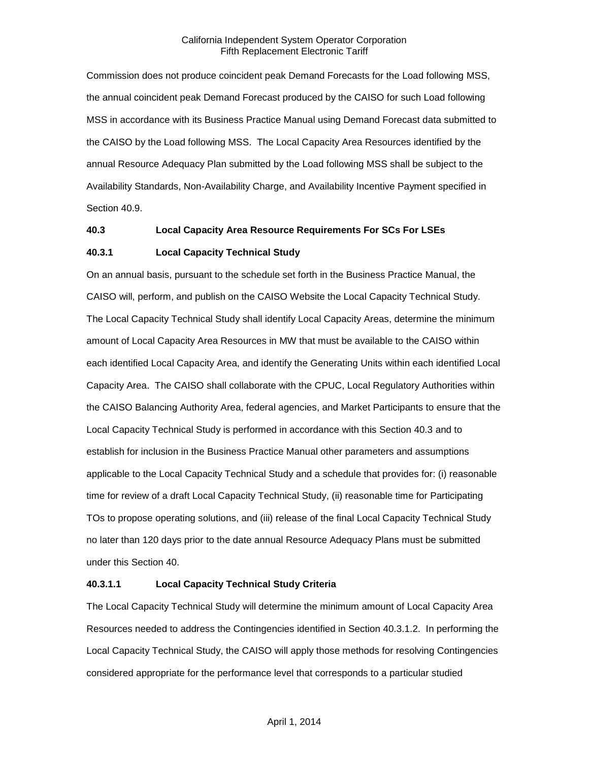Commission does not produce coincident peak Demand Forecasts for the Load following MSS, the annual coincident peak Demand Forecast produced by the CAISO for such Load following MSS in accordance with its Business Practice Manual using Demand Forecast data submitted to the CAISO by the Load following MSS. The Local Capacity Area Resources identified by the annual Resource Adequacy Plan submitted by the Load following MSS shall be subject to the Availability Standards, Non-Availability Charge, and Availability Incentive Payment specified in Section 40.9.

#### <span id="page-10-0"></span>**40.3 Local Capacity Area Resource Requirements For SCs For LSEs**

#### <span id="page-10-1"></span>**40.3.1 Local Capacity Technical Study**

On an annual basis, pursuant to the schedule set forth in the Business Practice Manual, the CAISO will, perform, and publish on the CAISO Website the Local Capacity Technical Study. The Local Capacity Technical Study shall identify Local Capacity Areas, determine the minimum amount of Local Capacity Area Resources in MW that must be available to the CAISO within each identified Local Capacity Area, and identify the Generating Units within each identified Local Capacity Area. The CAISO shall collaborate with the CPUC, Local Regulatory Authorities within the CAISO Balancing Authority Area, federal agencies, and Market Participants to ensure that the Local Capacity Technical Study is performed in accordance with this Section 40.3 and to establish for inclusion in the Business Practice Manual other parameters and assumptions applicable to the Local Capacity Technical Study and a schedule that provides for: (i) reasonable time for review of a draft Local Capacity Technical Study, (ii) reasonable time for Participating TOs to propose operating solutions, and (iii) release of the final Local Capacity Technical Study no later than 120 days prior to the date annual Resource Adequacy Plans must be submitted under this Section 40.

#### **40.3.1.1 Local Capacity Technical Study Criteria**

The Local Capacity Technical Study will determine the minimum amount of Local Capacity Area Resources needed to address the Contingencies identified in Section 40.3.1.2. In performing the Local Capacity Technical Study, the CAISO will apply those methods for resolving Contingencies considered appropriate for the performance level that corresponds to a particular studied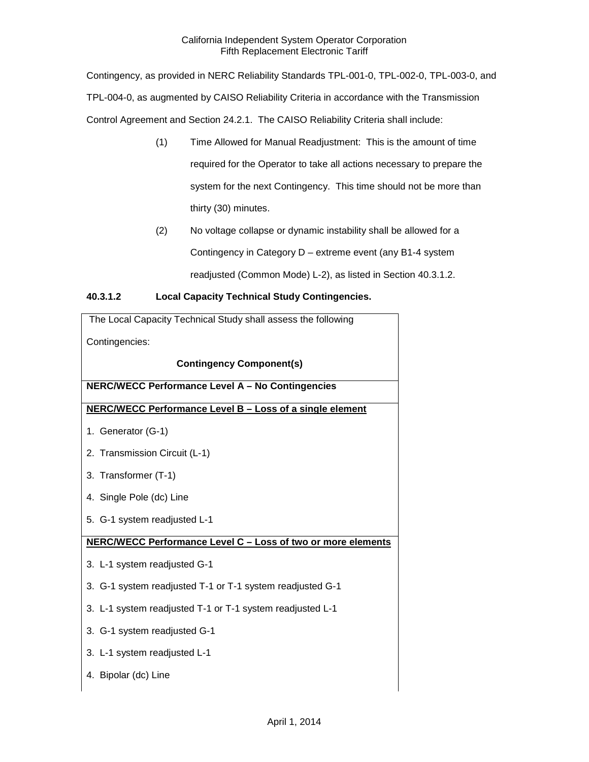Contingency, as provided in NERC Reliability Standards TPL-001-0, TPL-002-0, TPL-003-0, and TPL-004-0, as augmented by CAISO Reliability Criteria in accordance with the Transmission Control Agreement and Section 24.2.1. The CAISO Reliability Criteria shall include:

- (1) Time Allowed for Manual Readjustment: This is the amount of time required for the Operator to take all actions necessary to prepare the system for the next Contingency. This time should not be more than thirty (30) minutes.
- (2) No voltage collapse or dynamic instability shall be allowed for a Contingency in Category D – extreme event (any B1-4 system readjusted (Common Mode) L-2), as listed in Section 40.3.1.2.

## **40.3.1.2 Local Capacity Technical Study Contingencies.**

| The Local Capacity Technical Study shall assess the following |
|---------------------------------------------------------------|
| Contingencies:                                                |
| <b>Contingency Component(s)</b>                               |
| NERC/WECC Performance Level A - No Contingencies              |
| NERC/WECC Performance Level B - Loss of a single element      |
| 1. Generator (G-1)                                            |
| 2. Transmission Circuit (L-1)                                 |
| 3. Transformer (T-1)                                          |
| 4. Single Pole (dc) Line                                      |
| 5. G-1 system readjusted L-1                                  |
| NERC/WECC Performance Level C - Loss of two or more elements  |
| 3. L-1 system readjusted G-1                                  |
| 3. G-1 system readjusted T-1 or T-1 system readjusted G-1     |
| 3. L-1 system readjusted T-1 or T-1 system readjusted L-1     |
| 3. G-1 system readjusted G-1                                  |
| 3. L-1 system readjusted L-1                                  |
| 4. Bipolar (dc) Line                                          |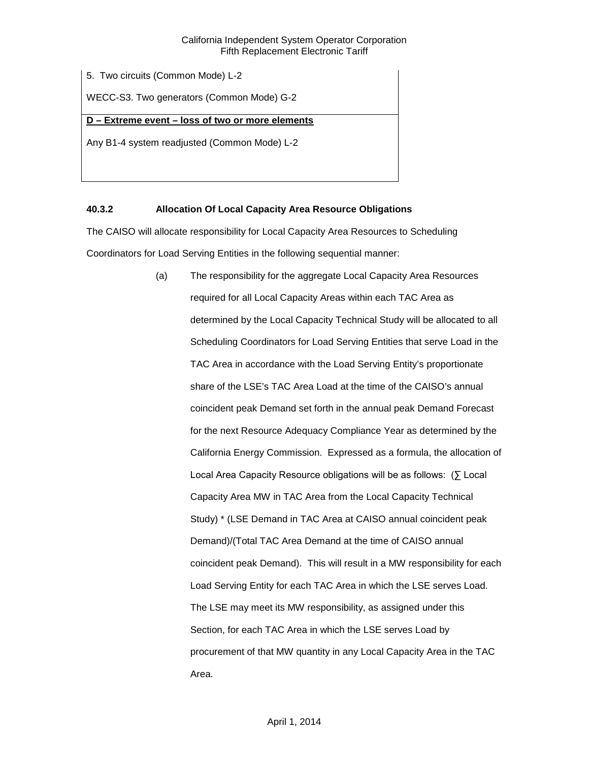5. Two circuits (Common Mode) L-2

WECC-S3. Two generators (Common Mode) G-2

## **D – Extreme event – loss of two or more elements**

Any B1-4 system readjusted (Common Mode) L-2

## <span id="page-12-0"></span>**40.3.2 Allocation Of Local Capacity Area Resource Obligations**

The CAISO will allocate responsibility for Local Capacity Area Resources to Scheduling Coordinators for Load Serving Entities in the following sequential manner:

> (a) The responsibility for the aggregate Local Capacity Area Resources required for all Local Capacity Areas within each TAC Area as determined by the Local Capacity Technical Study will be allocated to all Scheduling Coordinators for Load Serving Entities that serve Load in the TAC Area in accordance with the Load Serving Entity's proportionate share of the LSE's TAC Area Load at the time of the CAISO's annual coincident peak Demand set forth in the annual peak Demand Forecast for the next Resource Adequacy Compliance Year as determined by the California Energy Commission. Expressed as a formula, the allocation of Local Area Capacity Resource obligations will be as follows: (∑ Local Capacity Area MW in TAC Area from the Local Capacity Technical Study) \* (LSE Demand in TAC Area at CAISO annual coincident peak Demand)/(Total TAC Area Demand at the time of CAISO annual coincident peak Demand). This will result in a MW responsibility for each Load Serving Entity for each TAC Area in which the LSE serves Load. The LSE may meet its MW responsibility, as assigned under this Section, for each TAC Area in which the LSE serves Load by procurement of that MW quantity in any Local Capacity Area in the TAC Area.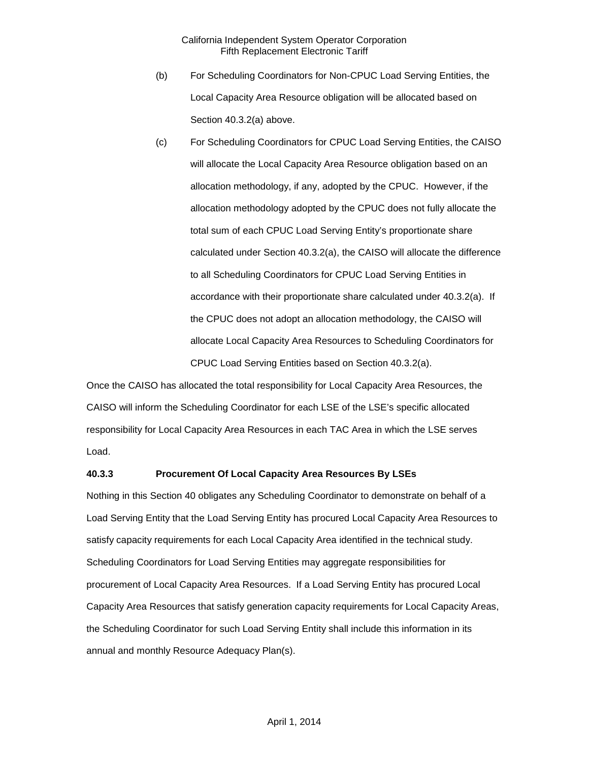- (b) For Scheduling Coordinators for Non-CPUC Load Serving Entities, the Local Capacity Area Resource obligation will be allocated based on Section 40.3.2(a) above.
- (c) For Scheduling Coordinators for CPUC Load Serving Entities, the CAISO will allocate the Local Capacity Area Resource obligation based on an allocation methodology, if any, adopted by the CPUC. However, if the allocation methodology adopted by the CPUC does not fully allocate the total sum of each CPUC Load Serving Entity's proportionate share calculated under Section 40.3.2(a), the CAISO will allocate the difference to all Scheduling Coordinators for CPUC Load Serving Entities in accordance with their proportionate share calculated under 40.3.2(a). If the CPUC does not adopt an allocation methodology, the CAISO will allocate Local Capacity Area Resources to Scheduling Coordinators for CPUC Load Serving Entities based on Section 40.3.2(a).

Once the CAISO has allocated the total responsibility for Local Capacity Area Resources, the CAISO will inform the Scheduling Coordinator for each LSE of the LSE's specific allocated responsibility for Local Capacity Area Resources in each TAC Area in which the LSE serves Load.

#### <span id="page-13-0"></span>**40.3.3 Procurement Of Local Capacity Area Resources By LSEs**

Nothing in this Section 40 obligates any Scheduling Coordinator to demonstrate on behalf of a Load Serving Entity that the Load Serving Entity has procured Local Capacity Area Resources to satisfy capacity requirements for each Local Capacity Area identified in the technical study. Scheduling Coordinators for Load Serving Entities may aggregate responsibilities for procurement of Local Capacity Area Resources. If a Load Serving Entity has procured Local Capacity Area Resources that satisfy generation capacity requirements for Local Capacity Areas, the Scheduling Coordinator for such Load Serving Entity shall include this information in its annual and monthly Resource Adequacy Plan(s).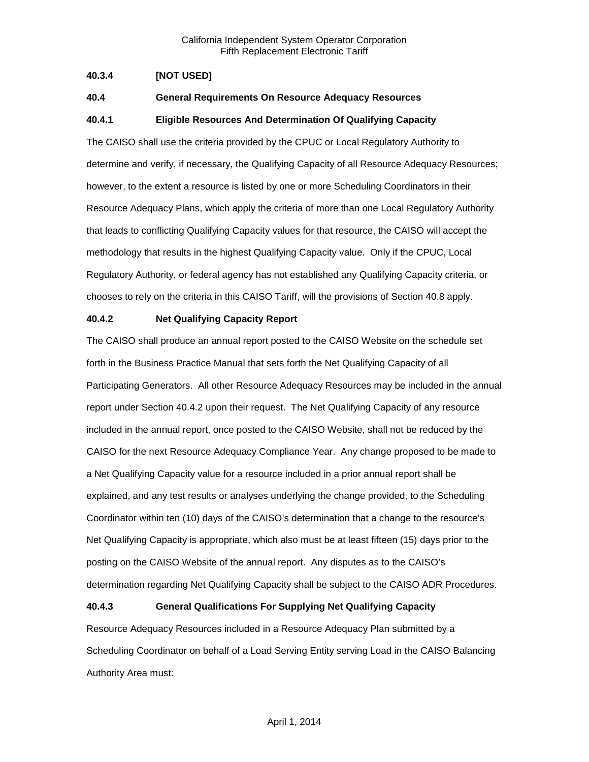## <span id="page-14-0"></span>**40.3.4 [NOT USED]**

#### <span id="page-14-1"></span>**40.4 General Requirements On Resource Adequacy Resources**

#### <span id="page-14-2"></span>**40.4.1 Eligible Resources And Determination Of Qualifying Capacity**

The CAISO shall use the criteria provided by the CPUC or Local Regulatory Authority to determine and verify, if necessary, the Qualifying Capacity of all Resource Adequacy Resources; however, to the extent a resource is listed by one or more Scheduling Coordinators in their Resource Adequacy Plans, which apply the criteria of more than one Local Regulatory Authority that leads to conflicting Qualifying Capacity values for that resource, the CAISO will accept the methodology that results in the highest Qualifying Capacity value. Only if the CPUC, Local Regulatory Authority, or federal agency has not established any Qualifying Capacity criteria, or chooses to rely on the criteria in this CAISO Tariff, will the provisions of Section 40.8 apply.

#### <span id="page-14-3"></span>**40.4.2 Net Qualifying Capacity Report**

The CAISO shall produce an annual report posted to the CAISO Website on the schedule set forth in the Business Practice Manual that sets forth the Net Qualifying Capacity of all Participating Generators. All other Resource Adequacy Resources may be included in the annual report under Section 40.4.2 upon their request. The Net Qualifying Capacity of any resource included in the annual report, once posted to the CAISO Website, shall not be reduced by the CAISO for the next Resource Adequacy Compliance Year. Any change proposed to be made to a Net Qualifying Capacity value for a resource included in a prior annual report shall be explained, and any test results or analyses underlying the change provided, to the Scheduling Coordinator within ten (10) days of the CAISO's determination that a change to the resource's Net Qualifying Capacity is appropriate, which also must be at least fifteen (15) days prior to the posting on the CAISO Website of the annual report. Any disputes as to the CAISO's determination regarding Net Qualifying Capacity shall be subject to the CAISO ADR Procedures.

#### <span id="page-14-4"></span>**40.4.3 General Qualifications For Supplying Net Qualifying Capacity**

Resource Adequacy Resources included in a Resource Adequacy Plan submitted by a Scheduling Coordinator on behalf of a Load Serving Entity serving Load in the CAISO Balancing Authority Area must: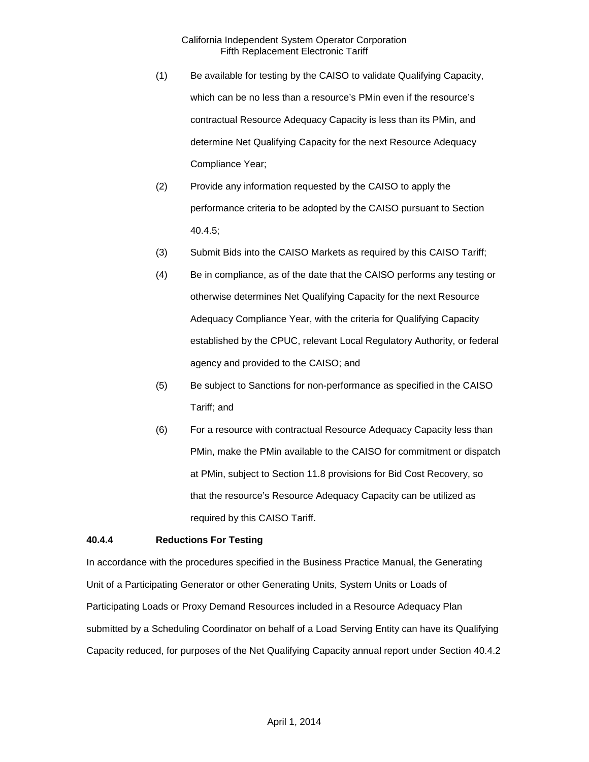- (1) Be available for testing by the CAISO to validate Qualifying Capacity, which can be no less than a resource's PMin even if the resource's contractual Resource Adequacy Capacity is less than its PMin, and determine Net Qualifying Capacity for the next Resource Adequacy Compliance Year;
- (2) Provide any information requested by the CAISO to apply the performance criteria to be adopted by the CAISO pursuant to Section 40.4.5;
- (3) Submit Bids into the CAISO Markets as required by this CAISO Tariff;
- (4) Be in compliance, as of the date that the CAISO performs any testing or otherwise determines Net Qualifying Capacity for the next Resource Adequacy Compliance Year, with the criteria for Qualifying Capacity established by the CPUC, relevant Local Regulatory Authority, or federal agency and provided to the CAISO; and
- (5) Be subject to Sanctions for non-performance as specified in the CAISO Tariff; and
- (6) For a resource with contractual Resource Adequacy Capacity less than PMin, make the PMin available to the CAISO for commitment or dispatch at PMin, subject to Section 11.8 provisions for Bid Cost Recovery, so that the resource's Resource Adequacy Capacity can be utilized as required by this CAISO Tariff.

#### <span id="page-15-0"></span>**40.4.4 Reductions For Testing**

In accordance with the procedures specified in the Business Practice Manual, the Generating Unit of a Participating Generator or other Generating Units, System Units or Loads of Participating Loads or Proxy Demand Resources included in a Resource Adequacy Plan submitted by a Scheduling Coordinator on behalf of a Load Serving Entity can have its Qualifying Capacity reduced, for purposes of the Net Qualifying Capacity annual report under Section 40.4.2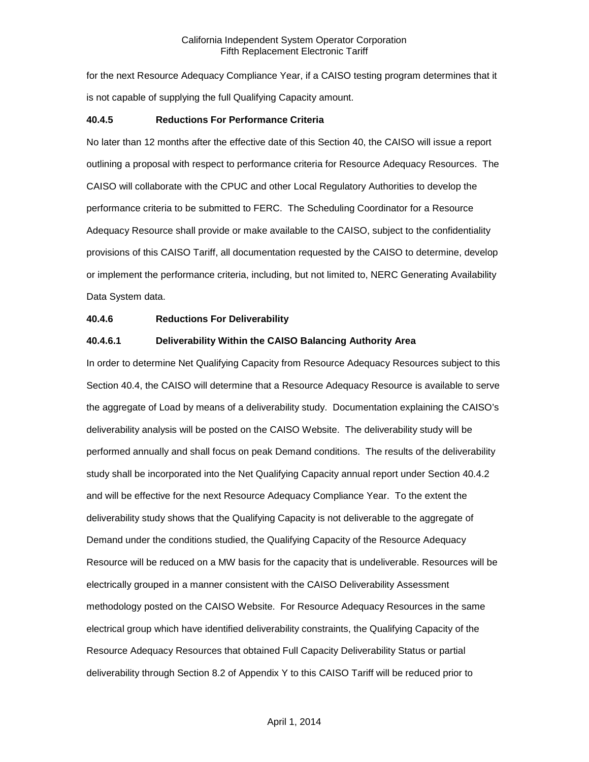for the next Resource Adequacy Compliance Year, if a CAISO testing program determines that it is not capable of supplying the full Qualifying Capacity amount.

#### <span id="page-16-0"></span>**40.4.5 Reductions For Performance Criteria**

No later than 12 months after the effective date of this Section 40, the CAISO will issue a report outlining a proposal with respect to performance criteria for Resource Adequacy Resources. The CAISO will collaborate with the CPUC and other Local Regulatory Authorities to develop the performance criteria to be submitted to FERC. The Scheduling Coordinator for a Resource Adequacy Resource shall provide or make available to the CAISO, subject to the confidentiality provisions of this CAISO Tariff, all documentation requested by the CAISO to determine, develop or implement the performance criteria, including, but not limited to, NERC Generating Availability Data System data.

#### <span id="page-16-1"></span>**40.4.6 Reductions For Deliverability**

#### **40.4.6.1 Deliverability Within the CAISO Balancing Authority Area**

In order to determine Net Qualifying Capacity from Resource Adequacy Resources subject to this Section 40.4, the CAISO will determine that a Resource Adequacy Resource is available to serve the aggregate of Load by means of a deliverability study. Documentation explaining the CAISO's deliverability analysis will be posted on the CAISO Website. The deliverability study will be performed annually and shall focus on peak Demand conditions. The results of the deliverability study shall be incorporated into the Net Qualifying Capacity annual report under Section 40.4.2 and will be effective for the next Resource Adequacy Compliance Year. To the extent the deliverability study shows that the Qualifying Capacity is not deliverable to the aggregate of Demand under the conditions studied, the Qualifying Capacity of the Resource Adequacy Resource will be reduced on a MW basis for the capacity that is undeliverable. Resources will be electrically grouped in a manner consistent with the CAISO Deliverability Assessment methodology posted on the CAISO Website. For Resource Adequacy Resources in the same electrical group which have identified deliverability constraints, the Qualifying Capacity of the Resource Adequacy Resources that obtained Full Capacity Deliverability Status or partial deliverability through Section 8.2 of Appendix Y to this CAISO Tariff will be reduced prior to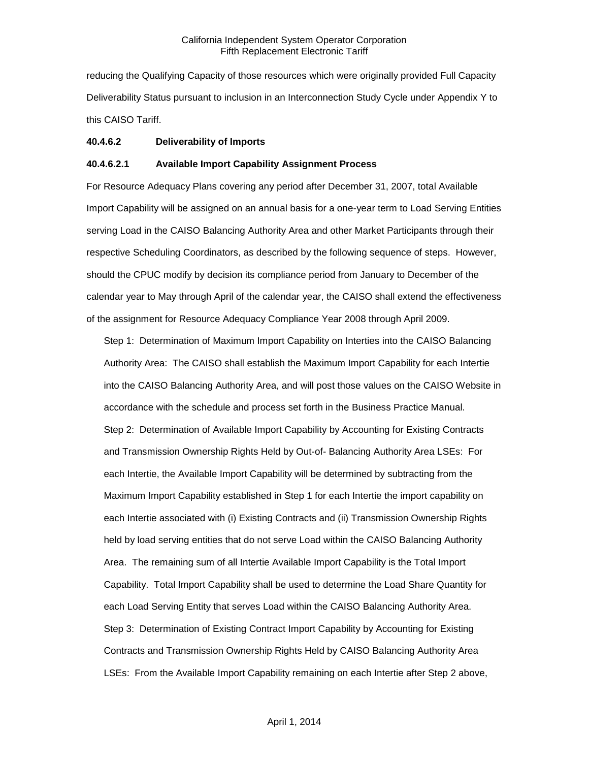reducing the Qualifying Capacity of those resources which were originally provided Full Capacity Deliverability Status pursuant to inclusion in an Interconnection Study Cycle under Appendix Y to this CAISO Tariff.

#### **40.4.6.2 Deliverability of Imports**

#### **40.4.6.2.1 Available Import Capability Assignment Process**

For Resource Adequacy Plans covering any period after December 31, 2007, total Available Import Capability will be assigned on an annual basis for a one-year term to Load Serving Entities serving Load in the CAISO Balancing Authority Area and other Market Participants through their respective Scheduling Coordinators, as described by the following sequence of steps. However, should the CPUC modify by decision its compliance period from January to December of the calendar year to May through April of the calendar year, the CAISO shall extend the effectiveness of the assignment for Resource Adequacy Compliance Year 2008 through April 2009.

Step 1: Determination of Maximum Import Capability on Interties into the CAISO Balancing Authority Area: The CAISO shall establish the Maximum Import Capability for each Intertie into the CAISO Balancing Authority Area, and will post those values on the CAISO Website in accordance with the schedule and process set forth in the Business Practice Manual. Step 2: Determination of Available Import Capability by Accounting for Existing Contracts and Transmission Ownership Rights Held by Out-of- Balancing Authority Area LSEs: For each Intertie, the Available Import Capability will be determined by subtracting from the Maximum Import Capability established in Step 1 for each Intertie the import capability on each Intertie associated with (i) Existing Contracts and (ii) Transmission Ownership Rights held by load serving entities that do not serve Load within the CAISO Balancing Authority Area. The remaining sum of all Intertie Available Import Capability is the Total Import Capability. Total Import Capability shall be used to determine the Load Share Quantity for each Load Serving Entity that serves Load within the CAISO Balancing Authority Area. Step 3: Determination of Existing Contract Import Capability by Accounting for Existing Contracts and Transmission Ownership Rights Held by CAISO Balancing Authority Area LSEs: From the Available Import Capability remaining on each Intertie after Step 2 above,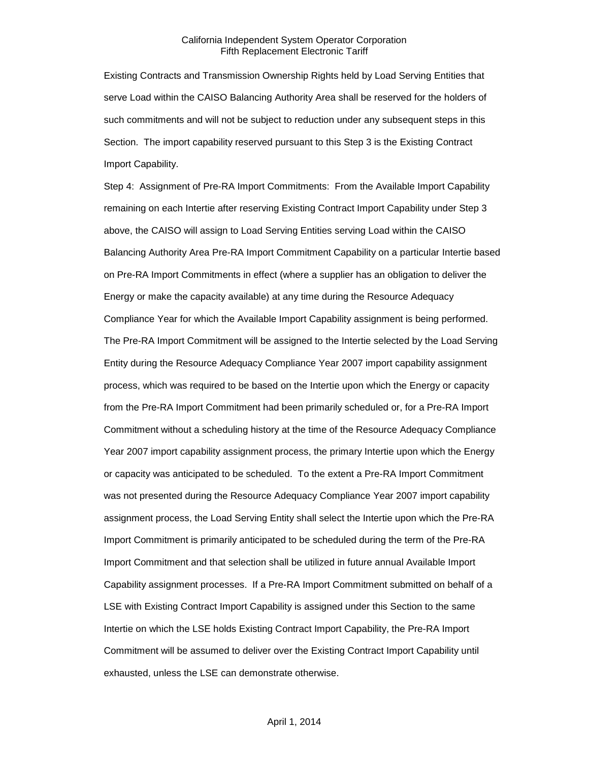Existing Contracts and Transmission Ownership Rights held by Load Serving Entities that serve Load within the CAISO Balancing Authority Area shall be reserved for the holders of such commitments and will not be subject to reduction under any subsequent steps in this Section. The import capability reserved pursuant to this Step 3 is the Existing Contract Import Capability.

Step 4: Assignment of Pre-RA Import Commitments: From the Available Import Capability remaining on each Intertie after reserving Existing Contract Import Capability under Step 3 above, the CAISO will assign to Load Serving Entities serving Load within the CAISO Balancing Authority Area Pre-RA Import Commitment Capability on a particular Intertie based on Pre-RA Import Commitments in effect (where a supplier has an obligation to deliver the Energy or make the capacity available) at any time during the Resource Adequacy Compliance Year for which the Available Import Capability assignment is being performed. The Pre-RA Import Commitment will be assigned to the Intertie selected by the Load Serving Entity during the Resource Adequacy Compliance Year 2007 import capability assignment process, which was required to be based on the Intertie upon which the Energy or capacity from the Pre-RA Import Commitment had been primarily scheduled or, for a Pre-RA Import Commitment without a scheduling history at the time of the Resource Adequacy Compliance Year 2007 import capability assignment process, the primary Intertie upon which the Energy or capacity was anticipated to be scheduled. To the extent a Pre-RA Import Commitment was not presented during the Resource Adequacy Compliance Year 2007 import capability assignment process, the Load Serving Entity shall select the Intertie upon which the Pre-RA Import Commitment is primarily anticipated to be scheduled during the term of the Pre-RA Import Commitment and that selection shall be utilized in future annual Available Import Capability assignment processes. If a Pre-RA Import Commitment submitted on behalf of a LSE with Existing Contract Import Capability is assigned under this Section to the same Intertie on which the LSE holds Existing Contract Import Capability, the Pre-RA Import Commitment will be assumed to deliver over the Existing Contract Import Capability until exhausted, unless the LSE can demonstrate otherwise.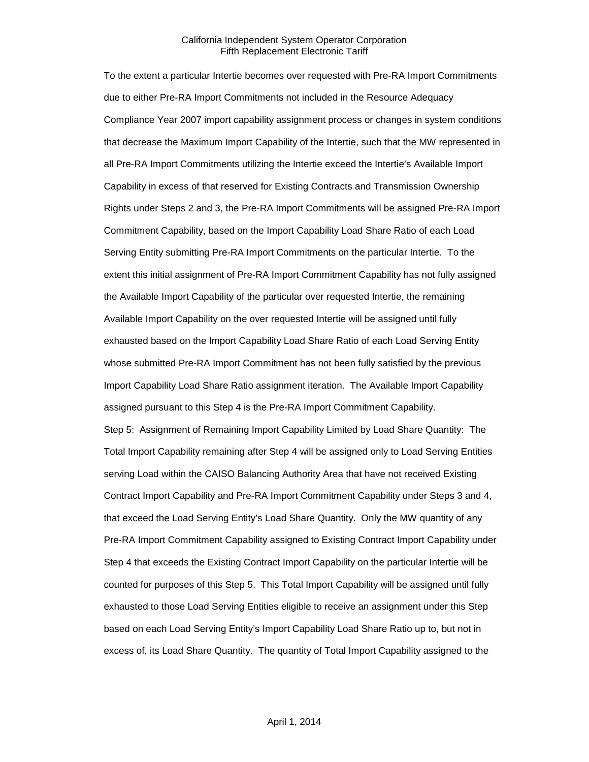To the extent a particular Intertie becomes over requested with Pre-RA Import Commitments due to either Pre-RA Import Commitments not included in the Resource Adequacy Compliance Year 2007 import capability assignment process or changes in system conditions that decrease the Maximum Import Capability of the Intertie, such that the MW represented in all Pre-RA Import Commitments utilizing the Intertie exceed the Intertie's Available Import Capability in excess of that reserved for Existing Contracts and Transmission Ownership Rights under Steps 2 and 3, the Pre-RA Import Commitments will be assigned Pre-RA Import Commitment Capability, based on the Import Capability Load Share Ratio of each Load Serving Entity submitting Pre-RA Import Commitments on the particular Intertie. To the extent this initial assignment of Pre-RA Import Commitment Capability has not fully assigned the Available Import Capability of the particular over requested Intertie, the remaining Available Import Capability on the over requested Intertie will be assigned until fully exhausted based on the Import Capability Load Share Ratio of each Load Serving Entity whose submitted Pre-RA Import Commitment has not been fully satisfied by the previous Import Capability Load Share Ratio assignment iteration. The Available Import Capability assigned pursuant to this Step 4 is the Pre-RA Import Commitment Capability. Step 5: Assignment of Remaining Import Capability Limited by Load Share Quantity: The Total Import Capability remaining after Step 4 will be assigned only to Load Serving Entities serving Load within the CAISO Balancing Authority Area that have not received Existing Contract Import Capability and Pre-RA Import Commitment Capability under Steps 3 and 4, that exceed the Load Serving Entity's Load Share Quantity. Only the MW quantity of any Pre-RA Import Commitment Capability assigned to Existing Contract Import Capability under Step 4 that exceeds the Existing Contract Import Capability on the particular Intertie will be counted for purposes of this Step 5. This Total Import Capability will be assigned until fully exhausted to those Load Serving Entities eligible to receive an assignment under this Step based on each Load Serving Entity's Import Capability Load Share Ratio up to, but not in excess of, its Load Share Quantity. The quantity of Total Import Capability assigned to the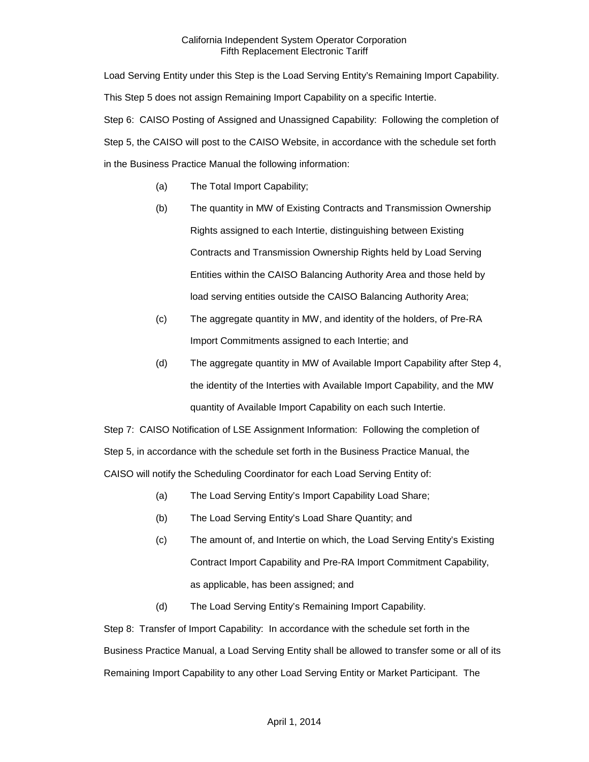Load Serving Entity under this Step is the Load Serving Entity's Remaining Import Capability. This Step 5 does not assign Remaining Import Capability on a specific Intertie. Step 6: CAISO Posting of Assigned and Unassigned Capability: Following the completion of Step 5, the CAISO will post to the CAISO Website, in accordance with the schedule set forth in the Business Practice Manual the following information:

- (a) The Total Import Capability;
- (b) The quantity in MW of Existing Contracts and Transmission Ownership Rights assigned to each Intertie, distinguishing between Existing Contracts and Transmission Ownership Rights held by Load Serving Entities within the CAISO Balancing Authority Area and those held by load serving entities outside the CAISO Balancing Authority Area;
- (c) The aggregate quantity in MW, and identity of the holders, of Pre-RA Import Commitments assigned to each Intertie; and
- (d) The aggregate quantity in MW of Available Import Capability after Step 4, the identity of the Interties with Available Import Capability, and the MW quantity of Available Import Capability on each such Intertie.

Step 7: CAISO Notification of LSE Assignment Information: Following the completion of Step 5, in accordance with the schedule set forth in the Business Practice Manual, the CAISO will notify the Scheduling Coordinator for each Load Serving Entity of:

- (a) The Load Serving Entity's Import Capability Load Share;
- (b) The Load Serving Entity's Load Share Quantity; and
- (c) The amount of, and Intertie on which, the Load Serving Entity's Existing Contract Import Capability and Pre-RA Import Commitment Capability, as applicable, has been assigned; and
- (d) The Load Serving Entity's Remaining Import Capability.

Step 8: Transfer of Import Capability: In accordance with the schedule set forth in the Business Practice Manual, a Load Serving Entity shall be allowed to transfer some or all of its Remaining Import Capability to any other Load Serving Entity or Market Participant. The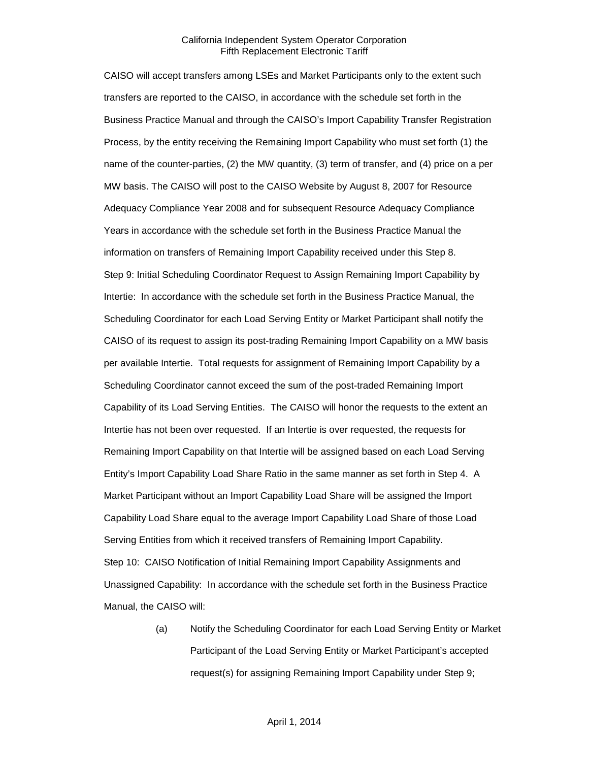CAISO will accept transfers among LSEs and Market Participants only to the extent such transfers are reported to the CAISO, in accordance with the schedule set forth in the Business Practice Manual and through the CAISO's Import Capability Transfer Registration Process, by the entity receiving the Remaining Import Capability who must set forth (1) the name of the counter-parties, (2) the MW quantity, (3) term of transfer, and (4) price on a per MW basis. The CAISO will post to the CAISO Website by August 8, 2007 for Resource Adequacy Compliance Year 2008 and for subsequent Resource Adequacy Compliance Years in accordance with the schedule set forth in the Business Practice Manual the information on transfers of Remaining Import Capability received under this Step 8. Step 9: Initial Scheduling Coordinator Request to Assign Remaining Import Capability by Intertie: In accordance with the schedule set forth in the Business Practice Manual, the Scheduling Coordinator for each Load Serving Entity or Market Participant shall notify the CAISO of its request to assign its post-trading Remaining Import Capability on a MW basis per available Intertie. Total requests for assignment of Remaining Import Capability by a Scheduling Coordinator cannot exceed the sum of the post-traded Remaining Import Capability of its Load Serving Entities. The CAISO will honor the requests to the extent an Intertie has not been over requested. If an Intertie is over requested, the requests for Remaining Import Capability on that Intertie will be assigned based on each Load Serving Entity's Import Capability Load Share Ratio in the same manner as set forth in Step 4. A Market Participant without an Import Capability Load Share will be assigned the Import Capability Load Share equal to the average Import Capability Load Share of those Load Serving Entities from which it received transfers of Remaining Import Capability. Step 10: CAISO Notification of Initial Remaining Import Capability Assignments and Unassigned Capability: In accordance with the schedule set forth in the Business Practice Manual, the CAISO will:

> (a) Notify the Scheduling Coordinator for each Load Serving Entity or Market Participant of the Load Serving Entity or Market Participant's accepted request(s) for assigning Remaining Import Capability under Step 9;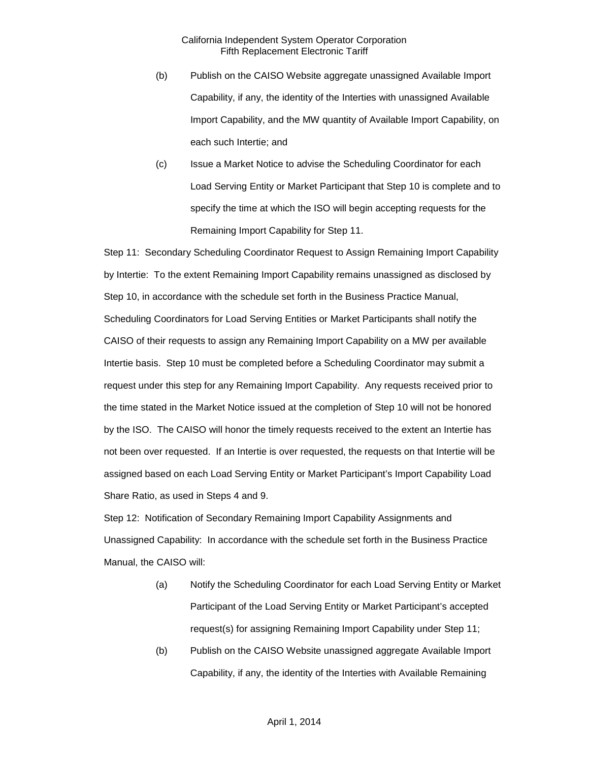- (b) Publish on the CAISO Website aggregate unassigned Available Import Capability, if any, the identity of the Interties with unassigned Available Import Capability, and the MW quantity of Available Import Capability, on each such Intertie; and
- (c) Issue a Market Notice to advise the Scheduling Coordinator for each Load Serving Entity or Market Participant that Step 10 is complete and to specify the time at which the ISO will begin accepting requests for the Remaining Import Capability for Step 11.

Step 11: Secondary Scheduling Coordinator Request to Assign Remaining Import Capability by Intertie: To the extent Remaining Import Capability remains unassigned as disclosed by Step 10, in accordance with the schedule set forth in the Business Practice Manual, Scheduling Coordinators for Load Serving Entities or Market Participants shall notify the CAISO of their requests to assign any Remaining Import Capability on a MW per available Intertie basis. Step 10 must be completed before a Scheduling Coordinator may submit a request under this step for any Remaining Import Capability. Any requests received prior to the time stated in the Market Notice issued at the completion of Step 10 will not be honored by the ISO. The CAISO will honor the timely requests received to the extent an Intertie has not been over requested. If an Intertie is over requested, the requests on that Intertie will be assigned based on each Load Serving Entity or Market Participant's Import Capability Load Share Ratio, as used in Steps 4 and 9.

Step 12: Notification of Secondary Remaining Import Capability Assignments and Unassigned Capability: In accordance with the schedule set forth in the Business Practice Manual, the CAISO will:

- (a) Notify the Scheduling Coordinator for each Load Serving Entity or Market Participant of the Load Serving Entity or Market Participant's accepted request(s) for assigning Remaining Import Capability under Step 11;
- (b) Publish on the CAISO Website unassigned aggregate Available Import Capability, if any, the identity of the Interties with Available Remaining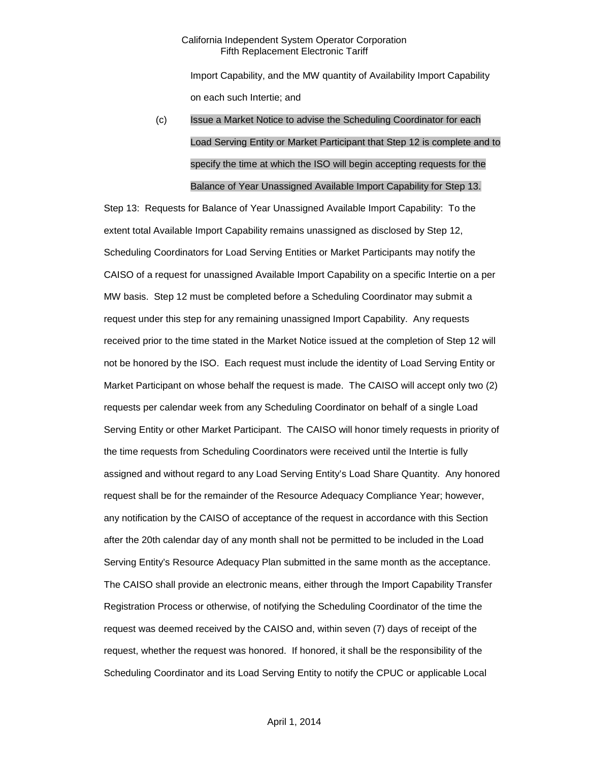Import Capability, and the MW quantity of Availability Import Capability on each such Intertie; and

# (c) Issue a Market Notice to advise the Scheduling Coordinator for each Load Serving Entity or Market Participant that Step 12 is complete and to specify the time at which the ISO will begin accepting requests for the Balance of Year Unassigned Available Import Capability for Step 13.

Step 13: Requests for Balance of Year Unassigned Available Import Capability: To the extent total Available Import Capability remains unassigned as disclosed by Step 12, Scheduling Coordinators for Load Serving Entities or Market Participants may notify the CAISO of a request for unassigned Available Import Capability on a specific Intertie on a per MW basis. Step 12 must be completed before a Scheduling Coordinator may submit a request under this step for any remaining unassigned Import Capability. Any requests received prior to the time stated in the Market Notice issued at the completion of Step 12 will not be honored by the ISO. Each request must include the identity of Load Serving Entity or Market Participant on whose behalf the request is made. The CAISO will accept only two (2) requests per calendar week from any Scheduling Coordinator on behalf of a single Load Serving Entity or other Market Participant. The CAISO will honor timely requests in priority of the time requests from Scheduling Coordinators were received until the Intertie is fully assigned and without regard to any Load Serving Entity's Load Share Quantity. Any honored request shall be for the remainder of the Resource Adequacy Compliance Year; however, any notification by the CAISO of acceptance of the request in accordance with this Section after the 20th calendar day of any month shall not be permitted to be included in the Load Serving Entity's Resource Adequacy Plan submitted in the same month as the acceptance. The CAISO shall provide an electronic means, either through the Import Capability Transfer Registration Process or otherwise, of notifying the Scheduling Coordinator of the time the request was deemed received by the CAISO and, within seven (7) days of receipt of the request, whether the request was honored. If honored, it shall be the responsibility of the Scheduling Coordinator and its Load Serving Entity to notify the CPUC or applicable Local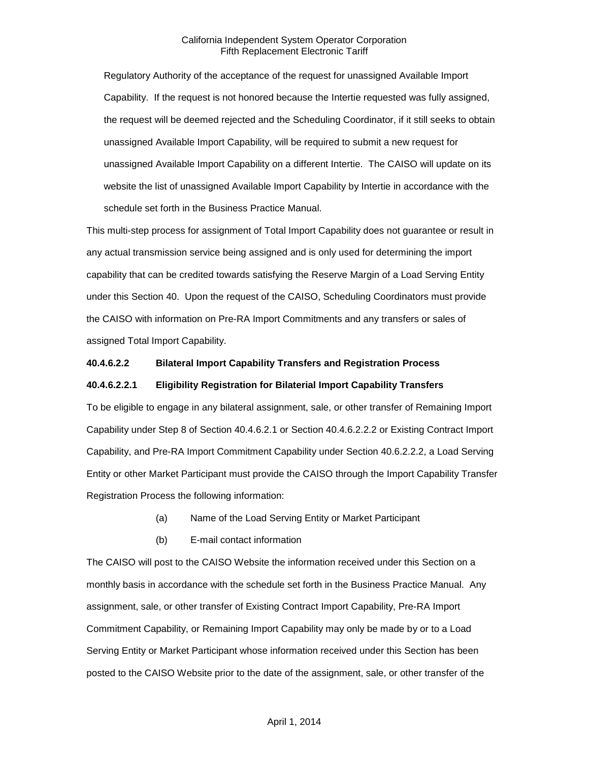Regulatory Authority of the acceptance of the request for unassigned Available Import Capability. If the request is not honored because the Intertie requested was fully assigned, the request will be deemed rejected and the Scheduling Coordinator, if it still seeks to obtain unassigned Available Import Capability, will be required to submit a new request for unassigned Available Import Capability on a different Intertie. The CAISO will update on its website the list of unassigned Available Import Capability by Intertie in accordance with the schedule set forth in the Business Practice Manual.

This multi-step process for assignment of Total Import Capability does not guarantee or result in any actual transmission service being assigned and is only used for determining the import capability that can be credited towards satisfying the Reserve Margin of a Load Serving Entity under this Section 40. Upon the request of the CAISO, Scheduling Coordinators must provide the CAISO with information on Pre-RA Import Commitments and any transfers or sales of assigned Total Import Capability.

## **40.4.6.2.2 Bilateral Import Capability Transfers and Registration Process**

#### **40.4.6.2.2.1 Eligibility Registration for Bilaterial Import Capability Transfers**

To be eligible to engage in any bilateral assignment, sale, or other transfer of Remaining Import Capability under Step 8 of Section 40.4.6.2.1 or Section 40.4.6.2.2.2 or Existing Contract Import Capability, and Pre-RA Import Commitment Capability under Section 40.6.2.2.2, a Load Serving Entity or other Market Participant must provide the CAISO through the Import Capability Transfer Registration Process the following information:

- (a) Name of the Load Serving Entity or Market Participant
- (b) E-mail contact information

The CAISO will post to the CAISO Website the information received under this Section on a monthly basis in accordance with the schedule set forth in the Business Practice Manual. Any assignment, sale, or other transfer of Existing Contract Import Capability, Pre-RA Import Commitment Capability, or Remaining Import Capability may only be made by or to a Load Serving Entity or Market Participant whose information received under this Section has been posted to the CAISO Website prior to the date of the assignment, sale, or other transfer of the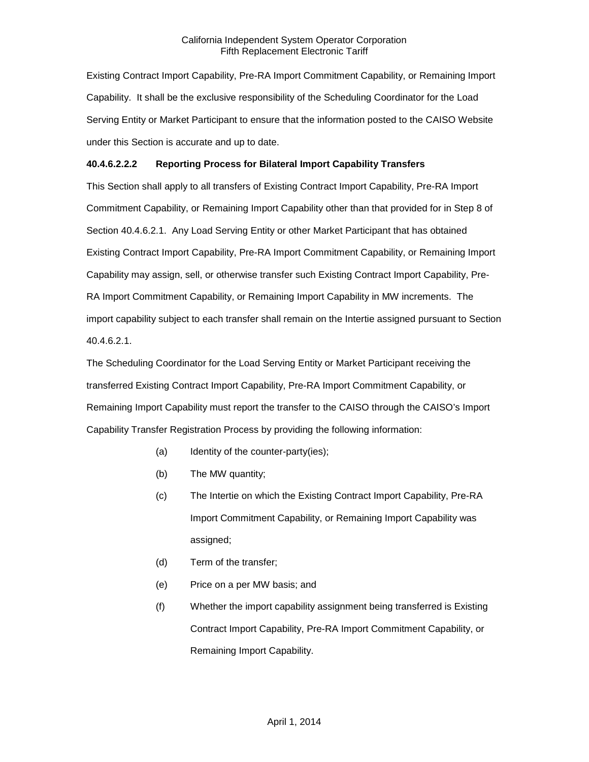Existing Contract Import Capability, Pre-RA Import Commitment Capability, or Remaining Import Capability. It shall be the exclusive responsibility of the Scheduling Coordinator for the Load Serving Entity or Market Participant to ensure that the information posted to the CAISO Website under this Section is accurate and up to date.

## **40.4.6.2.2.2 Reporting Process for Bilateral Import Capability Transfers**

This Section shall apply to all transfers of Existing Contract Import Capability, Pre-RA Import Commitment Capability, or Remaining Import Capability other than that provided for in Step 8 of Section 40.4.6.2.1. Any Load Serving Entity or other Market Participant that has obtained Existing Contract Import Capability, Pre-RA Import Commitment Capability, or Remaining Import Capability may assign, sell, or otherwise transfer such Existing Contract Import Capability, Pre-RA Import Commitment Capability, or Remaining Import Capability in MW increments. The import capability subject to each transfer shall remain on the Intertie assigned pursuant to Section 40.4.6.2.1.

The Scheduling Coordinator for the Load Serving Entity or Market Participant receiving the transferred Existing Contract Import Capability, Pre-RA Import Commitment Capability, or Remaining Import Capability must report the transfer to the CAISO through the CAISO's Import Capability Transfer Registration Process by providing the following information:

- (a) Identity of the counter-party(ies);
- (b) The MW quantity;
- (c) The Intertie on which the Existing Contract Import Capability, Pre-RA Import Commitment Capability, or Remaining Import Capability was assigned;
- (d) Term of the transfer;
- (e) Price on a per MW basis; and
- (f) Whether the import capability assignment being transferred is Existing Contract Import Capability, Pre-RA Import Commitment Capability, or Remaining Import Capability.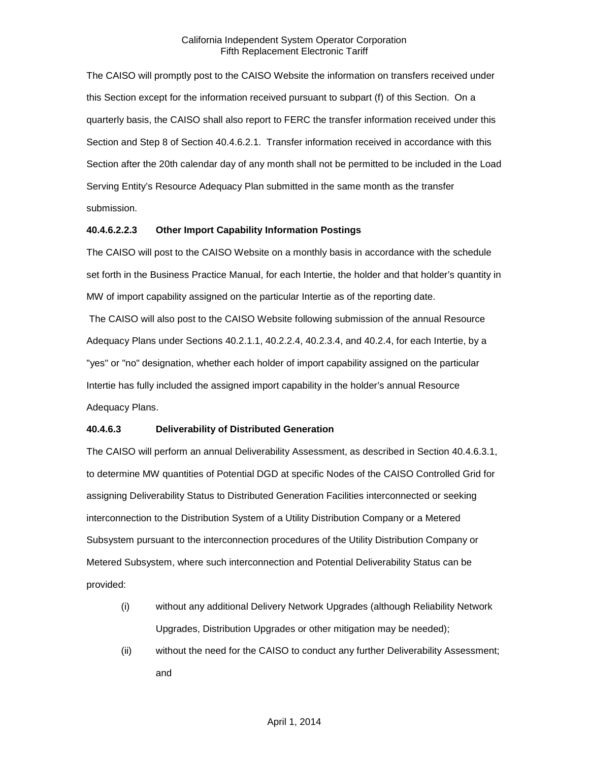The CAISO will promptly post to the CAISO Website the information on transfers received under this Section except for the information received pursuant to subpart (f) of this Section. On a quarterly basis, the CAISO shall also report to FERC the transfer information received under this Section and Step 8 of Section 40.4.6.2.1. Transfer information received in accordance with this Section after the 20th calendar day of any month shall not be permitted to be included in the Load Serving Entity's Resource Adequacy Plan submitted in the same month as the transfer submission.

#### **40.4.6.2.2.3 Other Import Capability Information Postings**

The CAISO will post to the CAISO Website on a monthly basis in accordance with the schedule set forth in the Business Practice Manual, for each Intertie, the holder and that holder's quantity in MW of import capability assigned on the particular Intertie as of the reporting date.

The CAISO will also post to the CAISO Website following submission of the annual Resource Adequacy Plans under Sections 40.2.1.1, 40.2.2.4, 40.2.3.4, and 40.2.4, for each Intertie, by a "yes" or "no" designation, whether each holder of import capability assigned on the particular Intertie has fully included the assigned import capability in the holder's annual Resource Adequacy Plans.

## **40.4.6.3 Deliverability of Distributed Generation**

The CAISO will perform an annual Deliverability Assessment, as described in Section 40.4.6.3.1, to determine MW quantities of Potential DGD at specific Nodes of the CAISO Controlled Grid for assigning Deliverability Status to Distributed Generation Facilities interconnected or seeking interconnection to the Distribution System of a Utility Distribution Company or a Metered Subsystem pursuant to the interconnection procedures of the Utility Distribution Company or Metered Subsystem, where such interconnection and Potential Deliverability Status can be provided:

- (i) without any additional Delivery Network Upgrades (although Reliability Network Upgrades, Distribution Upgrades or other mitigation may be needed);
- (ii) without the need for the CAISO to conduct any further Deliverability Assessment; and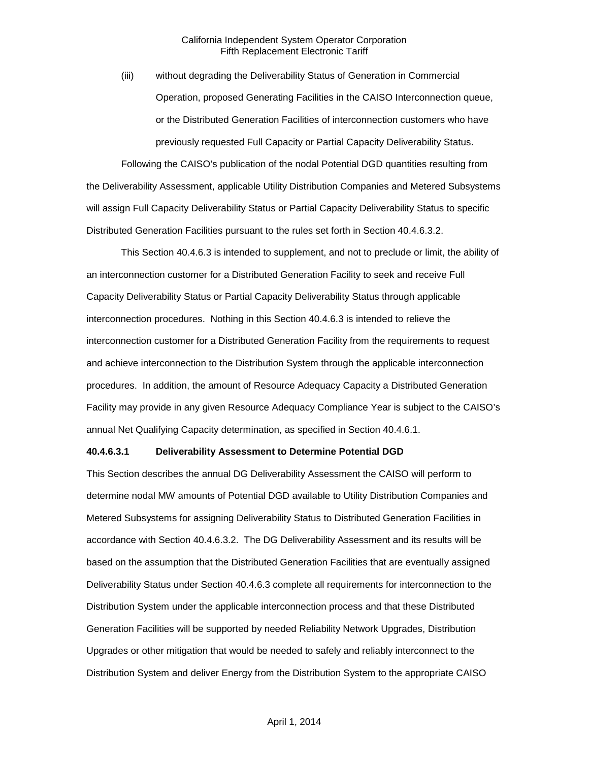(iii) without degrading the Deliverability Status of Generation in Commercial Operation, proposed Generating Facilities in the CAISO Interconnection queue, or the Distributed Generation Facilities of interconnection customers who have previously requested Full Capacity or Partial Capacity Deliverability Status.

Following the CAISO's publication of the nodal Potential DGD quantities resulting from the Deliverability Assessment, applicable Utility Distribution Companies and Metered Subsystems will assign Full Capacity Deliverability Status or Partial Capacity Deliverability Status to specific Distributed Generation Facilities pursuant to the rules set forth in Section 40.4.6.3.2.

This Section 40.4.6.3 is intended to supplement, and not to preclude or limit, the ability of an interconnection customer for a Distributed Generation Facility to seek and receive Full Capacity Deliverability Status or Partial Capacity Deliverability Status through applicable interconnection procedures. Nothing in this Section 40.4.6.3 is intended to relieve the interconnection customer for a Distributed Generation Facility from the requirements to request and achieve interconnection to the Distribution System through the applicable interconnection procedures. In addition, the amount of Resource Adequacy Capacity a Distributed Generation Facility may provide in any given Resource Adequacy Compliance Year is subject to the CAISO's annual Net Qualifying Capacity determination, as specified in Section 40.4.6.1.

#### **40.4.6.3.1 Deliverability Assessment to Determine Potential DGD**

This Section describes the annual DG Deliverability Assessment the CAISO will perform to determine nodal MW amounts of Potential DGD available to Utility Distribution Companies and Metered Subsystems for assigning Deliverability Status to Distributed Generation Facilities in accordance with Section 40.4.6.3.2. The DG Deliverability Assessment and its results will be based on the assumption that the Distributed Generation Facilities that are eventually assigned Deliverability Status under Section 40.4.6.3 complete all requirements for interconnection to the Distribution System under the applicable interconnection process and that these Distributed Generation Facilities will be supported by needed Reliability Network Upgrades, Distribution Upgrades or other mitigation that would be needed to safely and reliably interconnect to the Distribution System and deliver Energy from the Distribution System to the appropriate CAISO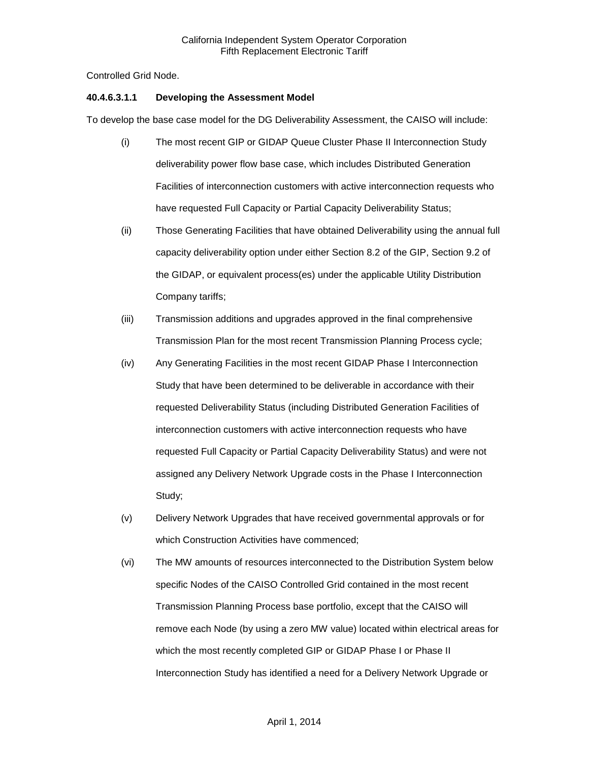Controlled Grid Node.

## **40.4.6.3.1.1 Developing the Assessment Model**

To develop the base case model for the DG Deliverability Assessment, the CAISO will include:

- (i) The most recent GIP or GIDAP Queue Cluster Phase II Interconnection Study deliverability power flow base case, which includes Distributed Generation Facilities of interconnection customers with active interconnection requests who have requested Full Capacity or Partial Capacity Deliverability Status;
- (ii) Those Generating Facilities that have obtained Deliverability using the annual full capacity deliverability option under either Section 8.2 of the GIP, Section 9.2 of the GIDAP, or equivalent process(es) under the applicable Utility Distribution Company tariffs;
- (iii) Transmission additions and upgrades approved in the final comprehensive Transmission Plan for the most recent Transmission Planning Process cycle;
- (iv) Any Generating Facilities in the most recent GIDAP Phase I Interconnection Study that have been determined to be deliverable in accordance with their requested Deliverability Status (including Distributed Generation Facilities of interconnection customers with active interconnection requests who have requested Full Capacity or Partial Capacity Deliverability Status) and were not assigned any Delivery Network Upgrade costs in the Phase I Interconnection Study;
- (v) Delivery Network Upgrades that have received governmental approvals or for which Construction Activities have commenced;
- (vi) The MW amounts of resources interconnected to the Distribution System below specific Nodes of the CAISO Controlled Grid contained in the most recent Transmission Planning Process base portfolio, except that the CAISO will remove each Node (by using a zero MW value) located within electrical areas for which the most recently completed GIP or GIDAP Phase I or Phase II Interconnection Study has identified a need for a Delivery Network Upgrade or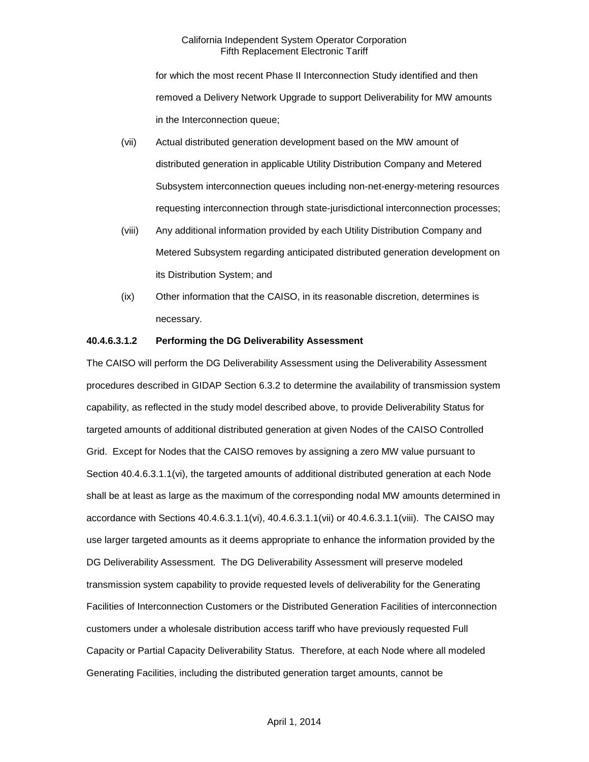for which the most recent Phase II Interconnection Study identified and then removed a Delivery Network Upgrade to support Deliverability for MW amounts in the Interconnection queue;

- (vii) Actual distributed generation development based on the MW amount of distributed generation in applicable Utility Distribution Company and Metered Subsystem interconnection queues including non-net-energy-metering resources requesting interconnection through state-jurisdictional interconnection processes;
- (viii) Any additional information provided by each Utility Distribution Company and Metered Subsystem regarding anticipated distributed generation development on its Distribution System; and
- (ix) Other information that the CAISO, in its reasonable discretion, determines is necessary.

## **40.4.6.3.1.2 Performing the DG Deliverability Assessment**

The CAISO will perform the DG Deliverability Assessment using the Deliverability Assessment procedures described in GIDAP Section 6.3.2 to determine the availability of transmission system capability, as reflected in the study model described above, to provide Deliverability Status for targeted amounts of additional distributed generation at given Nodes of the CAISO Controlled Grid. Except for Nodes that the CAISO removes by assigning a zero MW value pursuant to Section 40.4.6.3.1.1(vi), the targeted amounts of additional distributed generation at each Node shall be at least as large as the maximum of the corresponding nodal MW amounts determined in accordance with Sections 40.4.6.3.1.1(vi), 40.4.6.3.1.1(vii) or 40.4.6.3.1.1(viii). The CAISO may use larger targeted amounts as it deems appropriate to enhance the information provided by the DG Deliverability Assessment. The DG Deliverability Assessment will preserve modeled transmission system capability to provide requested levels of deliverability for the Generating Facilities of Interconnection Customers or the Distributed Generation Facilities of interconnection customers under a wholesale distribution access tariff who have previously requested Full Capacity or Partial Capacity Deliverability Status. Therefore, at each Node where all modeled Generating Facilities, including the distributed generation target amounts, cannot be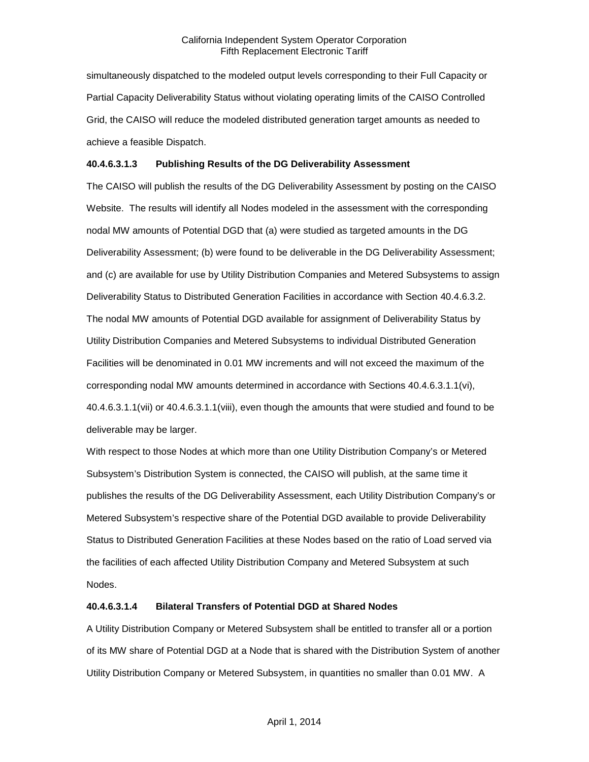simultaneously dispatched to the modeled output levels corresponding to their Full Capacity or Partial Capacity Deliverability Status without violating operating limits of the CAISO Controlled Grid, the CAISO will reduce the modeled distributed generation target amounts as needed to achieve a feasible Dispatch.

#### **40.4.6.3.1.3 Publishing Results of the DG Deliverability Assessment**

The CAISO will publish the results of the DG Deliverability Assessment by posting on the CAISO Website. The results will identify all Nodes modeled in the assessment with the corresponding nodal MW amounts of Potential DGD that (a) were studied as targeted amounts in the DG Deliverability Assessment; (b) were found to be deliverable in the DG Deliverability Assessment; and (c) are available for use by Utility Distribution Companies and Metered Subsystems to assign Deliverability Status to Distributed Generation Facilities in accordance with Section 40.4.6.3.2. The nodal MW amounts of Potential DGD available for assignment of Deliverability Status by Utility Distribution Companies and Metered Subsystems to individual Distributed Generation Facilities will be denominated in 0.01 MW increments and will not exceed the maximum of the corresponding nodal MW amounts determined in accordance with Sections 40.4.6.3.1.1(vi), 40.4.6.3.1.1(vii) or 40.4.6.3.1.1(viii), even though the amounts that were studied and found to be deliverable may be larger.

With respect to those Nodes at which more than one Utility Distribution Company's or Metered Subsystem's Distribution System is connected, the CAISO will publish, at the same time it publishes the results of the DG Deliverability Assessment, each Utility Distribution Company's or Metered Subsystem's respective share of the Potential DGD available to provide Deliverability Status to Distributed Generation Facilities at these Nodes based on the ratio of Load served via the facilities of each affected Utility Distribution Company and Metered Subsystem at such Nodes.

#### **40.4.6.3.1.4 Bilateral Transfers of Potential DGD at Shared Nodes**

A Utility Distribution Company or Metered Subsystem shall be entitled to transfer all or a portion of its MW share of Potential DGD at a Node that is shared with the Distribution System of another Utility Distribution Company or Metered Subsystem, in quantities no smaller than 0.01 MW. A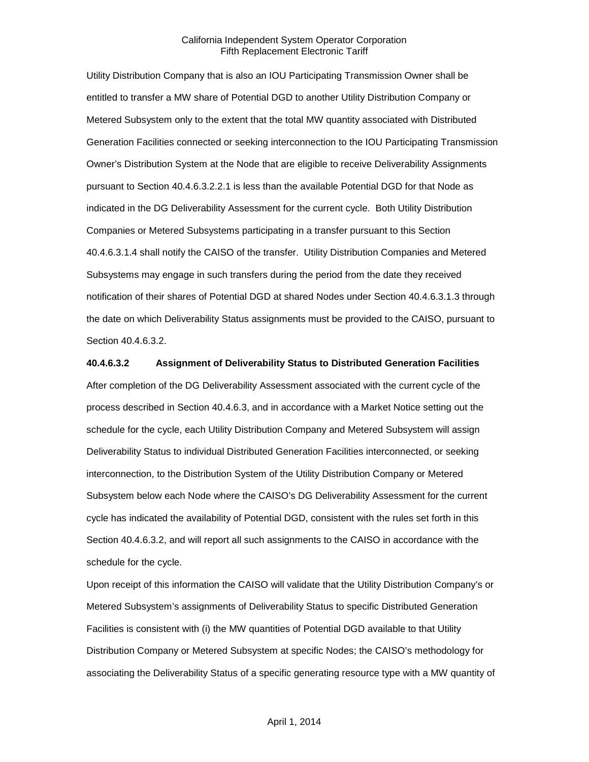Utility Distribution Company that is also an IOU Participating Transmission Owner shall be entitled to transfer a MW share of Potential DGD to another Utility Distribution Company or Metered Subsystem only to the extent that the total MW quantity associated with Distributed Generation Facilities connected or seeking interconnection to the IOU Participating Transmission Owner's Distribution System at the Node that are eligible to receive Deliverability Assignments pursuant to Section 40.4.6.3.2.2.1 is less than the available Potential DGD for that Node as indicated in the DG Deliverability Assessment for the current cycle. Both Utility Distribution Companies or Metered Subsystems participating in a transfer pursuant to this Section 40.4.6.3.1.4 shall notify the CAISO of the transfer. Utility Distribution Companies and Metered Subsystems may engage in such transfers during the period from the date they received notification of their shares of Potential DGD at shared Nodes under Section 40.4.6.3.1.3 through the date on which Deliverability Status assignments must be provided to the CAISO, pursuant to Section 40.4.6.3.2.

#### **40.4.6.3.2 Assignment of Deliverability Status to Distributed Generation Facilities**

After completion of the DG Deliverability Assessment associated with the current cycle of the process described in Section 40.4.6.3, and in accordance with a Market Notice setting out the schedule for the cycle, each Utility Distribution Company and Metered Subsystem will assign Deliverability Status to individual Distributed Generation Facilities interconnected, or seeking interconnection, to the Distribution System of the Utility Distribution Company or Metered Subsystem below each Node where the CAISO's DG Deliverability Assessment for the current cycle has indicated the availability of Potential DGD, consistent with the rules set forth in this Section 40.4.6.3.2, and will report all such assignments to the CAISO in accordance with the schedule for the cycle.

Upon receipt of this information the CAISO will validate that the Utility Distribution Company's or Metered Subsystem's assignments of Deliverability Status to specific Distributed Generation Facilities is consistent with (i) the MW quantities of Potential DGD available to that Utility Distribution Company or Metered Subsystem at specific Nodes; the CAISO's methodology for associating the Deliverability Status of a specific generating resource type with a MW quantity of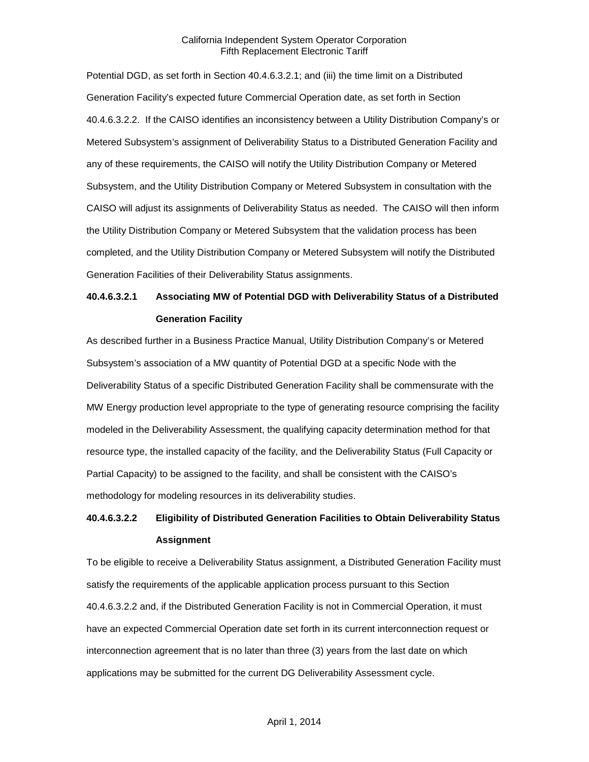Potential DGD, as set forth in Section 40.4.6.3.2.1; and (iii) the time limit on a Distributed Generation Facility's expected future Commercial Operation date, as set forth in Section 40.4.6.3.2.2. If the CAISO identifies an inconsistency between a Utility Distribution Company's or Metered Subsystem's assignment of Deliverability Status to a Distributed Generation Facility and any of these requirements, the CAISO will notify the Utility Distribution Company or Metered Subsystem, and the Utility Distribution Company or Metered Subsystem in consultation with the CAISO will adjust its assignments of Deliverability Status as needed. The CAISO will then inform the Utility Distribution Company or Metered Subsystem that the validation process has been completed, and the Utility Distribution Company or Metered Subsystem will notify the Distributed Generation Facilities of their Deliverability Status assignments.

## **40.4.6.3.2.1 Associating MW of Potential DGD with Deliverability Status of a Distributed Generation Facility**

As described further in a Business Practice Manual, Utility Distribution Company's or Metered Subsystem's association of a MW quantity of Potential DGD at a specific Node with the Deliverability Status of a specific Distributed Generation Facility shall be commensurate with the MW Energy production level appropriate to the type of generating resource comprising the facility modeled in the Deliverability Assessment, the qualifying capacity determination method for that resource type, the installed capacity of the facility, and the Deliverability Status (Full Capacity or Partial Capacity) to be assigned to the facility, and shall be consistent with the CAISO's methodology for modeling resources in its deliverability studies.

## **40.4.6.3.2.2 Eligibility of Distributed Generation Facilities to Obtain Deliverability Status Assignment**

To be eligible to receive a Deliverability Status assignment, a Distributed Generation Facility must satisfy the requirements of the applicable application process pursuant to this Section 40.4.6.3.2.2 and, if the Distributed Generation Facility is not in Commercial Operation, it must have an expected Commercial Operation date set forth in its current interconnection request or interconnection agreement that is no later than three (3) years from the last date on which applications may be submitted for the current DG Deliverability Assessment cycle.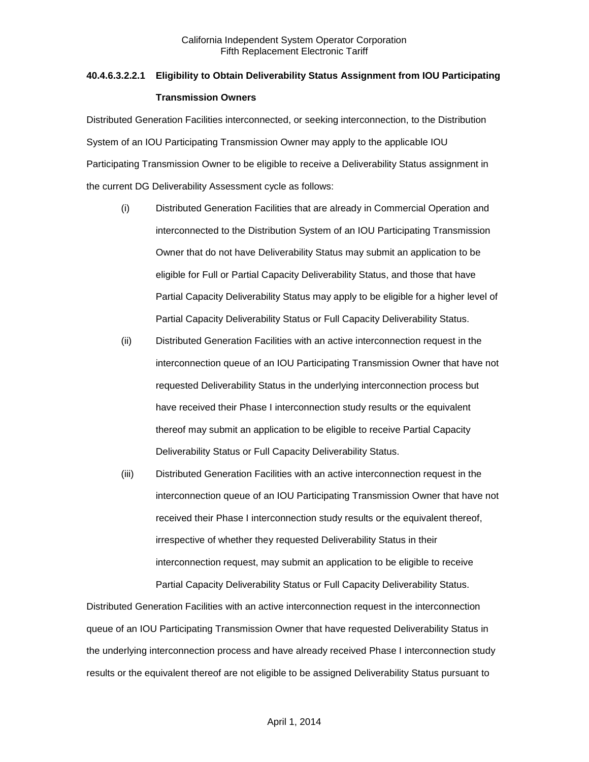# **40.4.6.3.2.2.1 Eligibility to Obtain Deliverability Status Assignment from IOU Participating Transmission Owners**

Distributed Generation Facilities interconnected, or seeking interconnection, to the Distribution System of an IOU Participating Transmission Owner may apply to the applicable IOU Participating Transmission Owner to be eligible to receive a Deliverability Status assignment in the current DG Deliverability Assessment cycle as follows:

- (i) Distributed Generation Facilities that are already in Commercial Operation and interconnected to the Distribution System of an IOU Participating Transmission Owner that do not have Deliverability Status may submit an application to be eligible for Full or Partial Capacity Deliverability Status, and those that have Partial Capacity Deliverability Status may apply to be eligible for a higher level of Partial Capacity Deliverability Status or Full Capacity Deliverability Status.
- (ii) Distributed Generation Facilities with an active interconnection request in the interconnection queue of an IOU Participating Transmission Owner that have not requested Deliverability Status in the underlying interconnection process but have received their Phase I interconnection study results or the equivalent thereof may submit an application to be eligible to receive Partial Capacity Deliverability Status or Full Capacity Deliverability Status.
- (iii) Distributed Generation Facilities with an active interconnection request in the interconnection queue of an IOU Participating Transmission Owner that have not received their Phase I interconnection study results or the equivalent thereof, irrespective of whether they requested Deliverability Status in their interconnection request, may submit an application to be eligible to receive Partial Capacity Deliverability Status or Full Capacity Deliverability Status.

Distributed Generation Facilities with an active interconnection request in the interconnection queue of an IOU Participating Transmission Owner that have requested Deliverability Status in the underlying interconnection process and have already received Phase I interconnection study results or the equivalent thereof are not eligible to be assigned Deliverability Status pursuant to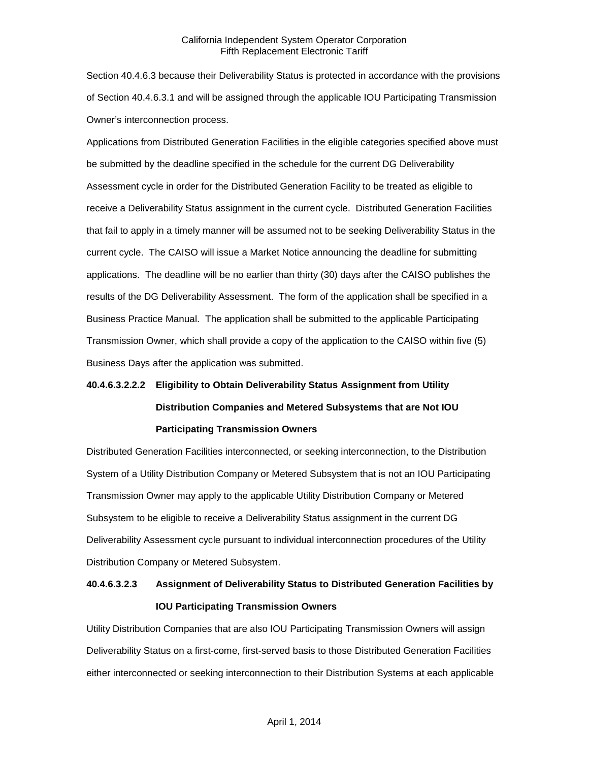Section 40.4.6.3 because their Deliverability Status is protected in accordance with the provisions of Section 40.4.6.3.1 and will be assigned through the applicable IOU Participating Transmission Owner's interconnection process.

Applications from Distributed Generation Facilities in the eligible categories specified above must be submitted by the deadline specified in the schedule for the current DG Deliverability Assessment cycle in order for the Distributed Generation Facility to be treated as eligible to receive a Deliverability Status assignment in the current cycle. Distributed Generation Facilities that fail to apply in a timely manner will be assumed not to be seeking Deliverability Status in the current cycle. The CAISO will issue a Market Notice announcing the deadline for submitting applications. The deadline will be no earlier than thirty (30) days after the CAISO publishes the results of the DG Deliverability Assessment. The form of the application shall be specified in a Business Practice Manual. The application shall be submitted to the applicable Participating Transmission Owner, which shall provide a copy of the application to the CAISO within five (5) Business Days after the application was submitted.

# **40.4.6.3.2.2.2 Eligibility to Obtain Deliverability Status Assignment from Utility Distribution Companies and Metered Subsystems that are Not IOU Participating Transmission Owners**

Distributed Generation Facilities interconnected, or seeking interconnection, to the Distribution System of a Utility Distribution Company or Metered Subsystem that is not an IOU Participating Transmission Owner may apply to the applicable Utility Distribution Company or Metered Subsystem to be eligible to receive a Deliverability Status assignment in the current DG Deliverability Assessment cycle pursuant to individual interconnection procedures of the Utility Distribution Company or Metered Subsystem.

## **40.4.6.3.2.3 Assignment of Deliverability Status to Distributed Generation Facilities by IOU Participating Transmission Owners**

Utility Distribution Companies that are also IOU Participating Transmission Owners will assign Deliverability Status on a first-come, first-served basis to those Distributed Generation Facilities either interconnected or seeking interconnection to their Distribution Systems at each applicable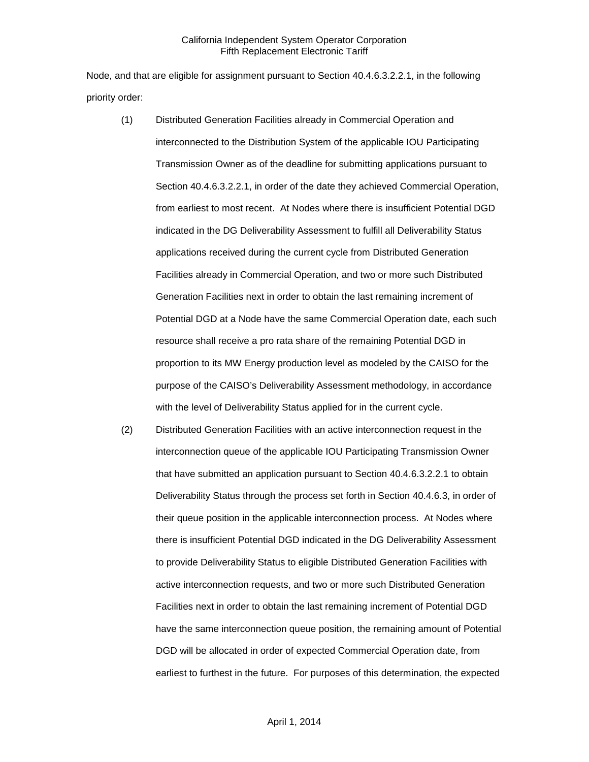Node, and that are eligible for assignment pursuant to Section 40.4.6.3.2.2.1, in the following priority order:

- (1) Distributed Generation Facilities already in Commercial Operation and interconnected to the Distribution System of the applicable IOU Participating Transmission Owner as of the deadline for submitting applications pursuant to Section 40.4.6.3.2.2.1, in order of the date they achieved Commercial Operation, from earliest to most recent. At Nodes where there is insufficient Potential DGD indicated in the DG Deliverability Assessment to fulfill all Deliverability Status applications received during the current cycle from Distributed Generation Facilities already in Commercial Operation, and two or more such Distributed Generation Facilities next in order to obtain the last remaining increment of Potential DGD at a Node have the same Commercial Operation date, each such resource shall receive a pro rata share of the remaining Potential DGD in proportion to its MW Energy production level as modeled by the CAISO for the purpose of the CAISO's Deliverability Assessment methodology, in accordance with the level of Deliverability Status applied for in the current cycle.
- (2) Distributed Generation Facilities with an active interconnection request in the interconnection queue of the applicable IOU Participating Transmission Owner that have submitted an application pursuant to Section 40.4.6.3.2.2.1 to obtain Deliverability Status through the process set forth in Section 40.4.6.3, in order of their queue position in the applicable interconnection process. At Nodes where there is insufficient Potential DGD indicated in the DG Deliverability Assessment to provide Deliverability Status to eligible Distributed Generation Facilities with active interconnection requests, and two or more such Distributed Generation Facilities next in order to obtain the last remaining increment of Potential DGD have the same interconnection queue position, the remaining amount of Potential DGD will be allocated in order of expected Commercial Operation date, from earliest to furthest in the future. For purposes of this determination, the expected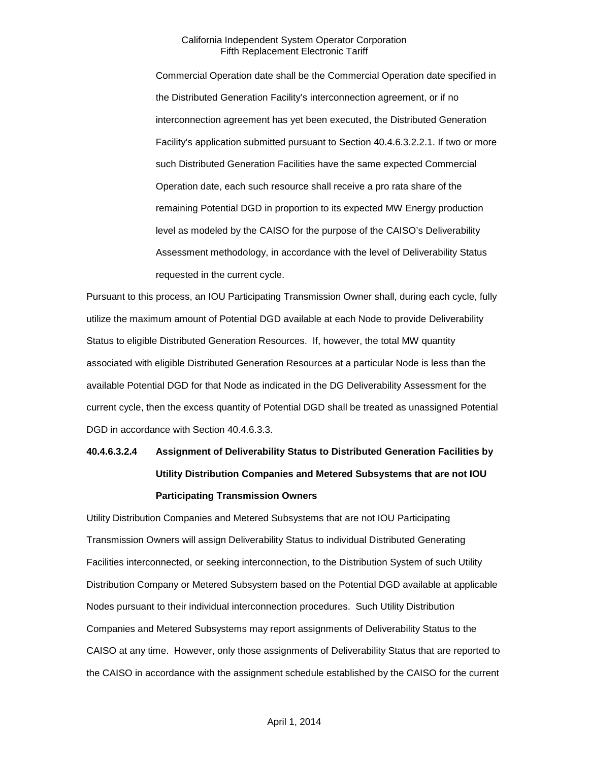Commercial Operation date shall be the Commercial Operation date specified in the Distributed Generation Facility's interconnection agreement, or if no interconnection agreement has yet been executed, the Distributed Generation Facility's application submitted pursuant to Section 40.4.6.3.2.2.1. If two or more such Distributed Generation Facilities have the same expected Commercial Operation date, each such resource shall receive a pro rata share of the remaining Potential DGD in proportion to its expected MW Energy production level as modeled by the CAISO for the purpose of the CAISO's Deliverability Assessment methodology, in accordance with the level of Deliverability Status requested in the current cycle.

Pursuant to this process, an IOU Participating Transmission Owner shall, during each cycle, fully utilize the maximum amount of Potential DGD available at each Node to provide Deliverability Status to eligible Distributed Generation Resources. If, however, the total MW quantity associated with eligible Distributed Generation Resources at a particular Node is less than the available Potential DGD for that Node as indicated in the DG Deliverability Assessment for the current cycle, then the excess quantity of Potential DGD shall be treated as unassigned Potential DGD in accordance with Section 40.4.6.3.3.

# **40.4.6.3.2.4 Assignment of Deliverability Status to Distributed Generation Facilities by Utility Distribution Companies and Metered Subsystems that are not IOU Participating Transmission Owners**

Utility Distribution Companies and Metered Subsystems that are not IOU Participating Transmission Owners will assign Deliverability Status to individual Distributed Generating Facilities interconnected, or seeking interconnection, to the Distribution System of such Utility Distribution Company or Metered Subsystem based on the Potential DGD available at applicable Nodes pursuant to their individual interconnection procedures. Such Utility Distribution Companies and Metered Subsystems may report assignments of Deliverability Status to the CAISO at any time. However, only those assignments of Deliverability Status that are reported to the CAISO in accordance with the assignment schedule established by the CAISO for the current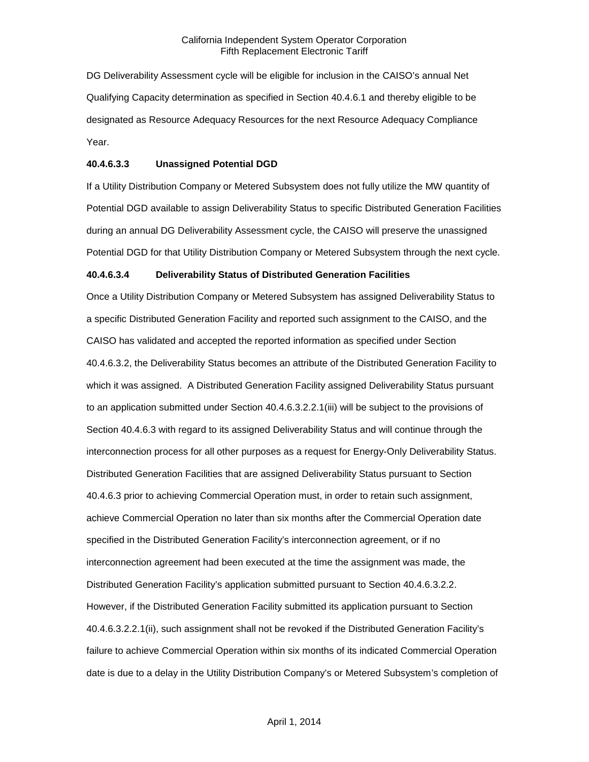DG Deliverability Assessment cycle will be eligible for inclusion in the CAISO's annual Net Qualifying Capacity determination as specified in Section 40.4.6.1 and thereby eligible to be designated as Resource Adequacy Resources for the next Resource Adequacy Compliance Year.

# **40.4.6.3.3 Unassigned Potential DGD**

If a Utility Distribution Company or Metered Subsystem does not fully utilize the MW quantity of Potential DGD available to assign Deliverability Status to specific Distributed Generation Facilities during an annual DG Deliverability Assessment cycle, the CAISO will preserve the unassigned Potential DGD for that Utility Distribution Company or Metered Subsystem through the next cycle.

## **40.4.6.3.4 Deliverability Status of Distributed Generation Facilities**

Once a Utility Distribution Company or Metered Subsystem has assigned Deliverability Status to a specific Distributed Generation Facility and reported such assignment to the CAISO, and the CAISO has validated and accepted the reported information as specified under Section 40.4.6.3.2, the Deliverability Status becomes an attribute of the Distributed Generation Facility to which it was assigned. A Distributed Generation Facility assigned Deliverability Status pursuant to an application submitted under Section 40.4.6.3.2.2.1(iii) will be subject to the provisions of Section 40.4.6.3 with regard to its assigned Deliverability Status and will continue through the interconnection process for all other purposes as a request for Energy-Only Deliverability Status. Distributed Generation Facilities that are assigned Deliverability Status pursuant to Section 40.4.6.3 prior to achieving Commercial Operation must, in order to retain such assignment, achieve Commercial Operation no later than six months after the Commercial Operation date specified in the Distributed Generation Facility's interconnection agreement, or if no interconnection agreement had been executed at the time the assignment was made, the Distributed Generation Facility's application submitted pursuant to Section 40.4.6.3.2.2. However, if the Distributed Generation Facility submitted its application pursuant to Section 40.4.6.3.2.2.1(ii), such assignment shall not be revoked if the Distributed Generation Facility's failure to achieve Commercial Operation within six months of its indicated Commercial Operation date is due to a delay in the Utility Distribution Company's or Metered Subsystem's completion of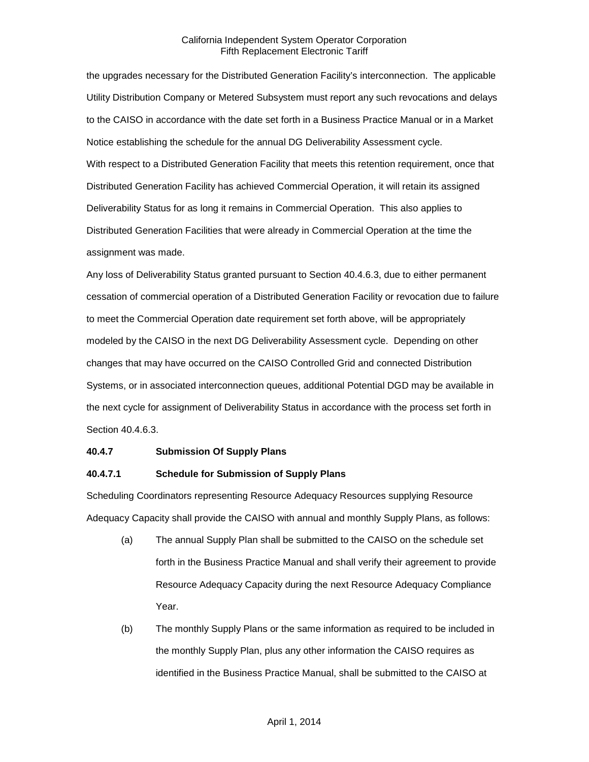the upgrades necessary for the Distributed Generation Facility's interconnection. The applicable Utility Distribution Company or Metered Subsystem must report any such revocations and delays to the CAISO in accordance with the date set forth in a Business Practice Manual or in a Market Notice establishing the schedule for the annual DG Deliverability Assessment cycle. With respect to a Distributed Generation Facility that meets this retention requirement, once that Distributed Generation Facility has achieved Commercial Operation, it will retain its assigned Deliverability Status for as long it remains in Commercial Operation. This also applies to Distributed Generation Facilities that were already in Commercial Operation at the time the assignment was made.

Any loss of Deliverability Status granted pursuant to Section 40.4.6.3, due to either permanent cessation of commercial operation of a Distributed Generation Facility or revocation due to failure to meet the Commercial Operation date requirement set forth above, will be appropriately modeled by the CAISO in the next DG Deliverability Assessment cycle. Depending on other changes that may have occurred on the CAISO Controlled Grid and connected Distribution Systems, or in associated interconnection queues, additional Potential DGD may be available in the next cycle for assignment of Deliverability Status in accordance with the process set forth in Section 40.4.6.3.

#### **40.4.7 Submission Of Supply Plans**

## **40.4.7.1 Schedule for Submission of Supply Plans**

Scheduling Coordinators representing Resource Adequacy Resources supplying Resource Adequacy Capacity shall provide the CAISO with annual and monthly Supply Plans, as follows:

- (a) The annual Supply Plan shall be submitted to the CAISO on the schedule set forth in the Business Practice Manual and shall verify their agreement to provide Resource Adequacy Capacity during the next Resource Adequacy Compliance Year.
- (b) The monthly Supply Plans or the same information as required to be included in the monthly Supply Plan, plus any other information the CAISO requires as identified in the Business Practice Manual, shall be submitted to the CAISO at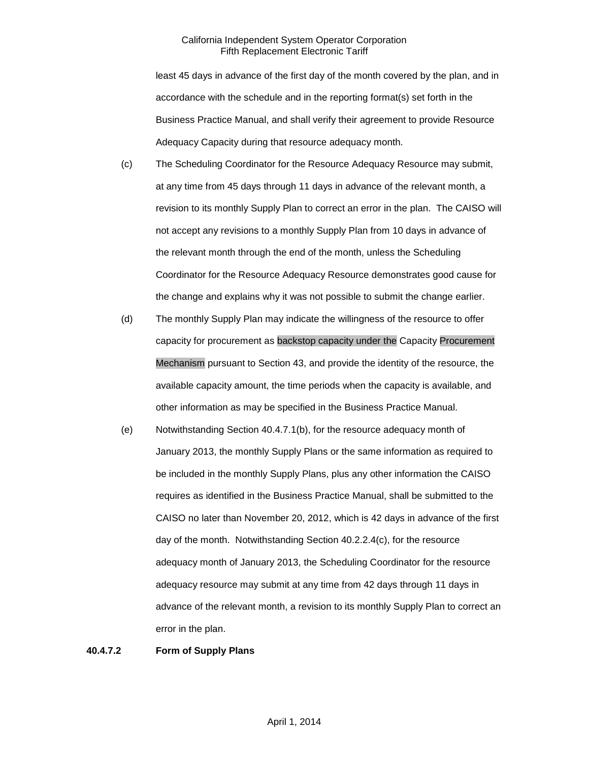least 45 days in advance of the first day of the month covered by the plan, and in accordance with the schedule and in the reporting format(s) set forth in the Business Practice Manual, and shall verify their agreement to provide Resource Adequacy Capacity during that resource adequacy month.

- (c) The Scheduling Coordinator for the Resource Adequacy Resource may submit, at any time from 45 days through 11 days in advance of the relevant month, a revision to its monthly Supply Plan to correct an error in the plan. The CAISO will not accept any revisions to a monthly Supply Plan from 10 days in advance of the relevant month through the end of the month, unless the Scheduling Coordinator for the Resource Adequacy Resource demonstrates good cause for the change and explains why it was not possible to submit the change earlier.
- (d) The monthly Supply Plan may indicate the willingness of the resource to offer capacity for procurement as backstop capacity under the Capacity Procurement Mechanism pursuant to Section 43, and provide the identity of the resource, the available capacity amount, the time periods when the capacity is available, and other information as may be specified in the Business Practice Manual.
- (e) Notwithstanding Section 40.4.7.1(b), for the resource adequacy month of January 2013, the monthly Supply Plans or the same information as required to be included in the monthly Supply Plans, plus any other information the CAISO requires as identified in the Business Practice Manual, shall be submitted to the CAISO no later than November 20, 2012, which is 42 days in advance of the first day of the month. Notwithstanding Section 40.2.2.4(c), for the resource adequacy month of January 2013, the Scheduling Coordinator for the resource adequacy resource may submit at any time from 42 days through 11 days in advance of the relevant month, a revision to its monthly Supply Plan to correct an error in the plan.

#### **40.4.7.2 Form of Supply Plans**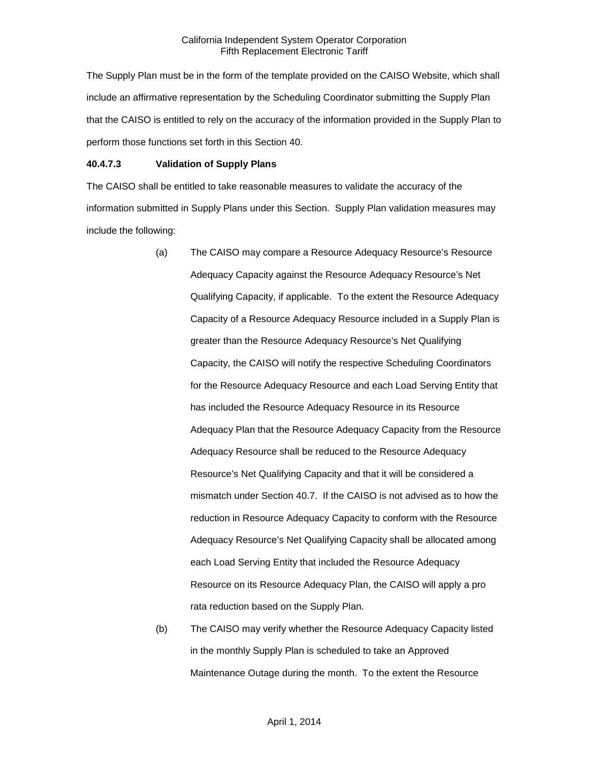The Supply Plan must be in the form of the template provided on the CAISO Website, which shall include an affirmative representation by the Scheduling Coordinator submitting the Supply Plan that the CAISO is entitled to rely on the accuracy of the information provided in the Supply Plan to perform those functions set forth in this Section 40.

## **40.4.7.3 Validation of Supply Plans**

The CAISO shall be entitled to take reasonable measures to validate the accuracy of the information submitted in Supply Plans under this Section. Supply Plan validation measures may include the following:

- (a) The CAISO may compare a Resource Adequacy Resource's Resource Adequacy Capacity against the Resource Adequacy Resource's Net Qualifying Capacity, if applicable. To the extent the Resource Adequacy Capacity of a Resource Adequacy Resource included in a Supply Plan is greater than the Resource Adequacy Resource's Net Qualifying Capacity, the CAISO will notify the respective Scheduling Coordinators for the Resource Adequacy Resource and each Load Serving Entity that has included the Resource Adequacy Resource in its Resource Adequacy Plan that the Resource Adequacy Capacity from the Resource Adequacy Resource shall be reduced to the Resource Adequacy Resource's Net Qualifying Capacity and that it will be considered a mismatch under Section 40.7. If the CAISO is not advised as to how the reduction in Resource Adequacy Capacity to conform with the Resource Adequacy Resource's Net Qualifying Capacity shall be allocated among each Load Serving Entity that included the Resource Adequacy Resource on its Resource Adequacy Plan, the CAISO will apply a pro rata reduction based on the Supply Plan.
- (b) The CAISO may verify whether the Resource Adequacy Capacity listed in the monthly Supply Plan is scheduled to take an Approved Maintenance Outage during the month. To the extent the Resource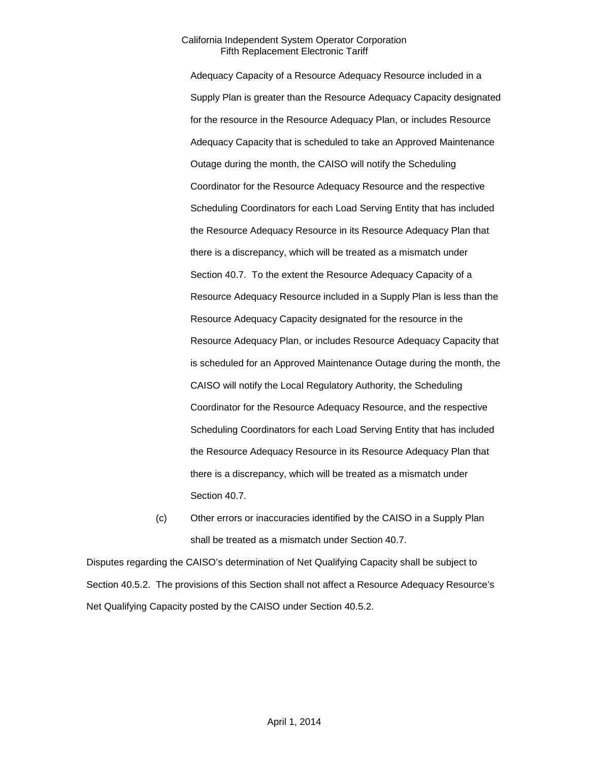Adequacy Capacity of a Resource Adequacy Resource included in a Supply Plan is greater than the Resource Adequacy Capacity designated for the resource in the Resource Adequacy Plan, or includes Resource Adequacy Capacity that is scheduled to take an Approved Maintenance Outage during the month, the CAISO will notify the Scheduling Coordinator for the Resource Adequacy Resource and the respective Scheduling Coordinators for each Load Serving Entity that has included the Resource Adequacy Resource in its Resource Adequacy Plan that there is a discrepancy, which will be treated as a mismatch under Section 40.7. To the extent the Resource Adequacy Capacity of a Resource Adequacy Resource included in a Supply Plan is less than the Resource Adequacy Capacity designated for the resource in the Resource Adequacy Plan, or includes Resource Adequacy Capacity that is scheduled for an Approved Maintenance Outage during the month, the CAISO will notify the Local Regulatory Authority, the Scheduling Coordinator for the Resource Adequacy Resource, and the respective Scheduling Coordinators for each Load Serving Entity that has included the Resource Adequacy Resource in its Resource Adequacy Plan that there is a discrepancy, which will be treated as a mismatch under Section 40.7.

(c) Other errors or inaccuracies identified by the CAISO in a Supply Plan shall be treated as a mismatch under Section 40.7.

Disputes regarding the CAISO's determination of Net Qualifying Capacity shall be subject to Section 40.5.2. The provisions of this Section shall not affect a Resource Adequacy Resource's Net Qualifying Capacity posted by the CAISO under Section 40.5.2.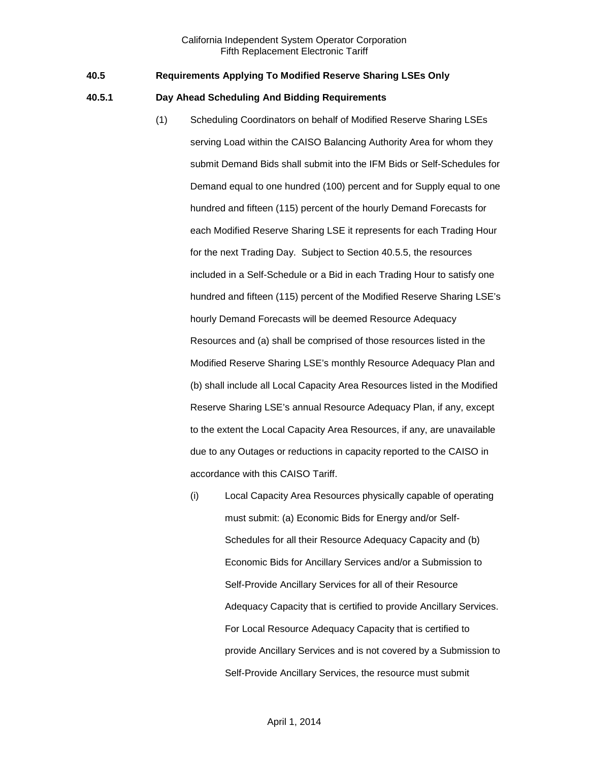## **40.5 Requirements Applying To Modified Reserve Sharing LSEs Only**

#### **40.5.1 Day Ahead Scheduling And Bidding Requirements**

- (1) Scheduling Coordinators on behalf of Modified Reserve Sharing LSEs serving Load within the CAISO Balancing Authority Area for whom they submit Demand Bids shall submit into the IFM Bids or Self-Schedules for Demand equal to one hundred (100) percent and for Supply equal to one hundred and fifteen (115) percent of the hourly Demand Forecasts for each Modified Reserve Sharing LSE it represents for each Trading Hour for the next Trading Day. Subject to Section 40.5.5, the resources included in a Self-Schedule or a Bid in each Trading Hour to satisfy one hundred and fifteen (115) percent of the Modified Reserve Sharing LSE's hourly Demand Forecasts will be deemed Resource Adequacy Resources and (a) shall be comprised of those resources listed in the Modified Reserve Sharing LSE's monthly Resource Adequacy Plan and (b) shall include all Local Capacity Area Resources listed in the Modified Reserve Sharing LSE's annual Resource Adequacy Plan, if any, except to the extent the Local Capacity Area Resources, if any, are unavailable due to any Outages or reductions in capacity reported to the CAISO in accordance with this CAISO Tariff.
	- (i) Local Capacity Area Resources physically capable of operating must submit: (a) Economic Bids for Energy and/or Self-Schedules for all their Resource Adequacy Capacity and (b) Economic Bids for Ancillary Services and/or a Submission to Self-Provide Ancillary Services for all of their Resource Adequacy Capacity that is certified to provide Ancillary Services. For Local Resource Adequacy Capacity that is certified to provide Ancillary Services and is not covered by a Submission to Self-Provide Ancillary Services, the resource must submit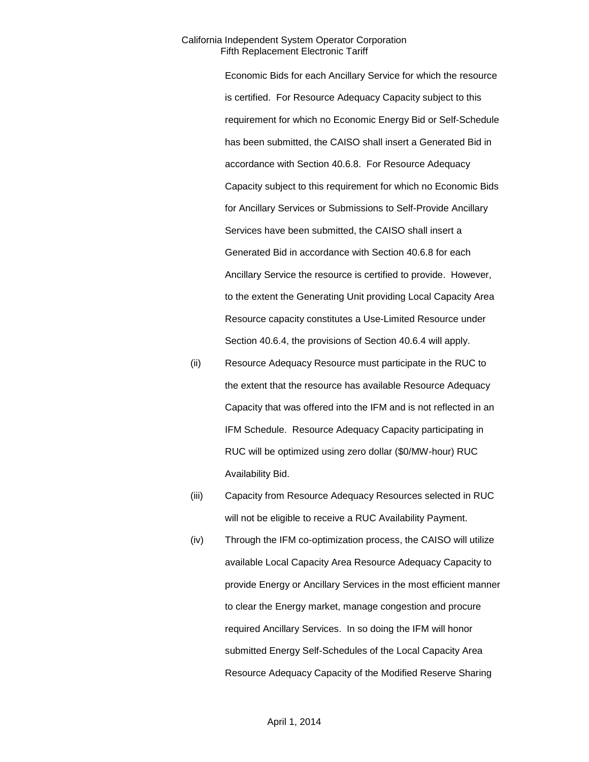Economic Bids for each Ancillary Service for which the resource is certified. For Resource Adequacy Capacity subject to this requirement for which no Economic Energy Bid or Self-Schedule has been submitted, the CAISO shall insert a Generated Bid in accordance with Section 40.6.8. For Resource Adequacy Capacity subject to this requirement for which no Economic Bids for Ancillary Services or Submissions to Self-Provide Ancillary Services have been submitted, the CAISO shall insert a Generated Bid in accordance with Section 40.6.8 for each Ancillary Service the resource is certified to provide. However, to the extent the Generating Unit providing Local Capacity Area Resource capacity constitutes a Use-Limited Resource under Section 40.6.4, the provisions of Section 40.6.4 will apply.

- (ii) Resource Adequacy Resource must participate in the RUC to the extent that the resource has available Resource Adequacy Capacity that was offered into the IFM and is not reflected in an IFM Schedule. Resource Adequacy Capacity participating in RUC will be optimized using zero dollar (\$0/MW-hour) RUC Availability Bid.
- (iii) Capacity from Resource Adequacy Resources selected in RUC will not be eligible to receive a RUC Availability Payment.
- (iv) Through the IFM co-optimization process, the CAISO will utilize available Local Capacity Area Resource Adequacy Capacity to provide Energy or Ancillary Services in the most efficient manner to clear the Energy market, manage congestion and procure required Ancillary Services. In so doing the IFM will honor submitted Energy Self-Schedules of the Local Capacity Area Resource Adequacy Capacity of the Modified Reserve Sharing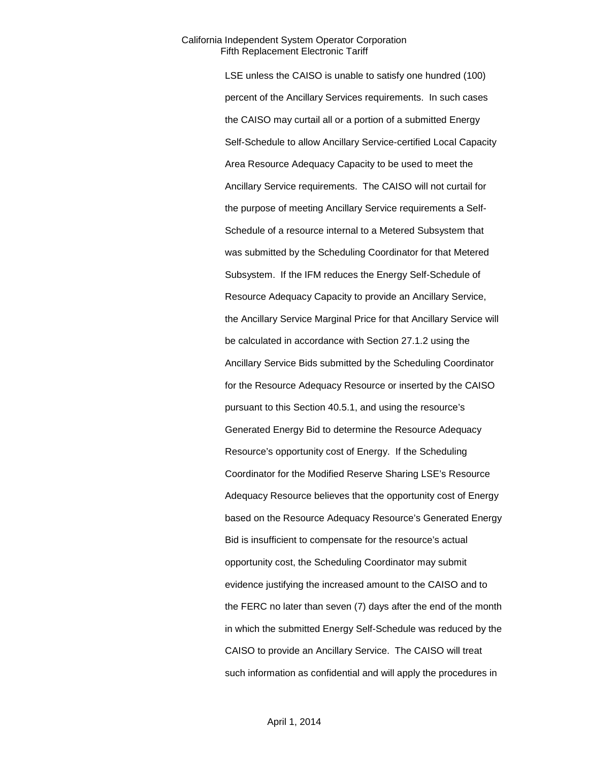LSE unless the CAISO is unable to satisfy one hundred (100) percent of the Ancillary Services requirements. In such cases the CAISO may curtail all or a portion of a submitted Energy Self-Schedule to allow Ancillary Service-certified Local Capacity Area Resource Adequacy Capacity to be used to meet the Ancillary Service requirements. The CAISO will not curtail for the purpose of meeting Ancillary Service requirements a Self-Schedule of a resource internal to a Metered Subsystem that was submitted by the Scheduling Coordinator for that Metered Subsystem. If the IFM reduces the Energy Self-Schedule of Resource Adequacy Capacity to provide an Ancillary Service, the Ancillary Service Marginal Price for that Ancillary Service will be calculated in accordance with Section 27.1.2 using the Ancillary Service Bids submitted by the Scheduling Coordinator for the Resource Adequacy Resource or inserted by the CAISO pursuant to this Section 40.5.1, and using the resource's Generated Energy Bid to determine the Resource Adequacy Resource's opportunity cost of Energy. If the Scheduling Coordinator for the Modified Reserve Sharing LSE's Resource Adequacy Resource believes that the opportunity cost of Energy based on the Resource Adequacy Resource's Generated Energy Bid is insufficient to compensate for the resource's actual opportunity cost, the Scheduling Coordinator may submit evidence justifying the increased amount to the CAISO and to the FERC no later than seven (7) days after the end of the month in which the submitted Energy Self-Schedule was reduced by the CAISO to provide an Ancillary Service. The CAISO will treat such information as confidential and will apply the procedures in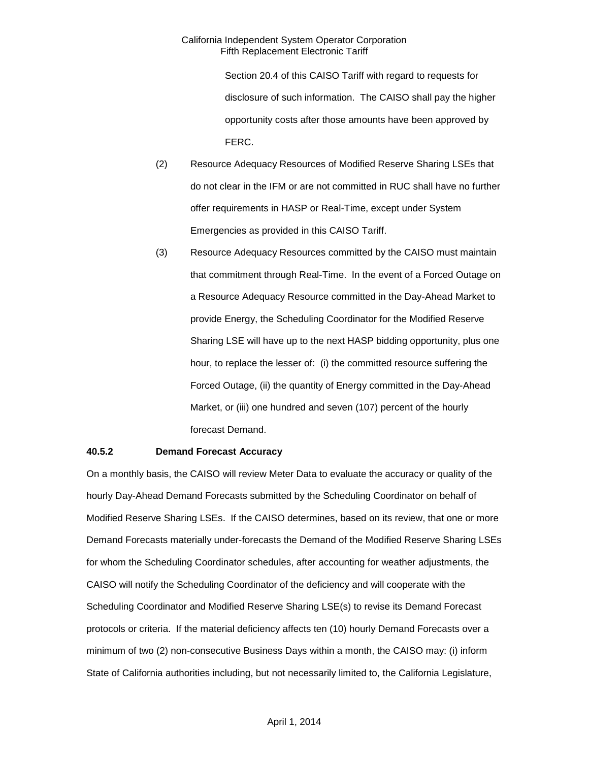Section 20.4 of this CAISO Tariff with regard to requests for disclosure of such information. The CAISO shall pay the higher opportunity costs after those amounts have been approved by FERC.

- (2) Resource Adequacy Resources of Modified Reserve Sharing LSEs that do not clear in the IFM or are not committed in RUC shall have no further offer requirements in HASP or Real-Time, except under System Emergencies as provided in this CAISO Tariff.
- (3) Resource Adequacy Resources committed by the CAISO must maintain that commitment through Real-Time. In the event of a Forced Outage on a Resource Adequacy Resource committed in the Day-Ahead Market to provide Energy, the Scheduling Coordinator for the Modified Reserve Sharing LSE will have up to the next HASP bidding opportunity, plus one hour, to replace the lesser of: (i) the committed resource suffering the Forced Outage, (ii) the quantity of Energy committed in the Day-Ahead Market, or (iii) one hundred and seven (107) percent of the hourly forecast Demand.

## **40.5.2 Demand Forecast Accuracy**

On a monthly basis, the CAISO will review Meter Data to evaluate the accuracy or quality of the hourly Day-Ahead Demand Forecasts submitted by the Scheduling Coordinator on behalf of Modified Reserve Sharing LSEs. If the CAISO determines, based on its review, that one or more Demand Forecasts materially under-forecasts the Demand of the Modified Reserve Sharing LSEs for whom the Scheduling Coordinator schedules, after accounting for weather adjustments, the CAISO will notify the Scheduling Coordinator of the deficiency and will cooperate with the Scheduling Coordinator and Modified Reserve Sharing LSE(s) to revise its Demand Forecast protocols or criteria. If the material deficiency affects ten (10) hourly Demand Forecasts over a minimum of two (2) non-consecutive Business Days within a month, the CAISO may: (i) inform State of California authorities including, but not necessarily limited to, the California Legislature,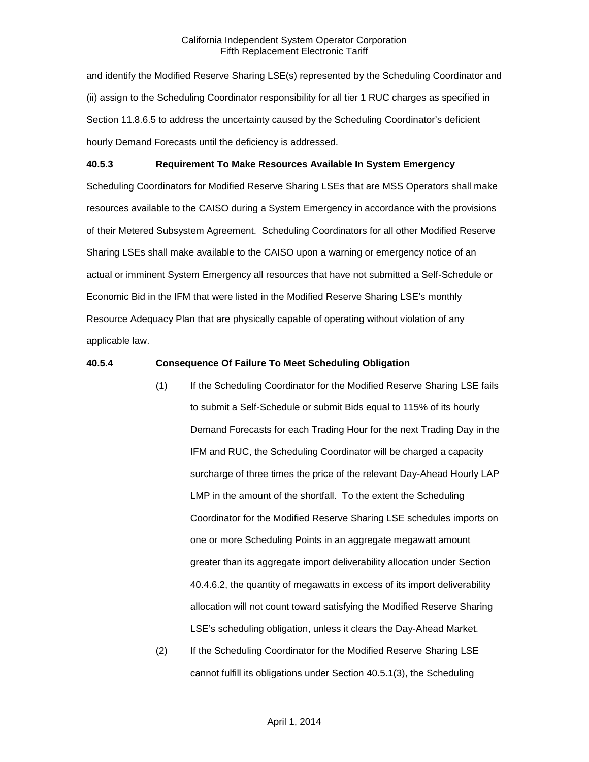and identify the Modified Reserve Sharing LSE(s) represented by the Scheduling Coordinator and (ii) assign to the Scheduling Coordinator responsibility for all tier 1 RUC charges as specified in Section 11.8.6.5 to address the uncertainty caused by the Scheduling Coordinator's deficient hourly Demand Forecasts until the deficiency is addressed.

## **40.5.3 Requirement To Make Resources Available In System Emergency**

Scheduling Coordinators for Modified Reserve Sharing LSEs that are MSS Operators shall make resources available to the CAISO during a System Emergency in accordance with the provisions of their Metered Subsystem Agreement. Scheduling Coordinators for all other Modified Reserve Sharing LSEs shall make available to the CAISO upon a warning or emergency notice of an actual or imminent System Emergency all resources that have not submitted a Self-Schedule or Economic Bid in the IFM that were listed in the Modified Reserve Sharing LSE's monthly Resource Adequacy Plan that are physically capable of operating without violation of any applicable law.

#### **40.5.4 Consequence Of Failure To Meet Scheduling Obligation**

- (1) If the Scheduling Coordinator for the Modified Reserve Sharing LSE fails to submit a Self-Schedule or submit Bids equal to 115% of its hourly Demand Forecasts for each Trading Hour for the next Trading Day in the IFM and RUC, the Scheduling Coordinator will be charged a capacity surcharge of three times the price of the relevant Day-Ahead Hourly LAP LMP in the amount of the shortfall. To the extent the Scheduling Coordinator for the Modified Reserve Sharing LSE schedules imports on one or more Scheduling Points in an aggregate megawatt amount greater than its aggregate import deliverability allocation under Section 40.4.6.2, the quantity of megawatts in excess of its import deliverability allocation will not count toward satisfying the Modified Reserve Sharing LSE's scheduling obligation, unless it clears the Day-Ahead Market.
- (2) If the Scheduling Coordinator for the Modified Reserve Sharing LSE cannot fulfill its obligations under Section 40.5.1(3), the Scheduling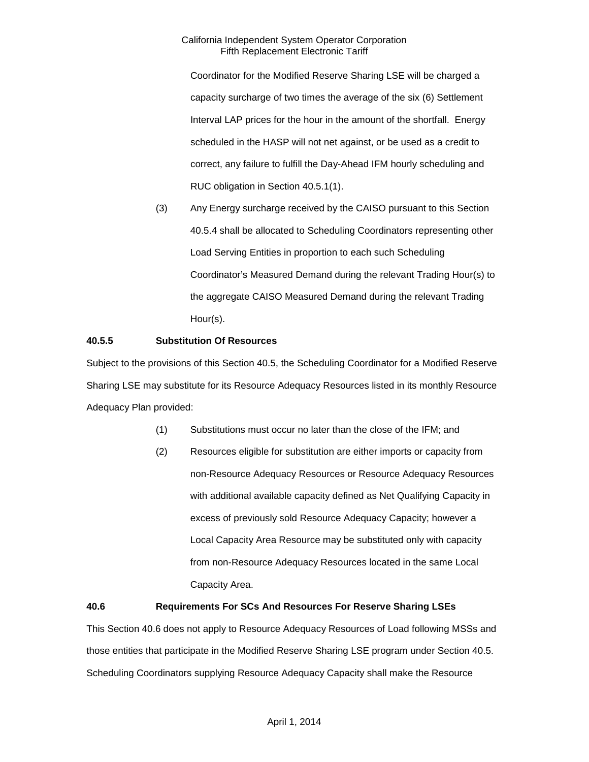Coordinator for the Modified Reserve Sharing LSE will be charged a capacity surcharge of two times the average of the six (6) Settlement Interval LAP prices for the hour in the amount of the shortfall. Energy scheduled in the HASP will not net against, or be used as a credit to correct, any failure to fulfill the Day-Ahead IFM hourly scheduling and RUC obligation in Section 40.5.1(1).

(3) Any Energy surcharge received by the CAISO pursuant to this Section 40.5.4 shall be allocated to Scheduling Coordinators representing other Load Serving Entities in proportion to each such Scheduling Coordinator's Measured Demand during the relevant Trading Hour(s) to the aggregate CAISO Measured Demand during the relevant Trading Hour(s).

# **40.5.5 Substitution Of Resources**

Subject to the provisions of this Section 40.5, the Scheduling Coordinator for a Modified Reserve Sharing LSE may substitute for its Resource Adequacy Resources listed in its monthly Resource Adequacy Plan provided:

- (1) Substitutions must occur no later than the close of the IFM; and
- (2) Resources eligible for substitution are either imports or capacity from non-Resource Adequacy Resources or Resource Adequacy Resources with additional available capacity defined as Net Qualifying Capacity in excess of previously sold Resource Adequacy Capacity; however a Local Capacity Area Resource may be substituted only with capacity from non-Resource Adequacy Resources located in the same Local Capacity Area.

# **40.6 Requirements For SCs And Resources For Reserve Sharing LSEs**

This Section 40.6 does not apply to Resource Adequacy Resources of Load following MSSs and those entities that participate in the Modified Reserve Sharing LSE program under Section 40.5. Scheduling Coordinators supplying Resource Adequacy Capacity shall make the Resource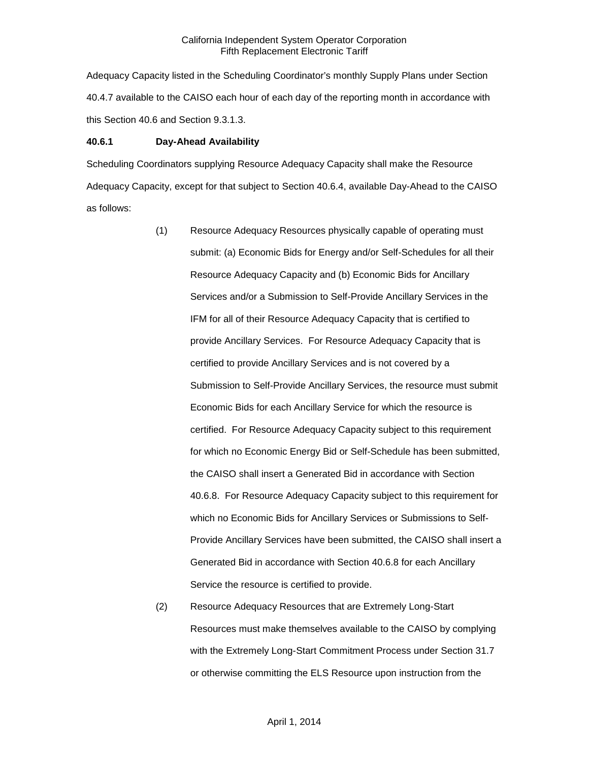Adequacy Capacity listed in the Scheduling Coordinator's monthly Supply Plans under Section 40.4.7 available to the CAISO each hour of each day of the reporting month in accordance with this Section 40.6 and Section 9.3.1.3.

#### **40.6.1 Day-Ahead Availability**

Scheduling Coordinators supplying Resource Adequacy Capacity shall make the Resource Adequacy Capacity, except for that subject to Section 40.6.4, available Day-Ahead to the CAISO as follows:

- (1) Resource Adequacy Resources physically capable of operating must submit: (a) Economic Bids for Energy and/or Self-Schedules for all their Resource Adequacy Capacity and (b) Economic Bids for Ancillary Services and/or a Submission to Self-Provide Ancillary Services in the IFM for all of their Resource Adequacy Capacity that is certified to provide Ancillary Services. For Resource Adequacy Capacity that is certified to provide Ancillary Services and is not covered by a Submission to Self-Provide Ancillary Services, the resource must submit Economic Bids for each Ancillary Service for which the resource is certified. For Resource Adequacy Capacity subject to this requirement for which no Economic Energy Bid or Self-Schedule has been submitted, the CAISO shall insert a Generated Bid in accordance with Section 40.6.8. For Resource Adequacy Capacity subject to this requirement for which no Economic Bids for Ancillary Services or Submissions to Self-Provide Ancillary Services have been submitted, the CAISO shall insert a Generated Bid in accordance with Section 40.6.8 for each Ancillary Service the resource is certified to provide.
- (2) Resource Adequacy Resources that are Extremely Long-Start Resources must make themselves available to the CAISO by complying with the Extremely Long-Start Commitment Process under Section 31.7 or otherwise committing the ELS Resource upon instruction from the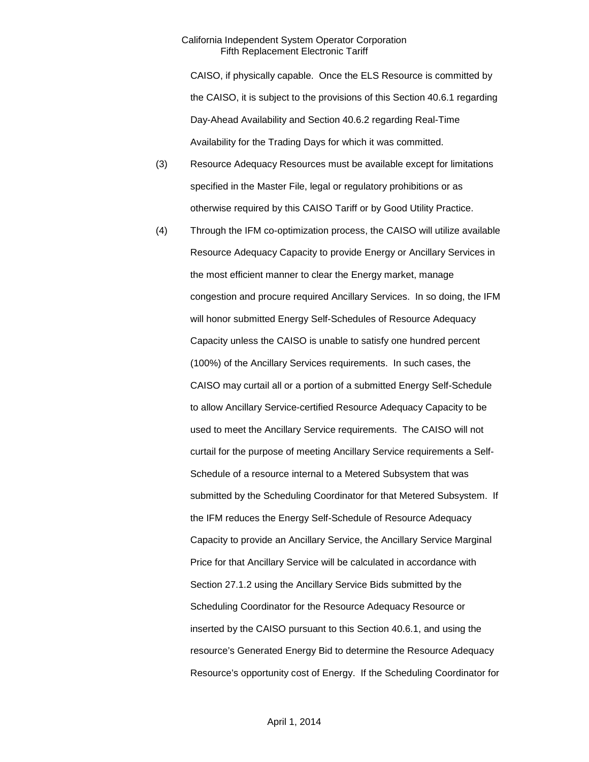CAISO, if physically capable. Once the ELS Resource is committed by the CAISO, it is subject to the provisions of this Section 40.6.1 regarding Day-Ahead Availability and Section 40.6.2 regarding Real-Time Availability for the Trading Days for which it was committed.

- (3) Resource Adequacy Resources must be available except for limitations specified in the Master File, legal or regulatory prohibitions or as otherwise required by this CAISO Tariff or by Good Utility Practice.
- (4) Through the IFM co-optimization process, the CAISO will utilize available Resource Adequacy Capacity to provide Energy or Ancillary Services in the most efficient manner to clear the Energy market, manage congestion and procure required Ancillary Services. In so doing, the IFM will honor submitted Energy Self-Schedules of Resource Adequacy Capacity unless the CAISO is unable to satisfy one hundred percent (100%) of the Ancillary Services requirements. In such cases, the CAISO may curtail all or a portion of a submitted Energy Self-Schedule to allow Ancillary Service-certified Resource Adequacy Capacity to be used to meet the Ancillary Service requirements. The CAISO will not curtail for the purpose of meeting Ancillary Service requirements a Self-Schedule of a resource internal to a Metered Subsystem that was submitted by the Scheduling Coordinator for that Metered Subsystem. If the IFM reduces the Energy Self-Schedule of Resource Adequacy Capacity to provide an Ancillary Service, the Ancillary Service Marginal Price for that Ancillary Service will be calculated in accordance with Section 27.1.2 using the Ancillary Service Bids submitted by the Scheduling Coordinator for the Resource Adequacy Resource or inserted by the CAISO pursuant to this Section 40.6.1, and using the resource's Generated Energy Bid to determine the Resource Adequacy Resource's opportunity cost of Energy. If the Scheduling Coordinator for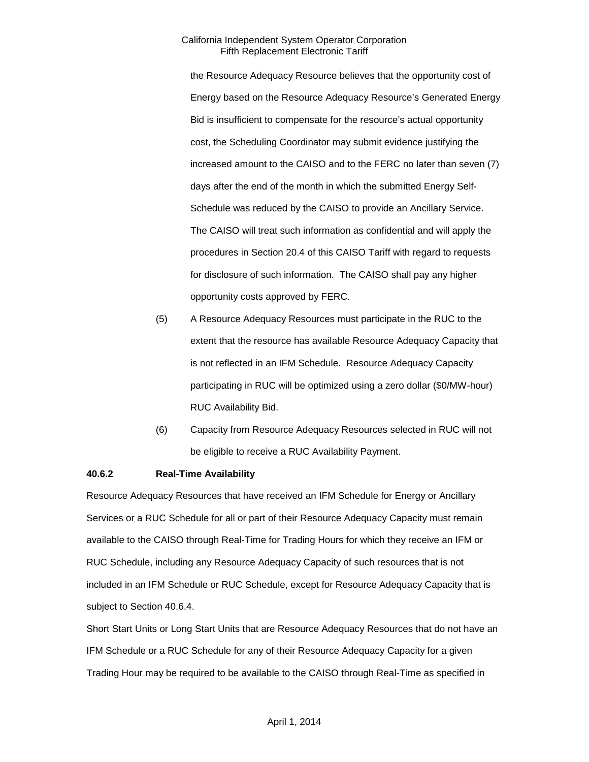the Resource Adequacy Resource believes that the opportunity cost of Energy based on the Resource Adequacy Resource's Generated Energy Bid is insufficient to compensate for the resource's actual opportunity cost, the Scheduling Coordinator may submit evidence justifying the increased amount to the CAISO and to the FERC no later than seven (7) days after the end of the month in which the submitted Energy Self-Schedule was reduced by the CAISO to provide an Ancillary Service. The CAISO will treat such information as confidential and will apply the procedures in Section 20.4 of this CAISO Tariff with regard to requests for disclosure of such information. The CAISO shall pay any higher opportunity costs approved by FERC.

- (5) A Resource Adequacy Resources must participate in the RUC to the extent that the resource has available Resource Adequacy Capacity that is not reflected in an IFM Schedule. Resource Adequacy Capacity participating in RUC will be optimized using a zero dollar (\$0/MW-hour) RUC Availability Bid.
- (6) Capacity from Resource Adequacy Resources selected in RUC will not be eligible to receive a RUC Availability Payment.

## **40.6.2 Real-Time Availability**

Resource Adequacy Resources that have received an IFM Schedule for Energy or Ancillary Services or a RUC Schedule for all or part of their Resource Adequacy Capacity must remain available to the CAISO through Real-Time for Trading Hours for which they receive an IFM or RUC Schedule, including any Resource Adequacy Capacity of such resources that is not included in an IFM Schedule or RUC Schedule, except for Resource Adequacy Capacity that is subject to Section 40.6.4.

Short Start Units or Long Start Units that are Resource Adequacy Resources that do not have an IFM Schedule or a RUC Schedule for any of their Resource Adequacy Capacity for a given Trading Hour may be required to be available to the CAISO through Real-Time as specified in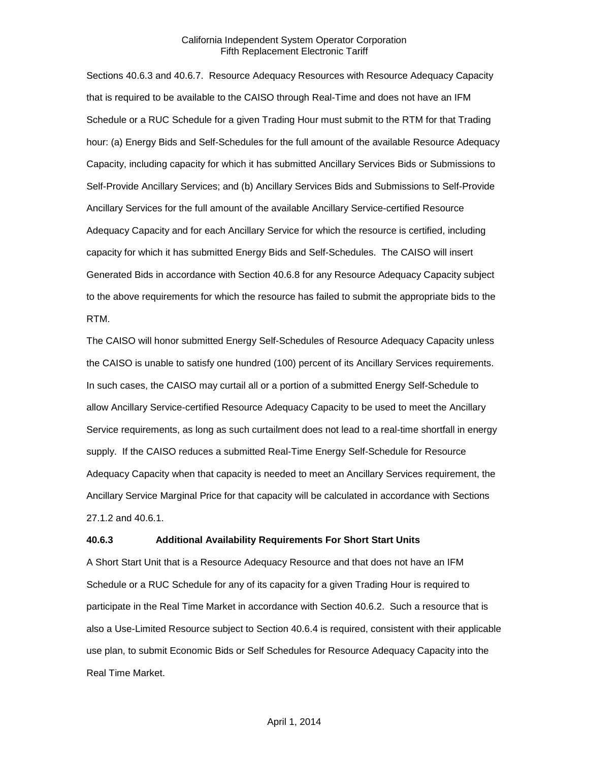Sections 40.6.3 and 40.6.7. Resource Adequacy Resources with Resource Adequacy Capacity that is required to be available to the CAISO through Real-Time and does not have an IFM Schedule or a RUC Schedule for a given Trading Hour must submit to the RTM for that Trading hour: (a) Energy Bids and Self-Schedules for the full amount of the available Resource Adequacy Capacity, including capacity for which it has submitted Ancillary Services Bids or Submissions to Self-Provide Ancillary Services; and (b) Ancillary Services Bids and Submissions to Self-Provide Ancillary Services for the full amount of the available Ancillary Service-certified Resource Adequacy Capacity and for each Ancillary Service for which the resource is certified, including capacity for which it has submitted Energy Bids and Self-Schedules. The CAISO will insert Generated Bids in accordance with Section 40.6.8 for any Resource Adequacy Capacity subject to the above requirements for which the resource has failed to submit the appropriate bids to the RTM.

The CAISO will honor submitted Energy Self-Schedules of Resource Adequacy Capacity unless the CAISO is unable to satisfy one hundred (100) percent of its Ancillary Services requirements. In such cases, the CAISO may curtail all or a portion of a submitted Energy Self-Schedule to allow Ancillary Service-certified Resource Adequacy Capacity to be used to meet the Ancillary Service requirements, as long as such curtailment does not lead to a real-time shortfall in energy supply. If the CAISO reduces a submitted Real-Time Energy Self-Schedule for Resource Adequacy Capacity when that capacity is needed to meet an Ancillary Services requirement, the Ancillary Service Marginal Price for that capacity will be calculated in accordance with Sections 27.1.2 and 40.6.1.

#### **40.6.3 Additional Availability Requirements For Short Start Units**

A Short Start Unit that is a Resource Adequacy Resource and that does not have an IFM Schedule or a RUC Schedule for any of its capacity for a given Trading Hour is required to participate in the Real Time Market in accordance with Section 40.6.2. Such a resource that is also a Use-Limited Resource subject to Section 40.6.4 is required, consistent with their applicable use plan, to submit Economic Bids or Self Schedules for Resource Adequacy Capacity into the Real Time Market.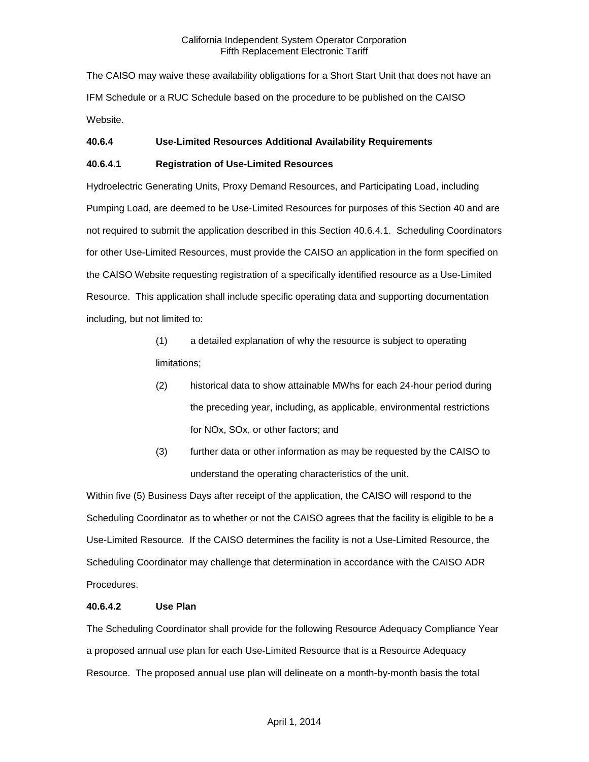The CAISO may waive these availability obligations for a Short Start Unit that does not have an IFM Schedule or a RUC Schedule based on the procedure to be published on the CAISO Website.

# **40.6.4 Use-Limited Resources Additional Availability Requirements**

## **40.6.4.1 Registration of Use-Limited Resources**

Hydroelectric Generating Units, Proxy Demand Resources, and Participating Load, including Pumping Load, are deemed to be Use-Limited Resources for purposes of this Section 40 and are not required to submit the application described in this Section 40.6.4.1. Scheduling Coordinators for other Use-Limited Resources, must provide the CAISO an application in the form specified on the CAISO Website requesting registration of a specifically identified resource as a Use-Limited Resource. This application shall include specific operating data and supporting documentation including, but not limited to:

- (1) a detailed explanation of why the resource is subject to operating limitations;
- (2) historical data to show attainable MWhs for each 24-hour period during the preceding year, including, as applicable, environmental restrictions for NOx, SOx, or other factors; and
- (3) further data or other information as may be requested by the CAISO to understand the operating characteristics of the unit.

Within five (5) Business Days after receipt of the application, the CAISO will respond to the Scheduling Coordinator as to whether or not the CAISO agrees that the facility is eligible to be a Use-Limited Resource. If the CAISO determines the facility is not a Use-Limited Resource, the Scheduling Coordinator may challenge that determination in accordance with the CAISO ADR Procedures.

## **40.6.4.2 Use Plan**

The Scheduling Coordinator shall provide for the following Resource Adequacy Compliance Year a proposed annual use plan for each Use-Limited Resource that is a Resource Adequacy Resource. The proposed annual use plan will delineate on a month-by-month basis the total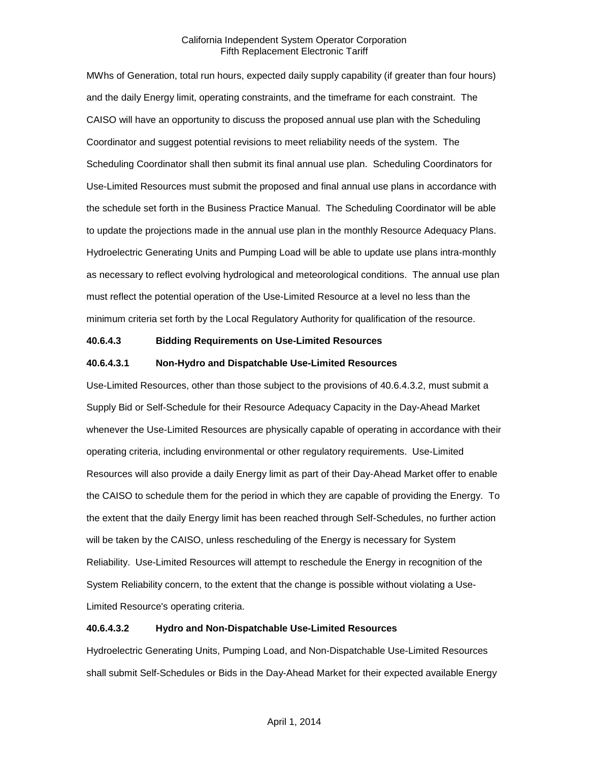MWhs of Generation, total run hours, expected daily supply capability (if greater than four hours) and the daily Energy limit, operating constraints, and the timeframe for each constraint. The CAISO will have an opportunity to discuss the proposed annual use plan with the Scheduling Coordinator and suggest potential revisions to meet reliability needs of the system. The Scheduling Coordinator shall then submit its final annual use plan. Scheduling Coordinators for Use-Limited Resources must submit the proposed and final annual use plans in accordance with the schedule set forth in the Business Practice Manual. The Scheduling Coordinator will be able to update the projections made in the annual use plan in the monthly Resource Adequacy Plans. Hydroelectric Generating Units and Pumping Load will be able to update use plans intra-monthly as necessary to reflect evolving hydrological and meteorological conditions. The annual use plan must reflect the potential operation of the Use-Limited Resource at a level no less than the minimum criteria set forth by the Local Regulatory Authority for qualification of the resource.

## **40.6.4.3 Bidding Requirements on Use-Limited Resources**

## **40.6.4.3.1 Non-Hydro and Dispatchable Use-Limited Resources**

Use-Limited Resources, other than those subject to the provisions of 40.6.4.3.2, must submit a Supply Bid or Self-Schedule for their Resource Adequacy Capacity in the Day-Ahead Market whenever the Use-Limited Resources are physically capable of operating in accordance with their operating criteria, including environmental or other regulatory requirements. Use-Limited Resources will also provide a daily Energy limit as part of their Day-Ahead Market offer to enable the CAISO to schedule them for the period in which they are capable of providing the Energy. To the extent that the daily Energy limit has been reached through Self-Schedules, no further action will be taken by the CAISO, unless rescheduling of the Energy is necessary for System Reliability. Use-Limited Resources will attempt to reschedule the Energy in recognition of the System Reliability concern, to the extent that the change is possible without violating a Use-Limited Resource's operating criteria.

## **40.6.4.3.2 Hydro and Non-Dispatchable Use-Limited Resources**

Hydroelectric Generating Units, Pumping Load, and Non-Dispatchable Use-Limited Resources shall submit Self-Schedules or Bids in the Day-Ahead Market for their expected available Energy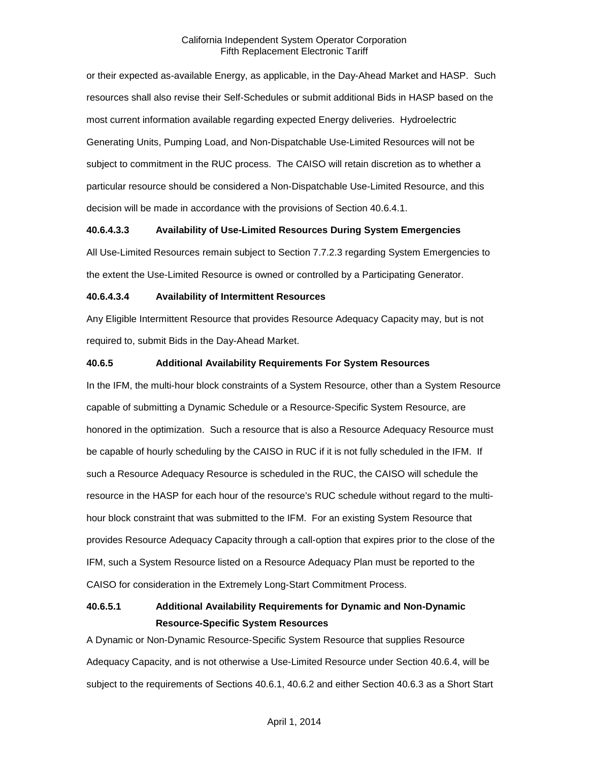or their expected as-available Energy, as applicable, in the Day-Ahead Market and HASP. Such resources shall also revise their Self-Schedules or submit additional Bids in HASP based on the most current information available regarding expected Energy deliveries. Hydroelectric Generating Units, Pumping Load, and Non-Dispatchable Use-Limited Resources will not be subject to commitment in the RUC process. The CAISO will retain discretion as to whether a particular resource should be considered a Non-Dispatchable Use-Limited Resource, and this decision will be made in accordance with the provisions of Section 40.6.4.1.

## **40.6.4.3.3 Availability of Use-Limited Resources During System Emergencies**

All Use-Limited Resources remain subject to Section 7.7.2.3 regarding System Emergencies to the extent the Use-Limited Resource is owned or controlled by a Participating Generator.

# **40.6.4.3.4 Availability of Intermittent Resources**

Any Eligible Intermittent Resource that provides Resource Adequacy Capacity may, but is not required to, submit Bids in the Day-Ahead Market.

# **40.6.5 Additional Availability Requirements For System Resources**

In the IFM, the multi-hour block constraints of a System Resource, other than a System Resource capable of submitting a Dynamic Schedule or a Resource-Specific System Resource, are honored in the optimization. Such a resource that is also a Resource Adequacy Resource must be capable of hourly scheduling by the CAISO in RUC if it is not fully scheduled in the IFM. If such a Resource Adequacy Resource is scheduled in the RUC, the CAISO will schedule the resource in the HASP for each hour of the resource's RUC schedule without regard to the multihour block constraint that was submitted to the IFM. For an existing System Resource that provides Resource Adequacy Capacity through a call-option that expires prior to the close of the IFM, such a System Resource listed on a Resource Adequacy Plan must be reported to the CAISO for consideration in the Extremely Long-Start Commitment Process.

# **40.6.5.1 Additional Availability Requirements for Dynamic and Non-Dynamic Resource-Specific System Resources**

A Dynamic or Non-Dynamic Resource-Specific System Resource that supplies Resource Adequacy Capacity, and is not otherwise a Use-Limited Resource under Section 40.6.4, will be subject to the requirements of Sections 40.6.1, 40.6.2 and either Section 40.6.3 as a Short Start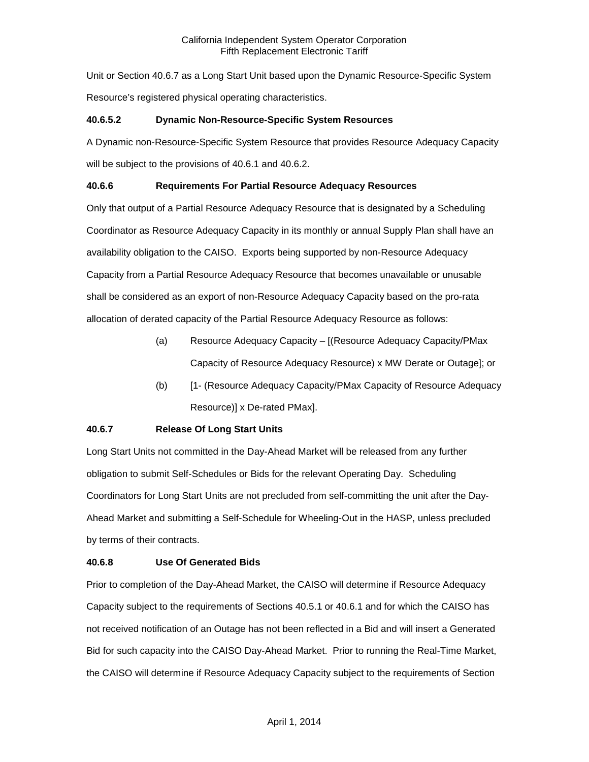Unit or Section 40.6.7 as a Long Start Unit based upon the Dynamic Resource-Specific System Resource's registered physical operating characteristics.

# **40.6.5.2 Dynamic Non-Resource-Specific System Resources**

A Dynamic non-Resource-Specific System Resource that provides Resource Adequacy Capacity will be subject to the provisions of 40.6.1 and 40.6.2.

# **40.6.6 Requirements For Partial Resource Adequacy Resources**

Only that output of a Partial Resource Adequacy Resource that is designated by a Scheduling Coordinator as Resource Adequacy Capacity in its monthly or annual Supply Plan shall have an availability obligation to the CAISO. Exports being supported by non-Resource Adequacy Capacity from a Partial Resource Adequacy Resource that becomes unavailable or unusable shall be considered as an export of non-Resource Adequacy Capacity based on the pro-rata allocation of derated capacity of the Partial Resource Adequacy Resource as follows:

- (a) Resource Adequacy Capacity [(Resource Adequacy Capacity/PMax Capacity of Resource Adequacy Resource) x MW Derate or Outage]; or
- (b) [1- (Resource Adequacy Capacity/PMax Capacity of Resource Adequacy Resource)] x De-rated PMax].

# **40.6.7 Release Of Long Start Units**

Long Start Units not committed in the Day-Ahead Market will be released from any further obligation to submit Self-Schedules or Bids for the relevant Operating Day. Scheduling Coordinators for Long Start Units are not precluded from self-committing the unit after the Day-Ahead Market and submitting a Self-Schedule for Wheeling-Out in the HASP, unless precluded by terms of their contracts.

# **40.6.8 Use Of Generated Bids**

Prior to completion of the Day-Ahead Market, the CAISO will determine if Resource Adequacy Capacity subject to the requirements of Sections 40.5.1 or 40.6.1 and for which the CAISO has not received notification of an Outage has not been reflected in a Bid and will insert a Generated Bid for such capacity into the CAISO Day-Ahead Market. Prior to running the Real-Time Market, the CAISO will determine if Resource Adequacy Capacity subject to the requirements of Section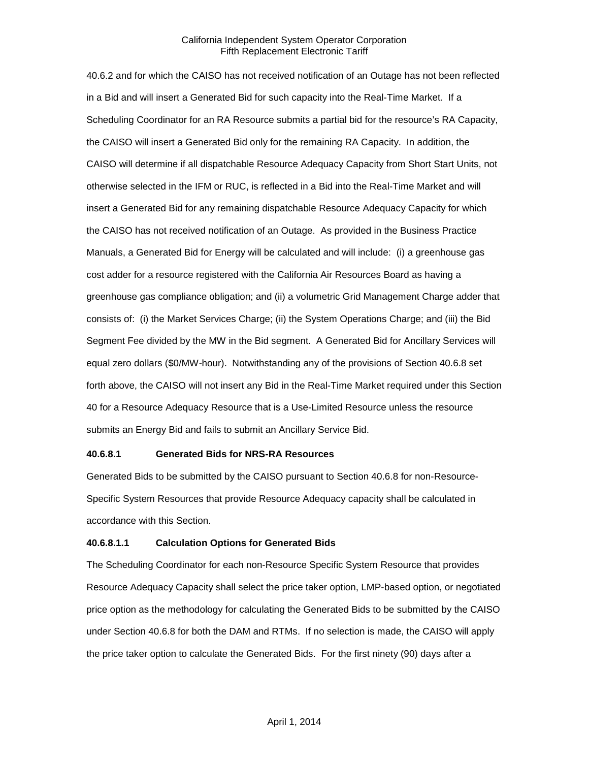40.6.2 and for which the CAISO has not received notification of an Outage has not been reflected in a Bid and will insert a Generated Bid for such capacity into the Real-Time Market. If a Scheduling Coordinator for an RA Resource submits a partial bid for the resource's RA Capacity, the CAISO will insert a Generated Bid only for the remaining RA Capacity. In addition, the CAISO will determine if all dispatchable Resource Adequacy Capacity from Short Start Units, not otherwise selected in the IFM or RUC, is reflected in a Bid into the Real-Time Market and will insert a Generated Bid for any remaining dispatchable Resource Adequacy Capacity for which the CAISO has not received notification of an Outage. As provided in the Business Practice Manuals, a Generated Bid for Energy will be calculated and will include: (i) a greenhouse gas cost adder for a resource registered with the California Air Resources Board as having a greenhouse gas compliance obligation; and (ii) a volumetric Grid Management Charge adder that consists of: (i) the Market Services Charge; (ii) the System Operations Charge; and (iii) the Bid Segment Fee divided by the MW in the Bid segment. A Generated Bid for Ancillary Services will equal zero dollars (\$0/MW-hour). Notwithstanding any of the provisions of Section 40.6.8 set forth above, the CAISO will not insert any Bid in the Real-Time Market required under this Section 40 for a Resource Adequacy Resource that is a Use-Limited Resource unless the resource submits an Energy Bid and fails to submit an Ancillary Service Bid.

## **40.6.8.1 Generated Bids for NRS-RA Resources**

Generated Bids to be submitted by the CAISO pursuant to Section 40.6.8 for non-Resource-Specific System Resources that provide Resource Adequacy capacity shall be calculated in accordance with this Section.

## **40.6.8.1.1 Calculation Options for Generated Bids**

The Scheduling Coordinator for each non-Resource Specific System Resource that provides Resource Adequacy Capacity shall select the price taker option, LMP-based option, or negotiated price option as the methodology for calculating the Generated Bids to be submitted by the CAISO under Section 40.6.8 for both the DAM and RTMs. If no selection is made, the CAISO will apply the price taker option to calculate the Generated Bids. For the first ninety (90) days after a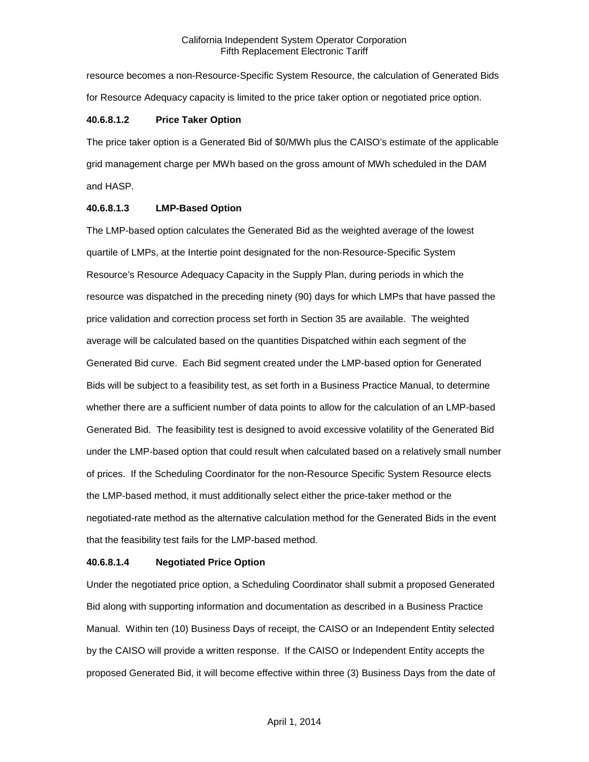resource becomes a non-Resource-Specific System Resource, the calculation of Generated Bids for Resource Adequacy capacity is limited to the price taker option or negotiated price option.

## **40.6.8.1.2 Price Taker Option**

The price taker option is a Generated Bid of \$0/MWh plus the CAISO's estimate of the applicable grid management charge per MWh based on the gross amount of MWh scheduled in the DAM and HASP.

## **40.6.8.1.3 LMP-Based Option**

The LMP-based option calculates the Generated Bid as the weighted average of the lowest quartile of LMPs, at the Intertie point designated for the non-Resource-Specific System Resource's Resource Adequacy Capacity in the Supply Plan, during periods in which the resource was dispatched in the preceding ninety (90) days for which LMPs that have passed the price validation and correction process set forth in Section 35 are available. The weighted average will be calculated based on the quantities Dispatched within each segment of the Generated Bid curve. Each Bid segment created under the LMP-based option for Generated Bids will be subject to a feasibility test, as set forth in a Business Practice Manual, to determine whether there are a sufficient number of data points to allow for the calculation of an LMP-based Generated Bid. The feasibility test is designed to avoid excessive volatility of the Generated Bid under the LMP-based option that could result when calculated based on a relatively small number of prices. If the Scheduling Coordinator for the non-Resource Specific System Resource elects the LMP-based method, it must additionally select either the price-taker method or the negotiated-rate method as the alternative calculation method for the Generated Bids in the event that the feasibility test fails for the LMP-based method.

## **40.6.8.1.4 Negotiated Price Option**

Under the negotiated price option, a Scheduling Coordinator shall submit a proposed Generated Bid along with supporting information and documentation as described in a Business Practice Manual. Within ten (10) Business Days of receipt, the CAISO or an Independent Entity selected by the CAISO will provide a written response. If the CAISO or Independent Entity accepts the proposed Generated Bid, it will become effective within three (3) Business Days from the date of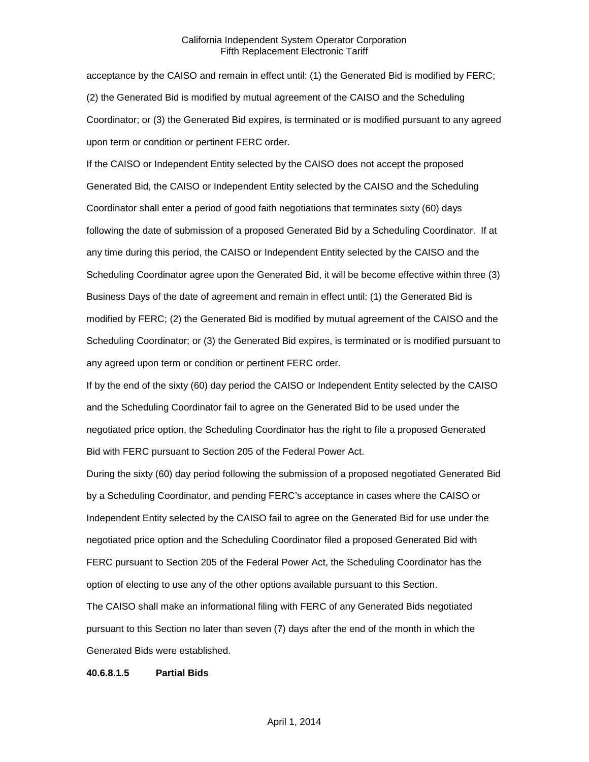acceptance by the CAISO and remain in effect until: (1) the Generated Bid is modified by FERC; (2) the Generated Bid is modified by mutual agreement of the CAISO and the Scheduling Coordinator; or (3) the Generated Bid expires, is terminated or is modified pursuant to any agreed upon term or condition or pertinent FERC order.

If the CAISO or Independent Entity selected by the CAISO does not accept the proposed Generated Bid, the CAISO or Independent Entity selected by the CAISO and the Scheduling Coordinator shall enter a period of good faith negotiations that terminates sixty (60) days following the date of submission of a proposed Generated Bid by a Scheduling Coordinator. If at any time during this period, the CAISO or Independent Entity selected by the CAISO and the Scheduling Coordinator agree upon the Generated Bid, it will be become effective within three (3) Business Days of the date of agreement and remain in effect until: (1) the Generated Bid is modified by FERC; (2) the Generated Bid is modified by mutual agreement of the CAISO and the Scheduling Coordinator; or (3) the Generated Bid expires, is terminated or is modified pursuant to any agreed upon term or condition or pertinent FERC order.

If by the end of the sixty (60) day period the CAISO or Independent Entity selected by the CAISO and the Scheduling Coordinator fail to agree on the Generated Bid to be used under the negotiated price option, the Scheduling Coordinator has the right to file a proposed Generated Bid with FERC pursuant to Section 205 of the Federal Power Act.

During the sixty (60) day period following the submission of a proposed negotiated Generated Bid by a Scheduling Coordinator, and pending FERC's acceptance in cases where the CAISO or Independent Entity selected by the CAISO fail to agree on the Generated Bid for use under the negotiated price option and the Scheduling Coordinator filed a proposed Generated Bid with FERC pursuant to Section 205 of the Federal Power Act, the Scheduling Coordinator has the option of electing to use any of the other options available pursuant to this Section.

The CAISO shall make an informational filing with FERC of any Generated Bids negotiated pursuant to this Section no later than seven (7) days after the end of the month in which the Generated Bids were established.

#### **40.6.8.1.5 Partial Bids**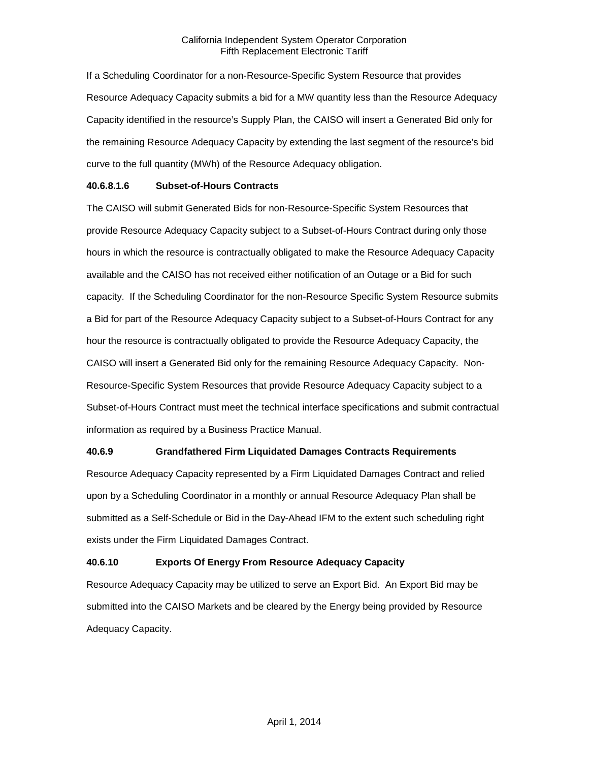If a Scheduling Coordinator for a non-Resource-Specific System Resource that provides Resource Adequacy Capacity submits a bid for a MW quantity less than the Resource Adequacy Capacity identified in the resource's Supply Plan, the CAISO will insert a Generated Bid only for the remaining Resource Adequacy Capacity by extending the last segment of the resource's bid curve to the full quantity (MWh) of the Resource Adequacy obligation.

# **40.6.8.1.6 Subset-of-Hours Contracts**

The CAISO will submit Generated Bids for non-Resource-Specific System Resources that provide Resource Adequacy Capacity subject to a Subset-of-Hours Contract during only those hours in which the resource is contractually obligated to make the Resource Adequacy Capacity available and the CAISO has not received either notification of an Outage or a Bid for such capacity. If the Scheduling Coordinator for the non-Resource Specific System Resource submits a Bid for part of the Resource Adequacy Capacity subject to a Subset-of-Hours Contract for any hour the resource is contractually obligated to provide the Resource Adequacy Capacity, the CAISO will insert a Generated Bid only for the remaining Resource Adequacy Capacity. Non-Resource-Specific System Resources that provide Resource Adequacy Capacity subject to a Subset-of-Hours Contract must meet the technical interface specifications and submit contractual information as required by a Business Practice Manual.

# **40.6.9 Grandfathered Firm Liquidated Damages Contracts Requirements**

Resource Adequacy Capacity represented by a Firm Liquidated Damages Contract and relied upon by a Scheduling Coordinator in a monthly or annual Resource Adequacy Plan shall be submitted as a Self-Schedule or Bid in the Day-Ahead IFM to the extent such scheduling right exists under the Firm Liquidated Damages Contract.

# **40.6.10 Exports Of Energy From Resource Adequacy Capacity**

Resource Adequacy Capacity may be utilized to serve an Export Bid. An Export Bid may be submitted into the CAISO Markets and be cleared by the Energy being provided by Resource Adequacy Capacity.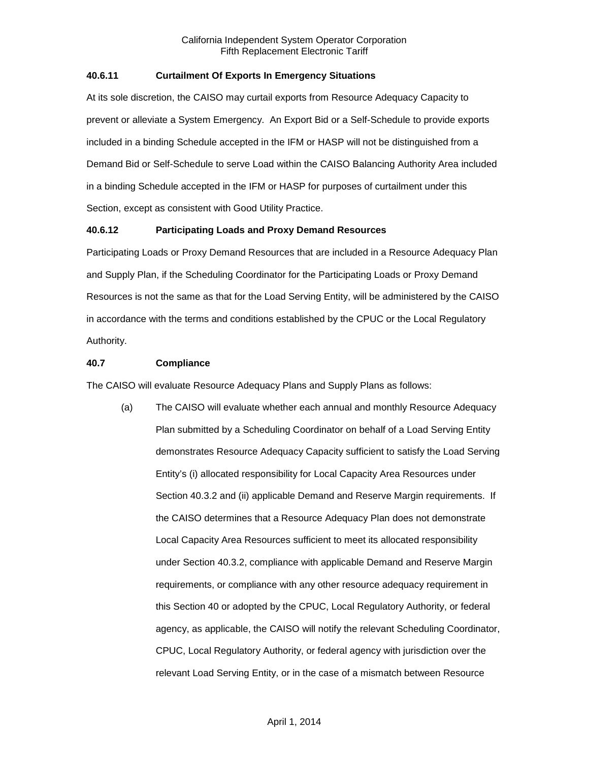# **40.6.11 Curtailment Of Exports In Emergency Situations**

At its sole discretion, the CAISO may curtail exports from Resource Adequacy Capacity to prevent or alleviate a System Emergency. An Export Bid or a Self-Schedule to provide exports included in a binding Schedule accepted in the IFM or HASP will not be distinguished from a Demand Bid or Self-Schedule to serve Load within the CAISO Balancing Authority Area included in a binding Schedule accepted in the IFM or HASP for purposes of curtailment under this Section, except as consistent with Good Utility Practice.

# **40.6.12 Participating Loads and Proxy Demand Resources**

Participating Loads or Proxy Demand Resources that are included in a Resource Adequacy Plan and Supply Plan, if the Scheduling Coordinator for the Participating Loads or Proxy Demand Resources is not the same as that for the Load Serving Entity, will be administered by the CAISO in accordance with the terms and conditions established by the CPUC or the Local Regulatory Authority.

# **40.7 Compliance**

The CAISO will evaluate Resource Adequacy Plans and Supply Plans as follows:

(a) The CAISO will evaluate whether each annual and monthly Resource Adequacy Plan submitted by a Scheduling Coordinator on behalf of a Load Serving Entity demonstrates Resource Adequacy Capacity sufficient to satisfy the Load Serving Entity's (i) allocated responsibility for Local Capacity Area Resources under Section 40.3.2 and (ii) applicable Demand and Reserve Margin requirements. If the CAISO determines that a Resource Adequacy Plan does not demonstrate Local Capacity Area Resources sufficient to meet its allocated responsibility under Section 40.3.2, compliance with applicable Demand and Reserve Margin requirements, or compliance with any other resource adequacy requirement in this Section 40 or adopted by the CPUC, Local Regulatory Authority, or federal agency, as applicable, the CAISO will notify the relevant Scheduling Coordinator, CPUC, Local Regulatory Authority, or federal agency with jurisdiction over the relevant Load Serving Entity, or in the case of a mismatch between Resource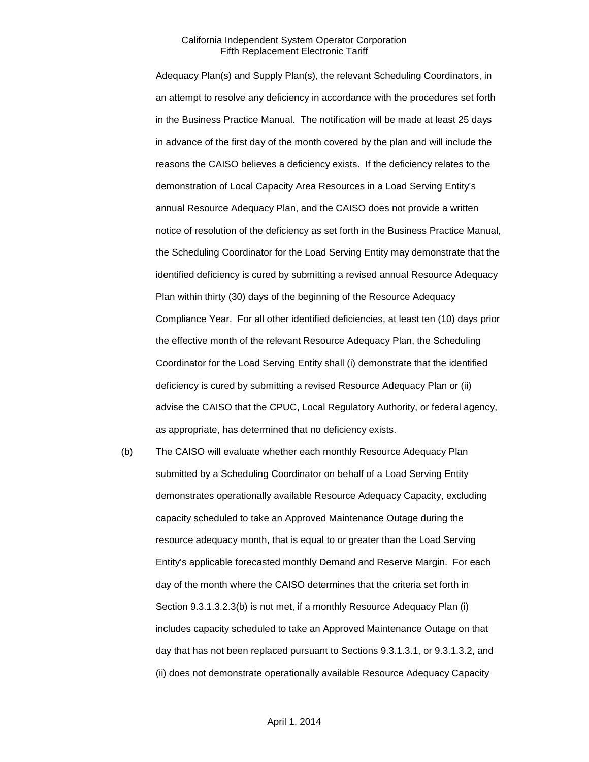Adequacy Plan(s) and Supply Plan(s), the relevant Scheduling Coordinators, in an attempt to resolve any deficiency in accordance with the procedures set forth in the Business Practice Manual. The notification will be made at least 25 days in advance of the first day of the month covered by the plan and will include the reasons the CAISO believes a deficiency exists. If the deficiency relates to the demonstration of Local Capacity Area Resources in a Load Serving Entity's annual Resource Adequacy Plan, and the CAISO does not provide a written notice of resolution of the deficiency as set forth in the Business Practice Manual, the Scheduling Coordinator for the Load Serving Entity may demonstrate that the identified deficiency is cured by submitting a revised annual Resource Adequacy Plan within thirty (30) days of the beginning of the Resource Adequacy Compliance Year. For all other identified deficiencies, at least ten (10) days prior the effective month of the relevant Resource Adequacy Plan, the Scheduling Coordinator for the Load Serving Entity shall (i) demonstrate that the identified deficiency is cured by submitting a revised Resource Adequacy Plan or (ii) advise the CAISO that the CPUC, Local Regulatory Authority, or federal agency, as appropriate, has determined that no deficiency exists.

(b) The CAISO will evaluate whether each monthly Resource Adequacy Plan submitted by a Scheduling Coordinator on behalf of a Load Serving Entity demonstrates operationally available Resource Adequacy Capacity, excluding capacity scheduled to take an Approved Maintenance Outage during the resource adequacy month, that is equal to or greater than the Load Serving Entity's applicable forecasted monthly Demand and Reserve Margin. For each day of the month where the CAISO determines that the criteria set forth in Section 9.3.1.3.2.3(b) is not met, if a monthly Resource Adequacy Plan (i) includes capacity scheduled to take an Approved Maintenance Outage on that day that has not been replaced pursuant to Sections 9.3.1.3.1, or 9.3.1.3.2, and (ii) does not demonstrate operationally available Resource Adequacy Capacity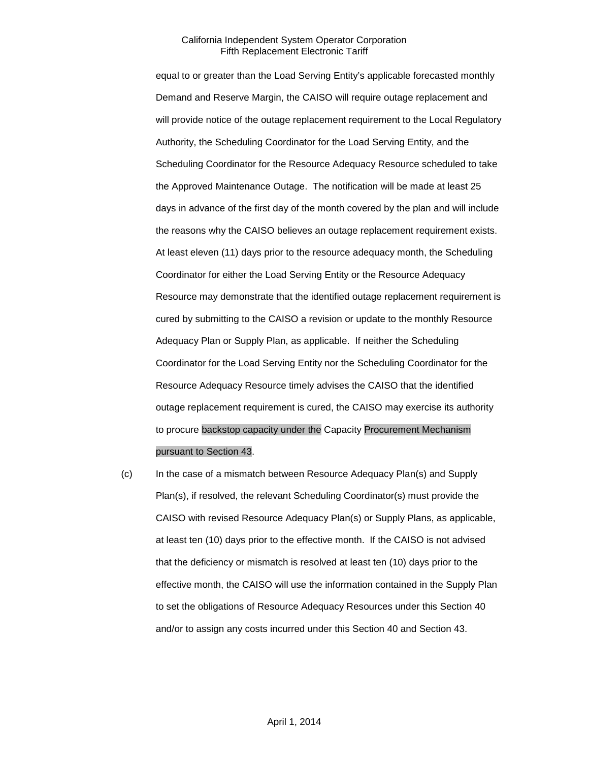equal to or greater than the Load Serving Entity's applicable forecasted monthly Demand and Reserve Margin, the CAISO will require outage replacement and will provide notice of the outage replacement requirement to the Local Regulatory Authority, the Scheduling Coordinator for the Load Serving Entity, and the Scheduling Coordinator for the Resource Adequacy Resource scheduled to take the Approved Maintenance Outage. The notification will be made at least 25 days in advance of the first day of the month covered by the plan and will include the reasons why the CAISO believes an outage replacement requirement exists. At least eleven (11) days prior to the resource adequacy month, the Scheduling Coordinator for either the Load Serving Entity or the Resource Adequacy Resource may demonstrate that the identified outage replacement requirement is cured by submitting to the CAISO a revision or update to the monthly Resource Adequacy Plan or Supply Plan, as applicable. If neither the Scheduling Coordinator for the Load Serving Entity nor the Scheduling Coordinator for the Resource Adequacy Resource timely advises the CAISO that the identified outage replacement requirement is cured, the CAISO may exercise its authority to procure backstop capacity under the Capacity Procurement Mechanism pursuant to Section 43.

(c) In the case of a mismatch between Resource Adequacy Plan(s) and Supply Plan(s), if resolved, the relevant Scheduling Coordinator(s) must provide the CAISO with revised Resource Adequacy Plan(s) or Supply Plans, as applicable, at least ten (10) days prior to the effective month. If the CAISO is not advised that the deficiency or mismatch is resolved at least ten (10) days prior to the effective month, the CAISO will use the information contained in the Supply Plan to set the obligations of Resource Adequacy Resources under this Section 40 and/or to assign any costs incurred under this Section 40 and Section 43.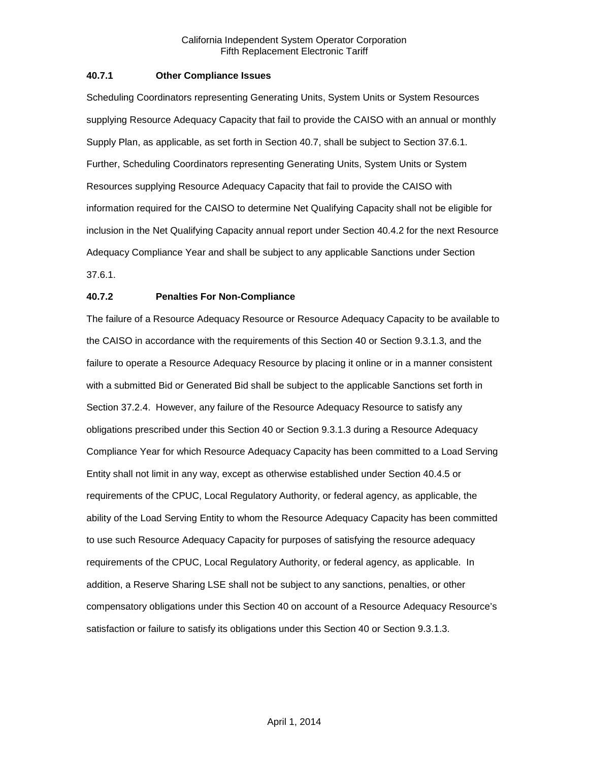## **40.7.1 Other Compliance Issues**

Scheduling Coordinators representing Generating Units, System Units or System Resources supplying Resource Adequacy Capacity that fail to provide the CAISO with an annual or monthly Supply Plan, as applicable, as set forth in Section 40.7, shall be subject to Section 37.6.1. Further, Scheduling Coordinators representing Generating Units, System Units or System Resources supplying Resource Adequacy Capacity that fail to provide the CAISO with information required for the CAISO to determine Net Qualifying Capacity shall not be eligible for inclusion in the Net Qualifying Capacity annual report under Section 40.4.2 for the next Resource Adequacy Compliance Year and shall be subject to any applicable Sanctions under Section 37.6.1.

# **40.7.2 Penalties For Non-Compliance**

The failure of a Resource Adequacy Resource or Resource Adequacy Capacity to be available to the CAISO in accordance with the requirements of this Section 40 or Section 9.3.1.3, and the failure to operate a Resource Adequacy Resource by placing it online or in a manner consistent with a submitted Bid or Generated Bid shall be subject to the applicable Sanctions set forth in Section 37.2.4. However, any failure of the Resource Adequacy Resource to satisfy any obligations prescribed under this Section 40 or Section 9.3.1.3 during a Resource Adequacy Compliance Year for which Resource Adequacy Capacity has been committed to a Load Serving Entity shall not limit in any way, except as otherwise established under Section 40.4.5 or requirements of the CPUC, Local Regulatory Authority, or federal agency, as applicable, the ability of the Load Serving Entity to whom the Resource Adequacy Capacity has been committed to use such Resource Adequacy Capacity for purposes of satisfying the resource adequacy requirements of the CPUC, Local Regulatory Authority, or federal agency, as applicable. In addition, a Reserve Sharing LSE shall not be subject to any sanctions, penalties, or other compensatory obligations under this Section 40 on account of a Resource Adequacy Resource's satisfaction or failure to satisfy its obligations under this Section 40 or Section 9.3.1.3.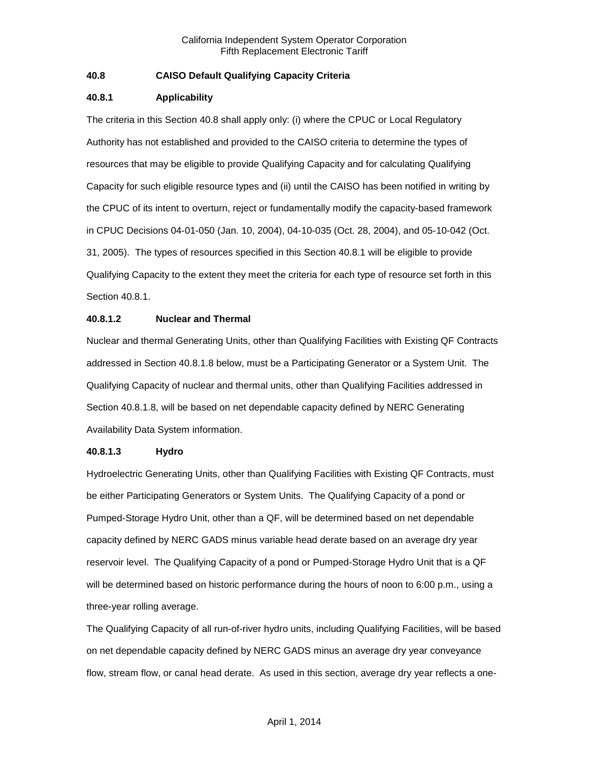# **40.8 CAISO Default Qualifying Capacity Criteria**

## **40.8.1 Applicability**

The criteria in this Section 40.8 shall apply only: (i) where the CPUC or Local Regulatory Authority has not established and provided to the CAISO criteria to determine the types of resources that may be eligible to provide Qualifying Capacity and for calculating Qualifying Capacity for such eligible resource types and (ii) until the CAISO has been notified in writing by the CPUC of its intent to overturn, reject or fundamentally modify the capacity-based framework in CPUC Decisions 04-01-050 (Jan. 10, 2004), 04-10-035 (Oct. 28, 2004), and 05-10-042 (Oct. 31, 2005). The types of resources specified in this Section 40.8.1 will be eligible to provide Qualifying Capacity to the extent they meet the criteria for each type of resource set forth in this Section 40.8.1.

## **40.8.1.2 Nuclear and Thermal**

Nuclear and thermal Generating Units, other than Qualifying Facilities with Existing QF Contracts addressed in Section 40.8.1.8 below, must be a Participating Generator or a System Unit. The Qualifying Capacity of nuclear and thermal units, other than Qualifying Facilities addressed in Section 40.8.1.8, will be based on net dependable capacity defined by NERC Generating Availability Data System information.

## **40.8.1.3 Hydro**

Hydroelectric Generating Units, other than Qualifying Facilities with Existing QF Contracts, must be either Participating Generators or System Units. The Qualifying Capacity of a pond or Pumped-Storage Hydro Unit, other than a QF, will be determined based on net dependable capacity defined by NERC GADS minus variable head derate based on an average dry year reservoir level. The Qualifying Capacity of a pond or Pumped-Storage Hydro Unit that is a QF will be determined based on historic performance during the hours of noon to 6:00 p.m., using a three-year rolling average.

The Qualifying Capacity of all run-of-river hydro units, including Qualifying Facilities, will be based on net dependable capacity defined by NERC GADS minus an average dry year conveyance flow, stream flow, or canal head derate. As used in this section, average dry year reflects a one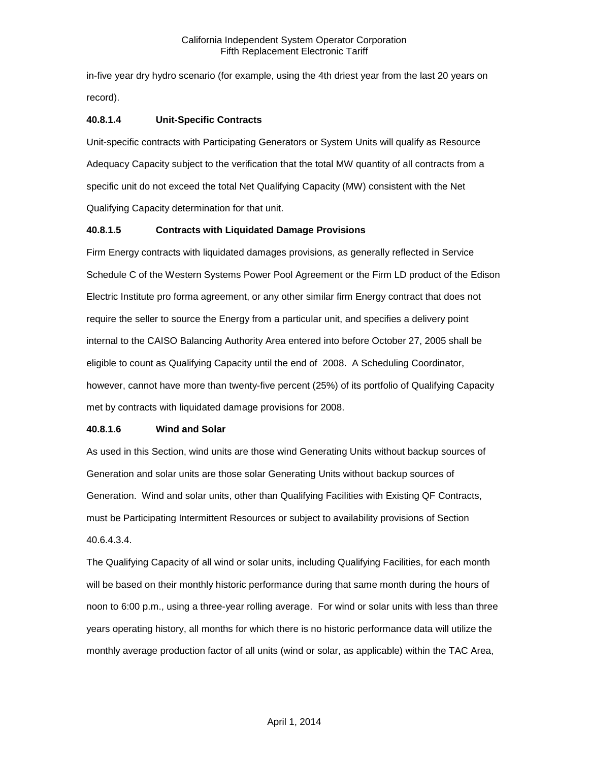in-five year dry hydro scenario (for example, using the 4th driest year from the last 20 years on record).

# **40.8.1.4 Unit-Specific Contracts**

Unit-specific contracts with Participating Generators or System Units will qualify as Resource Adequacy Capacity subject to the verification that the total MW quantity of all contracts from a specific unit do not exceed the total Net Qualifying Capacity (MW) consistent with the Net Qualifying Capacity determination for that unit.

# **40.8.1.5 Contracts with Liquidated Damage Provisions**

Firm Energy contracts with liquidated damages provisions, as generally reflected in Service Schedule C of the Western Systems Power Pool Agreement or the Firm LD product of the Edison Electric Institute pro forma agreement, or any other similar firm Energy contract that does not require the seller to source the Energy from a particular unit, and specifies a delivery point internal to the CAISO Balancing Authority Area entered into before October 27, 2005 shall be eligible to count as Qualifying Capacity until the end of 2008. A Scheduling Coordinator, however, cannot have more than twenty-five percent (25%) of its portfolio of Qualifying Capacity met by contracts with liquidated damage provisions for 2008.

## **40.8.1.6 Wind and Solar**

As used in this Section, wind units are those wind Generating Units without backup sources of Generation and solar units are those solar Generating Units without backup sources of Generation. Wind and solar units, other than Qualifying Facilities with Existing QF Contracts, must be Participating Intermittent Resources or subject to availability provisions of Section 40.6.4.3.4.

The Qualifying Capacity of all wind or solar units, including Qualifying Facilities, for each month will be based on their monthly historic performance during that same month during the hours of noon to 6:00 p.m., using a three-year rolling average. For wind or solar units with less than three years operating history, all months for which there is no historic performance data will utilize the monthly average production factor of all units (wind or solar, as applicable) within the TAC Area,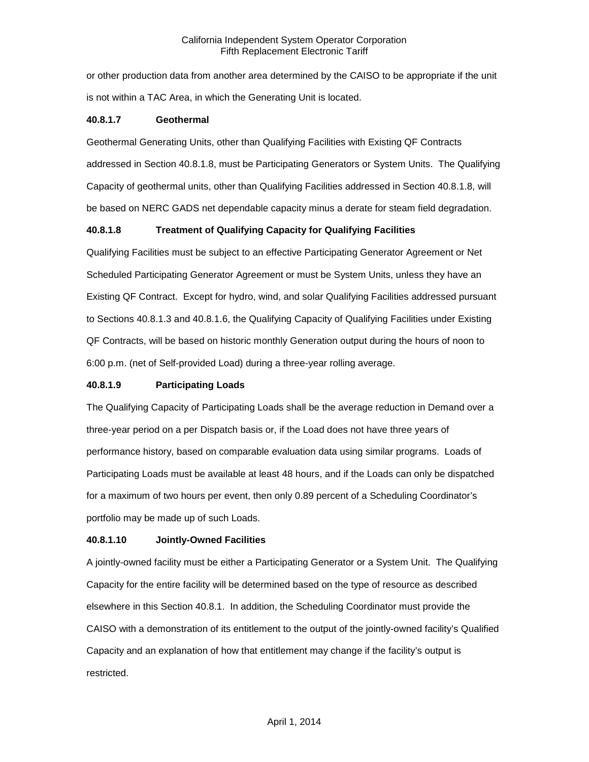or other production data from another area determined by the CAISO to be appropriate if the unit is not within a TAC Area, in which the Generating Unit is located.

## **40.8.1.7 Geothermal**

Geothermal Generating Units, other than Qualifying Facilities with Existing QF Contracts addressed in Section 40.8.1.8, must be Participating Generators or System Units. The Qualifying Capacity of geothermal units, other than Qualifying Facilities addressed in Section 40.8.1.8, will be based on NERC GADS net dependable capacity minus a derate for steam field degradation.

# **40.8.1.8 Treatment of Qualifying Capacity for Qualifying Facilities**

Qualifying Facilities must be subject to an effective Participating Generator Agreement or Net Scheduled Participating Generator Agreement or must be System Units, unless they have an Existing QF Contract. Except for hydro, wind, and solar Qualifying Facilities addressed pursuant to Sections 40.8.1.3 and 40.8.1.6, the Qualifying Capacity of Qualifying Facilities under Existing QF Contracts, will be based on historic monthly Generation output during the hours of noon to 6:00 p.m. (net of Self-provided Load) during a three-year rolling average.

# **40.8.1.9 Participating Loads**

The Qualifying Capacity of Participating Loads shall be the average reduction in Demand over a three-year period on a per Dispatch basis or, if the Load does not have three years of performance history, based on comparable evaluation data using similar programs. Loads of Participating Loads must be available at least 48 hours, and if the Loads can only be dispatched for a maximum of two hours per event, then only 0.89 percent of a Scheduling Coordinator's portfolio may be made up of such Loads.

## **40.8.1.10 Jointly-Owned Facilities**

A jointly-owned facility must be either a Participating Generator or a System Unit. The Qualifying Capacity for the entire facility will be determined based on the type of resource as described elsewhere in this Section 40.8.1. In addition, the Scheduling Coordinator must provide the CAISO with a demonstration of its entitlement to the output of the jointly-owned facility's Qualified Capacity and an explanation of how that entitlement may change if the facility's output is restricted.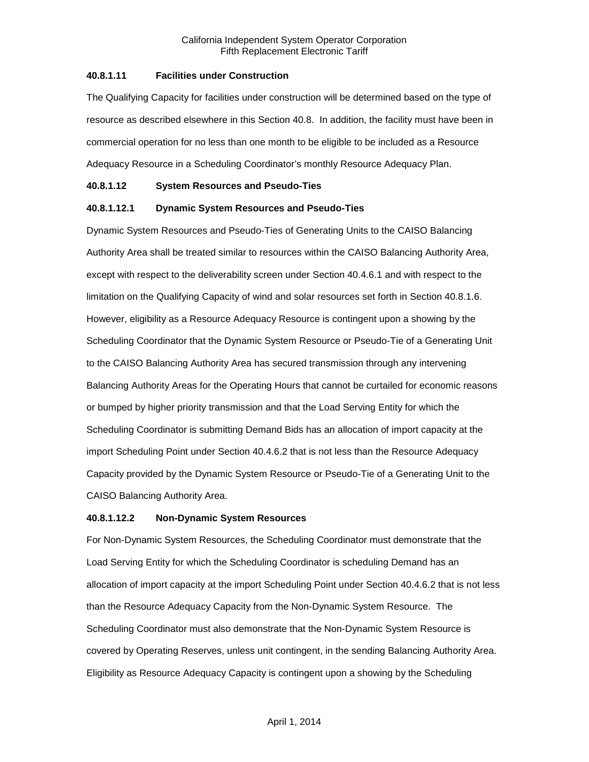## **40.8.1.11 Facilities under Construction**

The Qualifying Capacity for facilities under construction will be determined based on the type of resource as described elsewhere in this Section 40.8. In addition, the facility must have been in commercial operation for no less than one month to be eligible to be included as a Resource Adequacy Resource in a Scheduling Coordinator's monthly Resource Adequacy Plan.

# **40.8.1.12 System Resources and Pseudo-Ties**

# **40.8.1.12.1 Dynamic System Resources and Pseudo-Ties**

Dynamic System Resources and Pseudo-Ties of Generating Units to the CAISO Balancing Authority Area shall be treated similar to resources within the CAISO Balancing Authority Area, except with respect to the deliverability screen under Section 40.4.6.1 and with respect to the limitation on the Qualifying Capacity of wind and solar resources set forth in Section 40.8.1.6. However, eligibility as a Resource Adequacy Resource is contingent upon a showing by the Scheduling Coordinator that the Dynamic System Resource or Pseudo-Tie of a Generating Unit to the CAISO Balancing Authority Area has secured transmission through any intervening Balancing Authority Areas for the Operating Hours that cannot be curtailed for economic reasons or bumped by higher priority transmission and that the Load Serving Entity for which the Scheduling Coordinator is submitting Demand Bids has an allocation of import capacity at the import Scheduling Point under Section 40.4.6.2 that is not less than the Resource Adequacy Capacity provided by the Dynamic System Resource or Pseudo-Tie of a Generating Unit to the CAISO Balancing Authority Area.

# **40.8.1.12.2 Non-Dynamic System Resources**

For Non-Dynamic System Resources, the Scheduling Coordinator must demonstrate that the Load Serving Entity for which the Scheduling Coordinator is scheduling Demand has an allocation of import capacity at the import Scheduling Point under Section 40.4.6.2 that is not less than the Resource Adequacy Capacity from the Non-Dynamic System Resource. The Scheduling Coordinator must also demonstrate that the Non-Dynamic System Resource is covered by Operating Reserves, unless unit contingent, in the sending Balancing Authority Area. Eligibility as Resource Adequacy Capacity is contingent upon a showing by the Scheduling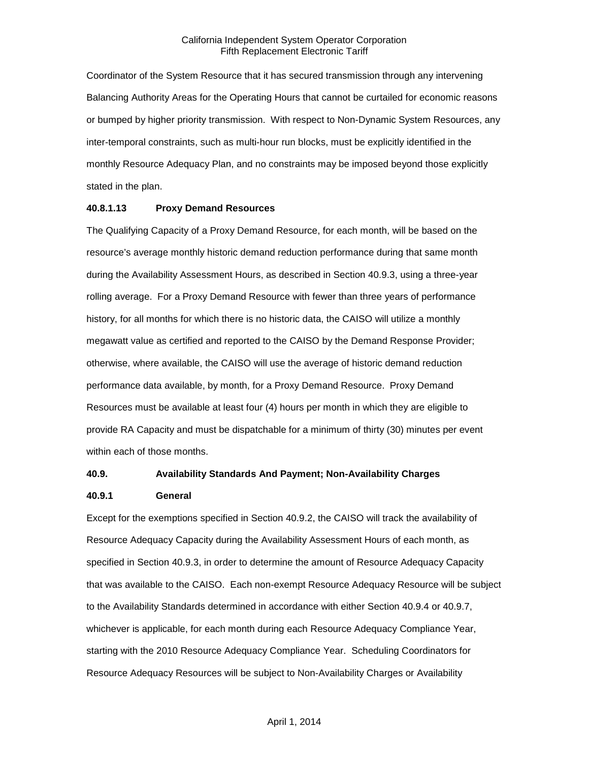Coordinator of the System Resource that it has secured transmission through any intervening Balancing Authority Areas for the Operating Hours that cannot be curtailed for economic reasons or bumped by higher priority transmission. With respect to Non-Dynamic System Resources, any inter-temporal constraints, such as multi-hour run blocks, must be explicitly identified in the monthly Resource Adequacy Plan, and no constraints may be imposed beyond those explicitly stated in the plan.

#### **40.8.1.13 Proxy Demand Resources**

The Qualifying Capacity of a Proxy Demand Resource, for each month, will be based on the resource's average monthly historic demand reduction performance during that same month during the Availability Assessment Hours, as described in Section 40.9.3, using a three-year rolling average. For a Proxy Demand Resource with fewer than three years of performance history, for all months for which there is no historic data, the CAISO will utilize a monthly megawatt value as certified and reported to the CAISO by the Demand Response Provider; otherwise, where available, the CAISO will use the average of historic demand reduction performance data available, by month, for a Proxy Demand Resource. Proxy Demand Resources must be available at least four (4) hours per month in which they are eligible to provide RA Capacity and must be dispatchable for a minimum of thirty (30) minutes per event within each of those months.

## **40.9. Availability Standards And Payment; Non-Availability Charges**

#### **40.9.1 General**

Except for the exemptions specified in Section 40.9.2, the CAISO will track the availability of Resource Adequacy Capacity during the Availability Assessment Hours of each month, as specified in Section 40.9.3, in order to determine the amount of Resource Adequacy Capacity that was available to the CAISO. Each non-exempt Resource Adequacy Resource will be subject to the Availability Standards determined in accordance with either Section 40.9.4 or 40.9.7, whichever is applicable, for each month during each Resource Adequacy Compliance Year, starting with the 2010 Resource Adequacy Compliance Year. Scheduling Coordinators for Resource Adequacy Resources will be subject to Non-Availability Charges or Availability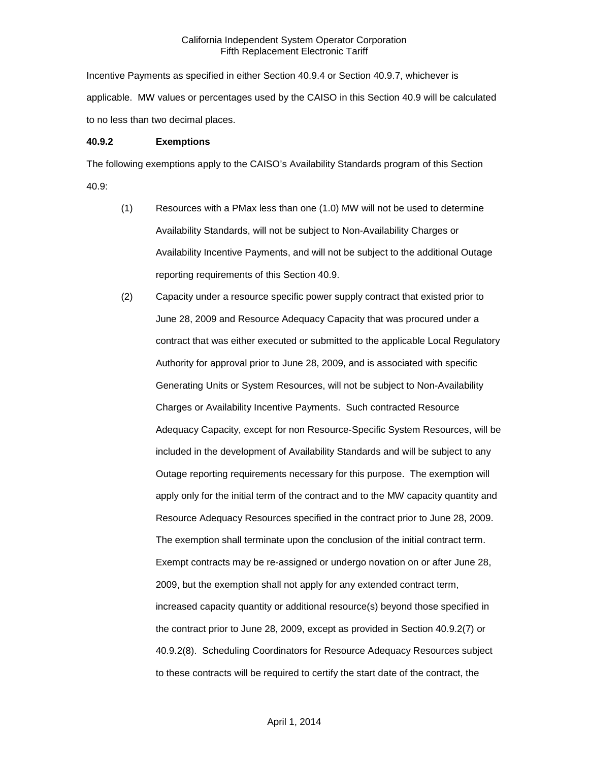Incentive Payments as specified in either Section 40.9.4 or Section 40.9.7, whichever is applicable. MW values or percentages used by the CAISO in this Section 40.9 will be calculated to no less than two decimal places.

#### **40.9.2 Exemptions**

The following exemptions apply to the CAISO's Availability Standards program of this Section 40.9:

- (1) Resources with a PMax less than one (1.0) MW will not be used to determine Availability Standards, will not be subject to Non-Availability Charges or Availability Incentive Payments, and will not be subject to the additional Outage reporting requirements of this Section 40.9.
- (2) Capacity under a resource specific power supply contract that existed prior to June 28, 2009 and Resource Adequacy Capacity that was procured under a contract that was either executed or submitted to the applicable Local Regulatory Authority for approval prior to June 28, 2009, and is associated with specific Generating Units or System Resources, will not be subject to Non-Availability Charges or Availability Incentive Payments. Such contracted Resource Adequacy Capacity, except for non Resource-Specific System Resources, will be included in the development of Availability Standards and will be subject to any Outage reporting requirements necessary for this purpose. The exemption will apply only for the initial term of the contract and to the MW capacity quantity and Resource Adequacy Resources specified in the contract prior to June 28, 2009. The exemption shall terminate upon the conclusion of the initial contract term. Exempt contracts may be re-assigned or undergo novation on or after June 28, 2009, but the exemption shall not apply for any extended contract term, increased capacity quantity or additional resource(s) beyond those specified in the contract prior to June 28, 2009, except as provided in Section 40.9.2(7) or 40.9.2(8). Scheduling Coordinators for Resource Adequacy Resources subject to these contracts will be required to certify the start date of the contract, the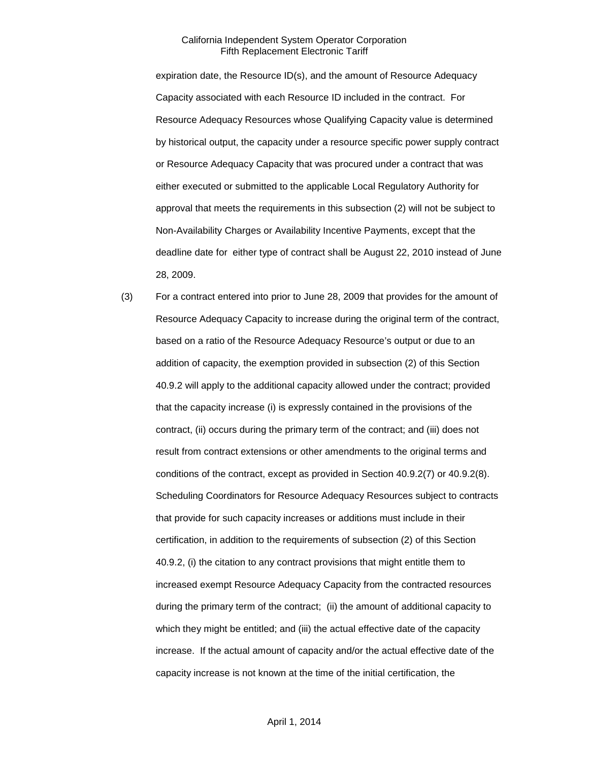expiration date, the Resource ID(s), and the amount of Resource Adequacy Capacity associated with each Resource ID included in the contract. For Resource Adequacy Resources whose Qualifying Capacity value is determined by historical output, the capacity under a resource specific power supply contract or Resource Adequacy Capacity that was procured under a contract that was either executed or submitted to the applicable Local Regulatory Authority for approval that meets the requirements in this subsection (2) will not be subject to Non-Availability Charges or Availability Incentive Payments, except that the deadline date for either type of contract shall be August 22, 2010 instead of June 28, 2009.

(3) For a contract entered into prior to June 28, 2009 that provides for the amount of Resource Adequacy Capacity to increase during the original term of the contract, based on a ratio of the Resource Adequacy Resource's output or due to an addition of capacity, the exemption provided in subsection (2) of this Section 40.9.2 will apply to the additional capacity allowed under the contract; provided that the capacity increase (i) is expressly contained in the provisions of the contract, (ii) occurs during the primary term of the contract; and (iii) does not result from contract extensions or other amendments to the original terms and conditions of the contract, except as provided in Section 40.9.2(7) or 40.9.2(8). Scheduling Coordinators for Resource Adequacy Resources subject to contracts that provide for such capacity increases or additions must include in their certification, in addition to the requirements of subsection (2) of this Section 40.9.2, (i) the citation to any contract provisions that might entitle them to increased exempt Resource Adequacy Capacity from the contracted resources during the primary term of the contract; (ii) the amount of additional capacity to which they might be entitled; and (iii) the actual effective date of the capacity increase. If the actual amount of capacity and/or the actual effective date of the capacity increase is not known at the time of the initial certification, the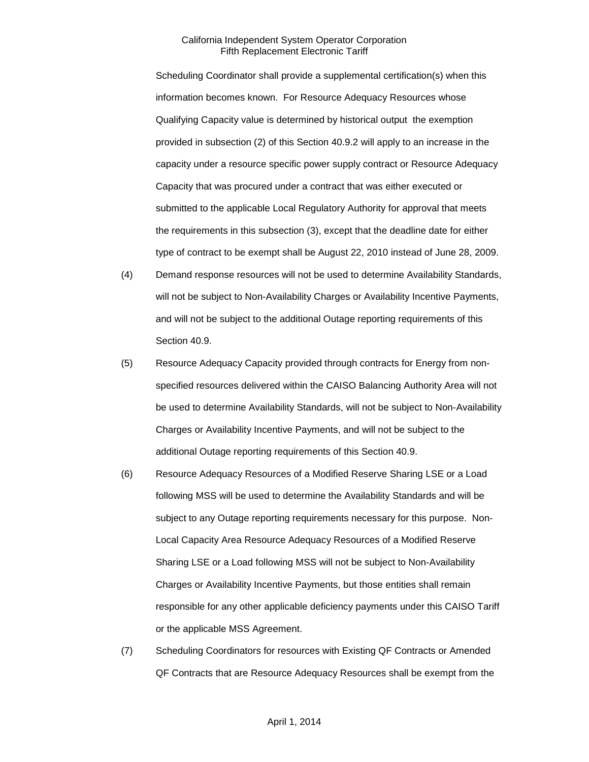Scheduling Coordinator shall provide a supplemental certification(s) when this information becomes known. For Resource Adequacy Resources whose Qualifying Capacity value is determined by historical output the exemption provided in subsection (2) of this Section 40.9.2 will apply to an increase in the capacity under a resource specific power supply contract or Resource Adequacy Capacity that was procured under a contract that was either executed or submitted to the applicable Local Regulatory Authority for approval that meets the requirements in this subsection (3), except that the deadline date for either type of contract to be exempt shall be August 22, 2010 instead of June 28, 2009.

- (4) Demand response resources will not be used to determine Availability Standards, will not be subject to Non-Availability Charges or Availability Incentive Payments, and will not be subject to the additional Outage reporting requirements of this Section 40.9.
- (5) Resource Adequacy Capacity provided through contracts for Energy from nonspecified resources delivered within the CAISO Balancing Authority Area will not be used to determine Availability Standards, will not be subject to Non-Availability Charges or Availability Incentive Payments, and will not be subject to the additional Outage reporting requirements of this Section 40.9.
- (6) Resource Adequacy Resources of a Modified Reserve Sharing LSE or a Load following MSS will be used to determine the Availability Standards and will be subject to any Outage reporting requirements necessary for this purpose. Non-Local Capacity Area Resource Adequacy Resources of a Modified Reserve Sharing LSE or a Load following MSS will not be subject to Non-Availability Charges or Availability Incentive Payments, but those entities shall remain responsible for any other applicable deficiency payments under this CAISO Tariff or the applicable MSS Agreement.
- (7) Scheduling Coordinators for resources with Existing QF Contracts or Amended QF Contracts that are Resource Adequacy Resources shall be exempt from the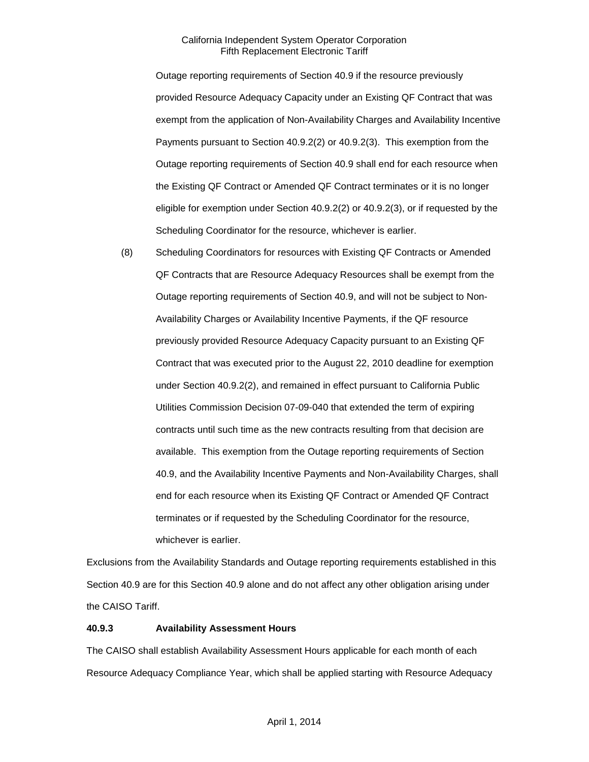Outage reporting requirements of Section 40.9 if the resource previously provided Resource Adequacy Capacity under an Existing QF Contract that was exempt from the application of Non-Availability Charges and Availability Incentive Payments pursuant to Section 40.9.2(2) or 40.9.2(3). This exemption from the Outage reporting requirements of Section 40.9 shall end for each resource when the Existing QF Contract or Amended QF Contract terminates or it is no longer eligible for exemption under Section 40.9.2(2) or 40.9.2(3), or if requested by the Scheduling Coordinator for the resource, whichever is earlier.

(8) Scheduling Coordinators for resources with Existing QF Contracts or Amended QF Contracts that are Resource Adequacy Resources shall be exempt from the Outage reporting requirements of Section 40.9, and will not be subject to Non-Availability Charges or Availability Incentive Payments, if the QF resource previously provided Resource Adequacy Capacity pursuant to an Existing QF Contract that was executed prior to the August 22, 2010 deadline for exemption under Section 40.9.2(2), and remained in effect pursuant to California Public Utilities Commission Decision 07-09-040 that extended the term of expiring contracts until such time as the new contracts resulting from that decision are available. This exemption from the Outage reporting requirements of Section 40.9, and the Availability Incentive Payments and Non-Availability Charges, shall end for each resource when its Existing QF Contract or Amended QF Contract terminates or if requested by the Scheduling Coordinator for the resource, whichever is earlier.

Exclusions from the Availability Standards and Outage reporting requirements established in this Section 40.9 are for this Section 40.9 alone and do not affect any other obligation arising under the CAISO Tariff.

# **40.9.3 Availability Assessment Hours**

The CAISO shall establish Availability Assessment Hours applicable for each month of each Resource Adequacy Compliance Year, which shall be applied starting with Resource Adequacy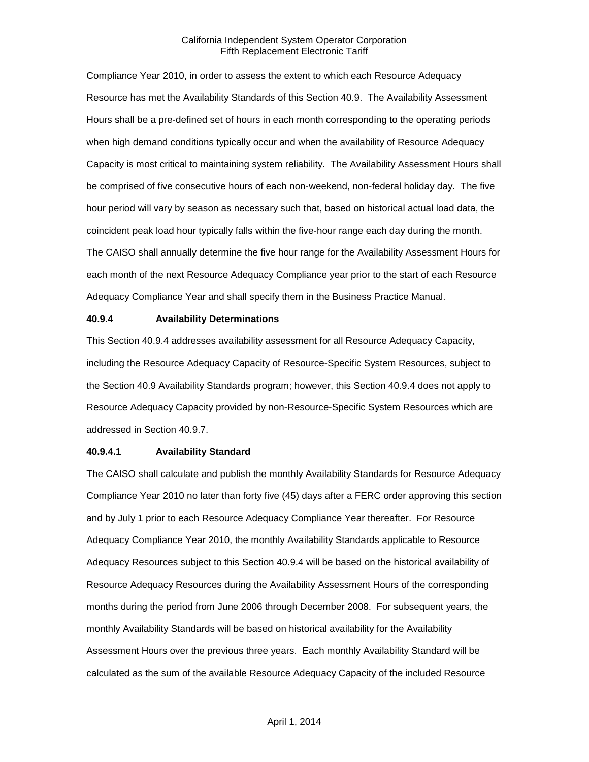Compliance Year 2010, in order to assess the extent to which each Resource Adequacy Resource has met the Availability Standards of this Section 40.9. The Availability Assessment Hours shall be a pre-defined set of hours in each month corresponding to the operating periods when high demand conditions typically occur and when the availability of Resource Adequacy Capacity is most critical to maintaining system reliability. The Availability Assessment Hours shall be comprised of five consecutive hours of each non-weekend, non-federal holiday day. The five hour period will vary by season as necessary such that, based on historical actual load data, the coincident peak load hour typically falls within the five-hour range each day during the month. The CAISO shall annually determine the five hour range for the Availability Assessment Hours for each month of the next Resource Adequacy Compliance year prior to the start of each Resource Adequacy Compliance Year and shall specify them in the Business Practice Manual.

#### **40.9.4 Availability Determinations**

This Section 40.9.4 addresses availability assessment for all Resource Adequacy Capacity, including the Resource Adequacy Capacity of Resource-Specific System Resources, subject to the Section 40.9 Availability Standards program; however, this Section 40.9.4 does not apply to Resource Adequacy Capacity provided by non-Resource-Specific System Resources which are addressed in Section 40.9.7.

# **40.9.4.1 Availability Standard**

The CAISO shall calculate and publish the monthly Availability Standards for Resource Adequacy Compliance Year 2010 no later than forty five (45) days after a FERC order approving this section and by July 1 prior to each Resource Adequacy Compliance Year thereafter. For Resource Adequacy Compliance Year 2010, the monthly Availability Standards applicable to Resource Adequacy Resources subject to this Section 40.9.4 will be based on the historical availability of Resource Adequacy Resources during the Availability Assessment Hours of the corresponding months during the period from June 2006 through December 2008. For subsequent years, the monthly Availability Standards will be based on historical availability for the Availability Assessment Hours over the previous three years. Each monthly Availability Standard will be calculated as the sum of the available Resource Adequacy Capacity of the included Resource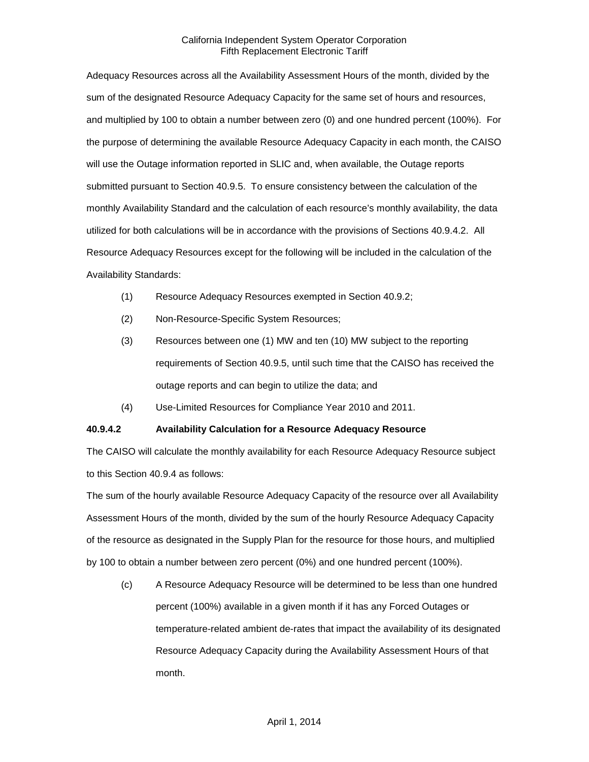Adequacy Resources across all the Availability Assessment Hours of the month, divided by the sum of the designated Resource Adequacy Capacity for the same set of hours and resources, and multiplied by 100 to obtain a number between zero (0) and one hundred percent (100%). For the purpose of determining the available Resource Adequacy Capacity in each month, the CAISO will use the Outage information reported in SLIC and, when available, the Outage reports submitted pursuant to Section 40.9.5. To ensure consistency between the calculation of the monthly Availability Standard and the calculation of each resource's monthly availability, the data utilized for both calculations will be in accordance with the provisions of Sections 40.9.4.2. All Resource Adequacy Resources except for the following will be included in the calculation of the Availability Standards:

- (1) Resource Adequacy Resources exempted in Section 40.9.2;
- (2) Non-Resource-Specific System Resources;
- (3) Resources between one (1) MW and ten (10) MW subject to the reporting requirements of Section 40.9.5, until such time that the CAISO has received the outage reports and can begin to utilize the data; and
- (4) Use-Limited Resources for Compliance Year 2010 and 2011.

# **40.9.4.2 Availability Calculation for a Resource Adequacy Resource**

The CAISO will calculate the monthly availability for each Resource Adequacy Resource subject to this Section 40.9.4 as follows:

The sum of the hourly available Resource Adequacy Capacity of the resource over all Availability Assessment Hours of the month, divided by the sum of the hourly Resource Adequacy Capacity of the resource as designated in the Supply Plan for the resource for those hours, and multiplied by 100 to obtain a number between zero percent (0%) and one hundred percent (100%).

(c) A Resource Adequacy Resource will be determined to be less than one hundred percent (100%) available in a given month if it has any Forced Outages or temperature-related ambient de-rates that impact the availability of its designated Resource Adequacy Capacity during the Availability Assessment Hours of that month.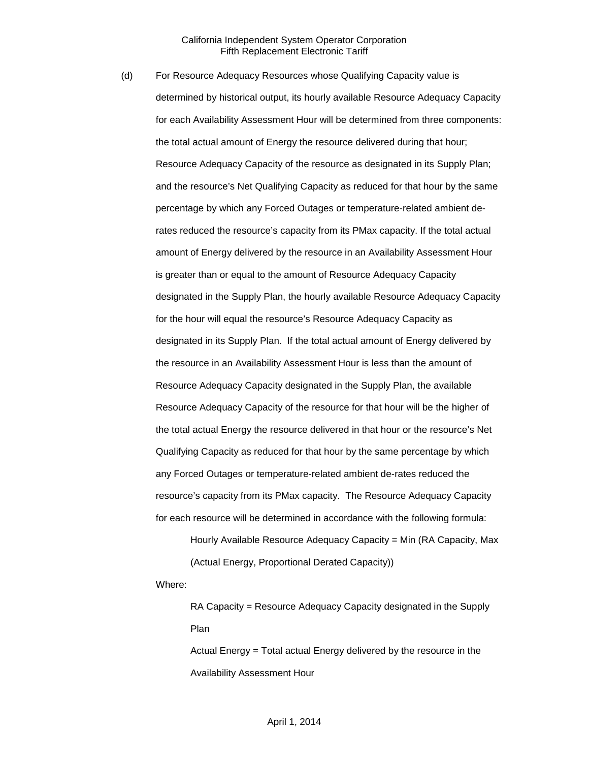(d) For Resource Adequacy Resources whose Qualifying Capacity value is determined by historical output, its hourly available Resource Adequacy Capacity for each Availability Assessment Hour will be determined from three components: the total actual amount of Energy the resource delivered during that hour; Resource Adequacy Capacity of the resource as designated in its Supply Plan; and the resource's Net Qualifying Capacity as reduced for that hour by the same percentage by which any Forced Outages or temperature-related ambient derates reduced the resource's capacity from its PMax capacity. If the total actual amount of Energy delivered by the resource in an Availability Assessment Hour is greater than or equal to the amount of Resource Adequacy Capacity designated in the Supply Plan, the hourly available Resource Adequacy Capacity for the hour will equal the resource's Resource Adequacy Capacity as designated in its Supply Plan. If the total actual amount of Energy delivered by the resource in an Availability Assessment Hour is less than the amount of Resource Adequacy Capacity designated in the Supply Plan, the available Resource Adequacy Capacity of the resource for that hour will be the higher of the total actual Energy the resource delivered in that hour or the resource's Net Qualifying Capacity as reduced for that hour by the same percentage by which any Forced Outages or temperature-related ambient de-rates reduced the resource's capacity from its PMax capacity. The Resource Adequacy Capacity for each resource will be determined in accordance with the following formula:

> Hourly Available Resource Adequacy Capacity = Min (RA Capacity, Max (Actual Energy, Proportional Derated Capacity))

Where:

RA Capacity = Resource Adequacy Capacity designated in the Supply Plan

Actual Energy = Total actual Energy delivered by the resource in the Availability Assessment Hour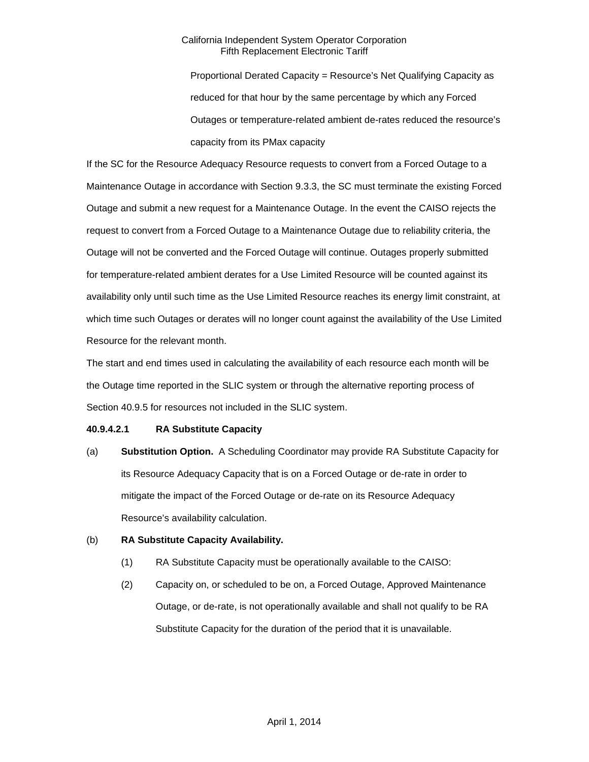Proportional Derated Capacity = Resource's Net Qualifying Capacity as reduced for that hour by the same percentage by which any Forced Outages or temperature-related ambient de-rates reduced the resource's capacity from its PMax capacity

If the SC for the Resource Adequacy Resource requests to convert from a Forced Outage to a Maintenance Outage in accordance with Section 9.3.3, the SC must terminate the existing Forced Outage and submit a new request for a Maintenance Outage. In the event the CAISO rejects the request to convert from a Forced Outage to a Maintenance Outage due to reliability criteria, the Outage will not be converted and the Forced Outage will continue. Outages properly submitted for temperature-related ambient derates for a Use Limited Resource will be counted against its availability only until such time as the Use Limited Resource reaches its energy limit constraint, at which time such Outages or derates will no longer count against the availability of the Use Limited Resource for the relevant month.

The start and end times used in calculating the availability of each resource each month will be the Outage time reported in the SLIC system or through the alternative reporting process of Section 40.9.5 for resources not included in the SLIC system.

# **40.9.4.2.1 RA Substitute Capacity**

(a) **Substitution Option.** A Scheduling Coordinator may provide RA Substitute Capacity for its Resource Adequacy Capacity that is on a Forced Outage or de-rate in order to mitigate the impact of the Forced Outage or de-rate on its Resource Adequacy Resource's availability calculation.

# (b) **RA Substitute Capacity Availability.**

- (1) RA Substitute Capacity must be operationally available to the CAISO:
- (2) Capacity on, or scheduled to be on, a Forced Outage, Approved Maintenance Outage, or de-rate, is not operationally available and shall not qualify to be RA Substitute Capacity for the duration of the period that it is unavailable.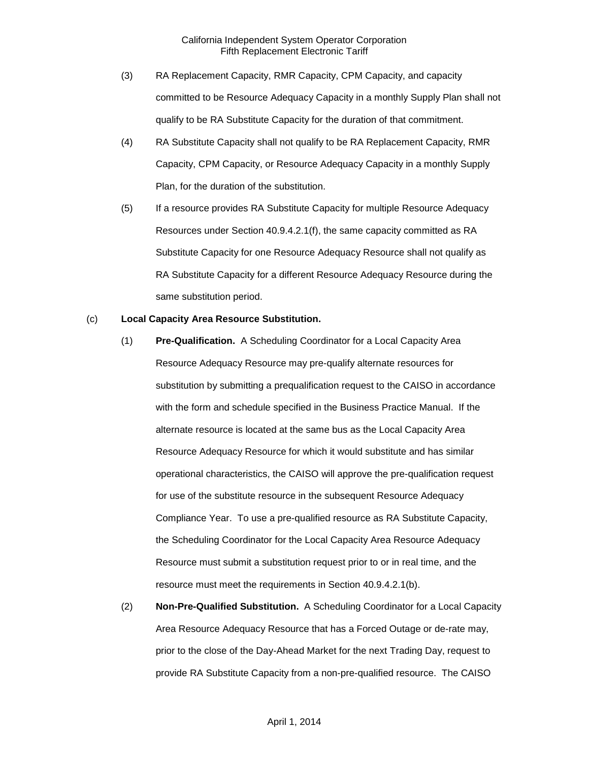- (3) RA Replacement Capacity, RMR Capacity, CPM Capacity, and capacity committed to be Resource Adequacy Capacity in a monthly Supply Plan shall not qualify to be RA Substitute Capacity for the duration of that commitment.
- (4) RA Substitute Capacity shall not qualify to be RA Replacement Capacity, RMR Capacity, CPM Capacity, or Resource Adequacy Capacity in a monthly Supply Plan, for the duration of the substitution.
- (5) If a resource provides RA Substitute Capacity for multiple Resource Adequacy Resources under Section 40.9.4.2.1(f), the same capacity committed as RA Substitute Capacity for one Resource Adequacy Resource shall not qualify as RA Substitute Capacity for a different Resource Adequacy Resource during the same substitution period.

# (c) **Local Capacity Area Resource Substitution.**

- (1) **Pre-Qualification.** A Scheduling Coordinator for a Local Capacity Area Resource Adequacy Resource may pre-qualify alternate resources for substitution by submitting a prequalification request to the CAISO in accordance with the form and schedule specified in the Business Practice Manual. If the alternate resource is located at the same bus as the Local Capacity Area Resource Adequacy Resource for which it would substitute and has similar operational characteristics, the CAISO will approve the pre-qualification request for use of the substitute resource in the subsequent Resource Adequacy Compliance Year. To use a pre-qualified resource as RA Substitute Capacity, the Scheduling Coordinator for the Local Capacity Area Resource Adequacy Resource must submit a substitution request prior to or in real time, and the resource must meet the requirements in Section 40.9.4.2.1(b).
- (2) **Non-Pre-Qualified Substitution.** A Scheduling Coordinator for a Local Capacity Area Resource Adequacy Resource that has a Forced Outage or de-rate may, prior to the close of the Day-Ahead Market for the next Trading Day, request to provide RA Substitute Capacity from a non-pre-qualified resource. The CAISO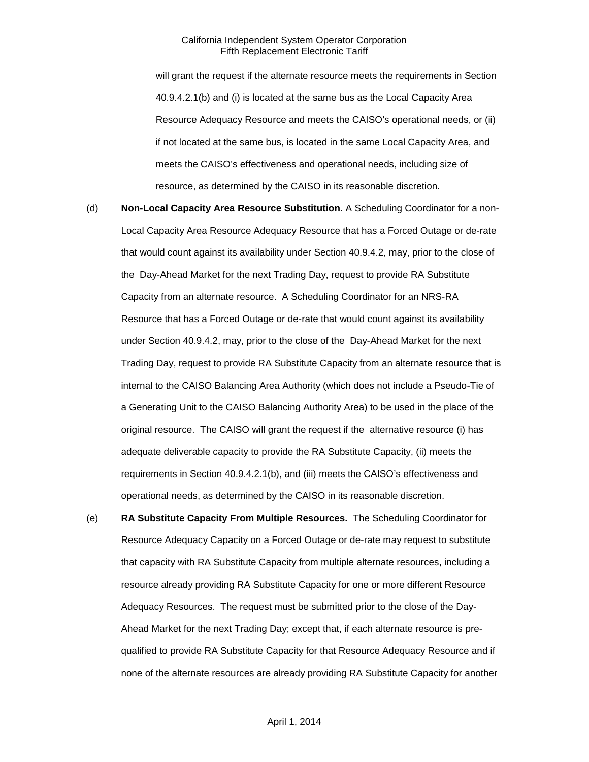will grant the request if the alternate resource meets the requirements in Section 40.9.4.2.1(b) and (i) is located at the same bus as the Local Capacity Area Resource Adequacy Resource and meets the CAISO's operational needs, or (ii) if not located at the same bus, is located in the same Local Capacity Area, and meets the CAISO's effectiveness and operational needs, including size of resource, as determined by the CAISO in its reasonable discretion.

- (d) **Non-Local Capacity Area Resource Substitution.** A Scheduling Coordinator for a non-Local Capacity Area Resource Adequacy Resource that has a Forced Outage or de-rate that would count against its availability under Section 40.9.4.2, may, prior to the close of the Day-Ahead Market for the next Trading Day, request to provide RA Substitute Capacity from an alternate resource. A Scheduling Coordinator for an NRS-RA Resource that has a Forced Outage or de-rate that would count against its availability under Section 40.9.4.2, may, prior to the close of the Day-Ahead Market for the next Trading Day, request to provide RA Substitute Capacity from an alternate resource that is internal to the CAISO Balancing Area Authority (which does not include a Pseudo-Tie of a Generating Unit to the CAISO Balancing Authority Area) to be used in the place of the original resource. The CAISO will grant the request if the alternative resource (i) has adequate deliverable capacity to provide the RA Substitute Capacity, (ii) meets the requirements in Section 40.9.4.2.1(b), and (iii) meets the CAISO's effectiveness and operational needs, as determined by the CAISO in its reasonable discretion.
- (e) **RA Substitute Capacity From Multiple Resources.** The Scheduling Coordinator for Resource Adequacy Capacity on a Forced Outage or de-rate may request to substitute that capacity with RA Substitute Capacity from multiple alternate resources, including a resource already providing RA Substitute Capacity for one or more different Resource Adequacy Resources. The request must be submitted prior to the close of the Day-Ahead Market for the next Trading Day; except that, if each alternate resource is prequalified to provide RA Substitute Capacity for that Resource Adequacy Resource and if none of the alternate resources are already providing RA Substitute Capacity for another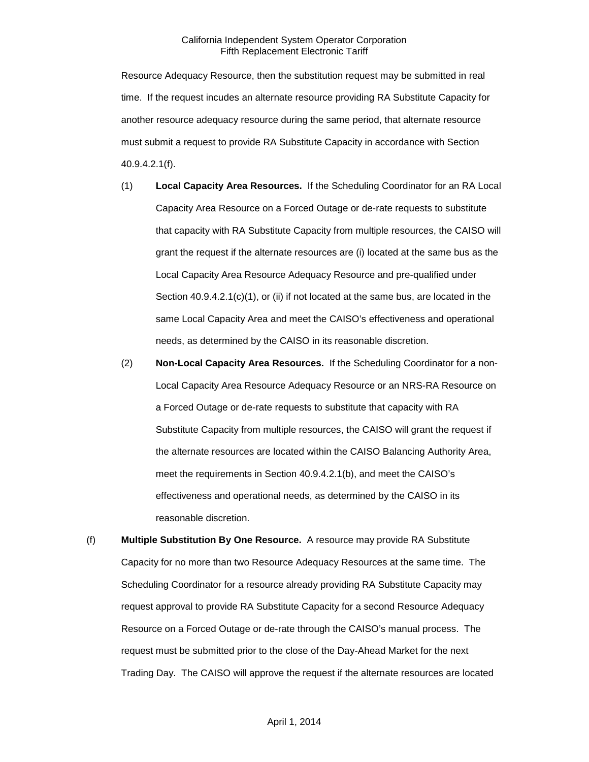Resource Adequacy Resource, then the substitution request may be submitted in real time. If the request incudes an alternate resource providing RA Substitute Capacity for another resource adequacy resource during the same period, that alternate resource must submit a request to provide RA Substitute Capacity in accordance with Section 40.9.4.2.1(f).

- (1) **Local Capacity Area Resources.** If the Scheduling Coordinator for an RA Local Capacity Area Resource on a Forced Outage or de-rate requests to substitute that capacity with RA Substitute Capacity from multiple resources, the CAISO will grant the request if the alternate resources are (i) located at the same bus as the Local Capacity Area Resource Adequacy Resource and pre-qualified under Section 40.9.4.2.1(c)(1), or (ii) if not located at the same bus, are located in the same Local Capacity Area and meet the CAISO's effectiveness and operational needs, as determined by the CAISO in its reasonable discretion.
- (2) **Non-Local Capacity Area Resources.** If the Scheduling Coordinator for a non-Local Capacity Area Resource Adequacy Resource or an NRS-RA Resource on a Forced Outage or de-rate requests to substitute that capacity with RA Substitute Capacity from multiple resources, the CAISO will grant the request if the alternate resources are located within the CAISO Balancing Authority Area, meet the requirements in Section 40.9.4.2.1(b), and meet the CAISO's effectiveness and operational needs, as determined by the CAISO in its reasonable discretion.
- (f) **Multiple Substitution By One Resource.** A resource may provide RA Substitute Capacity for no more than two Resource Adequacy Resources at the same time. The Scheduling Coordinator for a resource already providing RA Substitute Capacity may request approval to provide RA Substitute Capacity for a second Resource Adequacy Resource on a Forced Outage or de-rate through the CAISO's manual process. The request must be submitted prior to the close of the Day-Ahead Market for the next Trading Day. The CAISO will approve the request if the alternate resources are located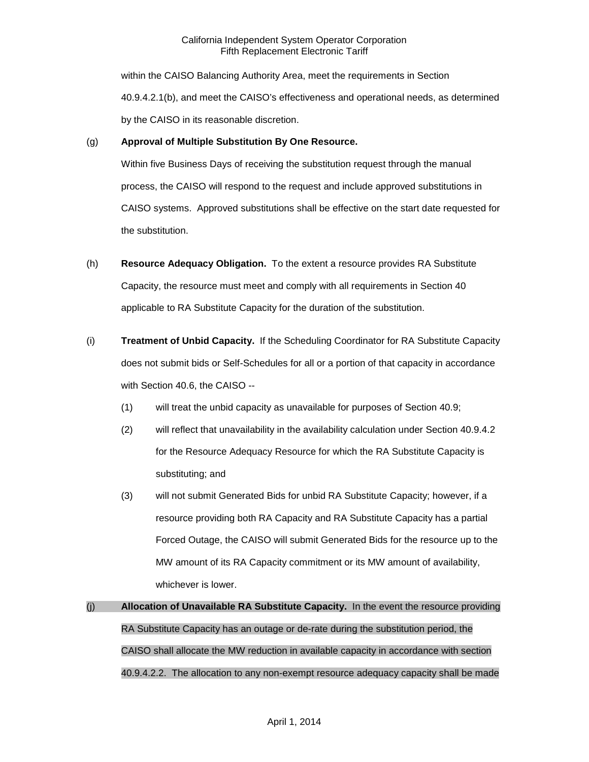within the CAISO Balancing Authority Area, meet the requirements in Section 40.9.4.2.1(b), and meet the CAISO's effectiveness and operational needs, as determined by the CAISO in its reasonable discretion.

# (g) **Approval of Multiple Substitution By One Resource.**

Within five Business Days of receiving the substitution request through the manual process, the CAISO will respond to the request and include approved substitutions in CAISO systems. Approved substitutions shall be effective on the start date requested for the substitution.

- (h) **Resource Adequacy Obligation.** To the extent a resource provides RA Substitute Capacity, the resource must meet and comply with all requirements in Section 40 applicable to RA Substitute Capacity for the duration of the substitution.
- (i) **Treatment of Unbid Capacity.** If the Scheduling Coordinator for RA Substitute Capacity does not submit bids or Self-Schedules for all or a portion of that capacity in accordance with Section 40.6, the CAISO --
	- (1) will treat the unbid capacity as unavailable for purposes of Section 40.9;
	- (2) will reflect that unavailability in the availability calculation under Section 40.9.4.2 for the Resource Adequacy Resource for which the RA Substitute Capacity is substituting; and
	- (3) will not submit Generated Bids for unbid RA Substitute Capacity; however, if a resource providing both RA Capacity and RA Substitute Capacity has a partial Forced Outage, the CAISO will submit Generated Bids for the resource up to the MW amount of its RA Capacity commitment or its MW amount of availability, whichever is lower.

# (j) **Allocation of Unavailable RA Substitute Capacity.** In the event the resource providing RA Substitute Capacity has an outage or de-rate during the substitution period, the CAISO shall allocate the MW reduction in available capacity in accordance with section 40.9.4.2.2. The allocation to any non-exempt resource adequacy capacity shall be made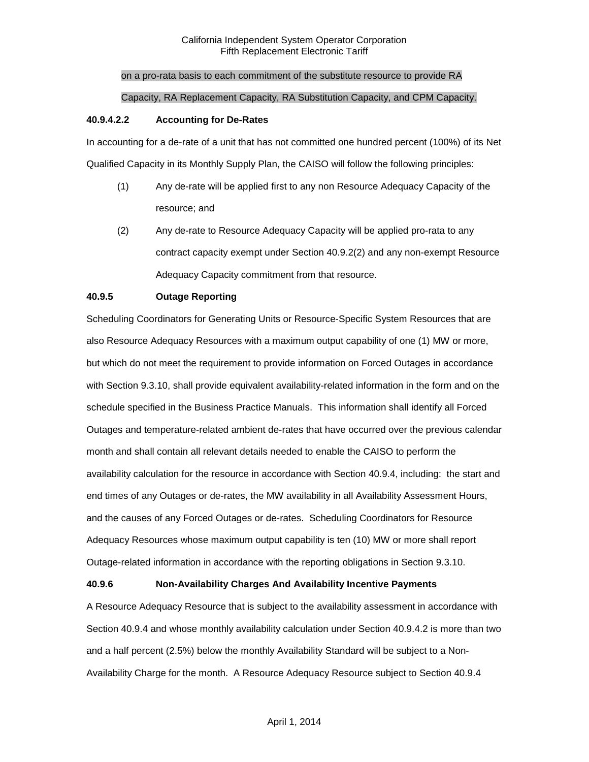# on a pro-rata basis to each commitment of the substitute resource to provide RA

# Capacity, RA Replacement Capacity, RA Substitution Capacity, and CPM Capacity.

# **40.9.4.2.2 Accounting for De-Rates**

In accounting for a de-rate of a unit that has not committed one hundred percent (100%) of its Net Qualified Capacity in its Monthly Supply Plan, the CAISO will follow the following principles:

- (1) Any de-rate will be applied first to any non Resource Adequacy Capacity of the resource; and
- (2) Any de-rate to Resource Adequacy Capacity will be applied pro-rata to any contract capacity exempt under Section 40.9.2(2) and any non-exempt Resource Adequacy Capacity commitment from that resource.

# **40.9.5 Outage Reporting**

Scheduling Coordinators for Generating Units or Resource-Specific System Resources that are also Resource Adequacy Resources with a maximum output capability of one (1) MW or more, but which do not meet the requirement to provide information on Forced Outages in accordance with Section 9.3.10, shall provide equivalent availability-related information in the form and on the schedule specified in the Business Practice Manuals. This information shall identify all Forced Outages and temperature-related ambient de-rates that have occurred over the previous calendar month and shall contain all relevant details needed to enable the CAISO to perform the availability calculation for the resource in accordance with Section 40.9.4, including: the start and end times of any Outages or de-rates, the MW availability in all Availability Assessment Hours, and the causes of any Forced Outages or de-rates. Scheduling Coordinators for Resource Adequacy Resources whose maximum output capability is ten (10) MW or more shall report Outage-related information in accordance with the reporting obligations in Section 9.3.10.

# **40.9.6 Non-Availability Charges And Availability Incentive Payments**

A Resource Adequacy Resource that is subject to the availability assessment in accordance with Section 40.9.4 and whose monthly availability calculation under Section 40.9.4.2 is more than two and a half percent (2.5%) below the monthly Availability Standard will be subject to a Non-Availability Charge for the month. A Resource Adequacy Resource subject to Section 40.9.4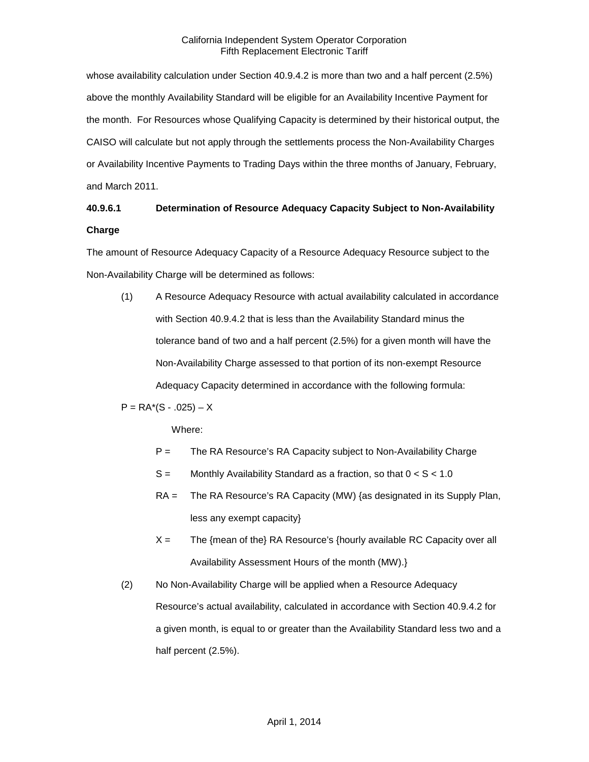whose availability calculation under Section 40.9.4.2 is more than two and a half percent (2.5%) above the monthly Availability Standard will be eligible for an Availability Incentive Payment for the month. For Resources whose Qualifying Capacity is determined by their historical output, the CAISO will calculate but not apply through the settlements process the Non-Availability Charges or Availability Incentive Payments to Trading Days within the three months of January, February, and March 2011.

# **40.9.6.1 Determination of Resource Adequacy Capacity Subject to Non-Availability Charge**

The amount of Resource Adequacy Capacity of a Resource Adequacy Resource subject to the Non-Availability Charge will be determined as follows:

(1) A Resource Adequacy Resource with actual availability calculated in accordance with Section 40.9.4.2 that is less than the Availability Standard minus the tolerance band of two and a half percent (2.5%) for a given month will have the Non-Availability Charge assessed to that portion of its non-exempt Resource Adequacy Capacity determined in accordance with the following formula:

 $P = RA*(S - .025) - X$ 

Where:

- P = The RA Resource's RA Capacity subject to Non-Availability Charge
- $S =$  Monthly Availability Standard as a fraction, so that  $0 < S < 1.0$
- RA = The RA Resource's RA Capacity (MW) {as designated in its Supply Plan, less any exempt capacity}
- $X =$  The {mean of the} RA Resource's {hourly available RC Capacity over all Availability Assessment Hours of the month (MW).}
- (2) No Non-Availability Charge will be applied when a Resource Adequacy Resource's actual availability, calculated in accordance with Section 40.9.4.2 for a given month, is equal to or greater than the Availability Standard less two and a half percent (2.5%).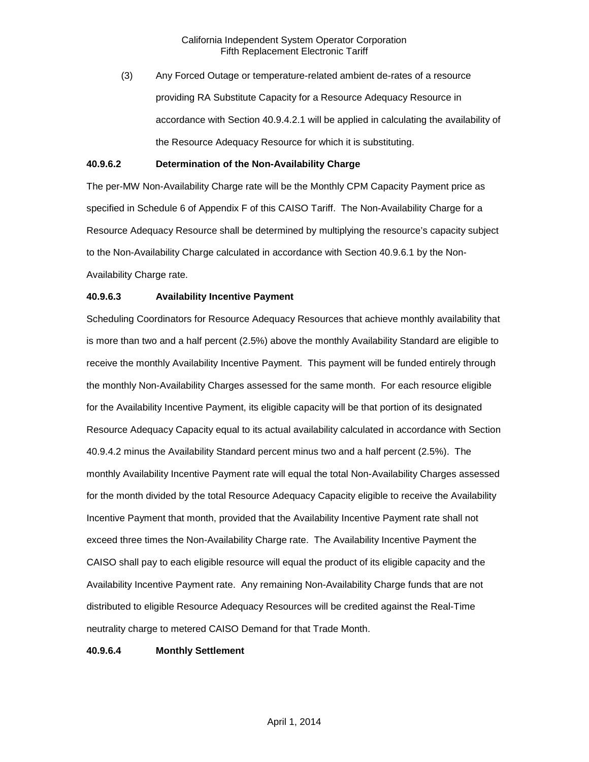(3) Any Forced Outage or temperature-related ambient de-rates of a resource providing RA Substitute Capacity for a Resource Adequacy Resource in accordance with Section 40.9.4.2.1 will be applied in calculating the availability of the Resource Adequacy Resource for which it is substituting.

# **40.9.6.2 Determination of the Non-Availability Charge**

The per-MW Non-Availability Charge rate will be the Monthly CPM Capacity Payment price as specified in Schedule 6 of Appendix F of this CAISO Tariff. The Non-Availability Charge for a Resource Adequacy Resource shall be determined by multiplying the resource's capacity subject to the Non-Availability Charge calculated in accordance with Section 40.9.6.1 by the Non-Availability Charge rate.

# **40.9.6.3 Availability Incentive Payment**

Scheduling Coordinators for Resource Adequacy Resources that achieve monthly availability that is more than two and a half percent (2.5%) above the monthly Availability Standard are eligible to receive the monthly Availability Incentive Payment. This payment will be funded entirely through the monthly Non-Availability Charges assessed for the same month. For each resource eligible for the Availability Incentive Payment, its eligible capacity will be that portion of its designated Resource Adequacy Capacity equal to its actual availability calculated in accordance with Section 40.9.4.2 minus the Availability Standard percent minus two and a half percent (2.5%). The monthly Availability Incentive Payment rate will equal the total Non-Availability Charges assessed for the month divided by the total Resource Adequacy Capacity eligible to receive the Availability Incentive Payment that month, provided that the Availability Incentive Payment rate shall not exceed three times the Non-Availability Charge rate. The Availability Incentive Payment the CAISO shall pay to each eligible resource will equal the product of its eligible capacity and the Availability Incentive Payment rate. Any remaining Non-Availability Charge funds that are not distributed to eligible Resource Adequacy Resources will be credited against the Real-Time neutrality charge to metered CAISO Demand for that Trade Month.

# **40.9.6.4 Monthly Settlement**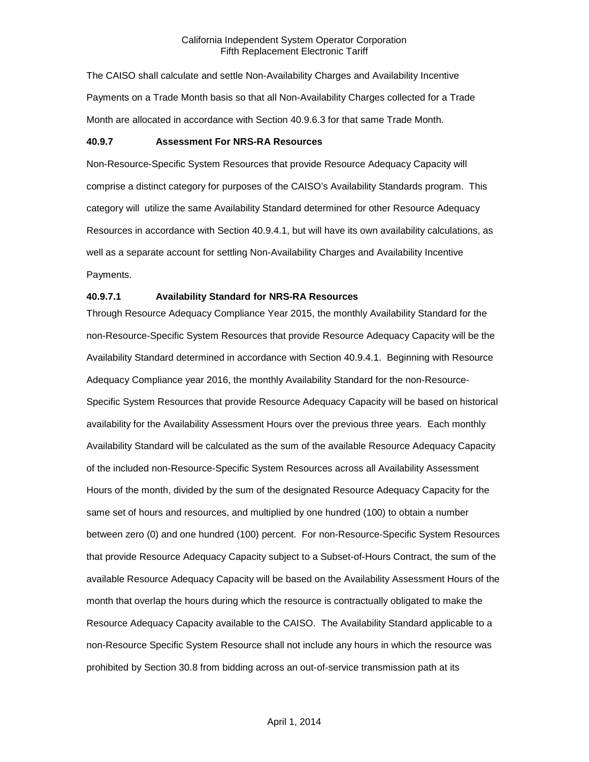The CAISO shall calculate and settle Non-Availability Charges and Availability Incentive Payments on a Trade Month basis so that all Non-Availability Charges collected for a Trade Month are allocated in accordance with Section 40.9.6.3 for that same Trade Month.

# **40.9.7 Assessment For NRS-RA Resources**

Non-Resource-Specific System Resources that provide Resource Adequacy Capacity will comprise a distinct category for purposes of the CAISO's Availability Standards program. This category will utilize the same Availability Standard determined for other Resource Adequacy Resources in accordance with Section 40.9.4.1, but will have its own availability calculations, as well as a separate account for settling Non-Availability Charges and Availability Incentive Payments.

# **40.9.7.1 Availability Standard for NRS-RA Resources**

Through Resource Adequacy Compliance Year 2015, the monthly Availability Standard for the non-Resource-Specific System Resources that provide Resource Adequacy Capacity will be the Availability Standard determined in accordance with Section 40.9.4.1. Beginning with Resource Adequacy Compliance year 2016, the monthly Availability Standard for the non-Resource-Specific System Resources that provide Resource Adequacy Capacity will be based on historical availability for the Availability Assessment Hours over the previous three years. Each monthly Availability Standard will be calculated as the sum of the available Resource Adequacy Capacity of the included non-Resource-Specific System Resources across all Availability Assessment Hours of the month, divided by the sum of the designated Resource Adequacy Capacity for the same set of hours and resources, and multiplied by one hundred (100) to obtain a number between zero (0) and one hundred (100) percent. For non-Resource-Specific System Resources that provide Resource Adequacy Capacity subject to a Subset-of-Hours Contract, the sum of the available Resource Adequacy Capacity will be based on the Availability Assessment Hours of the month that overlap the hours during which the resource is contractually obligated to make the Resource Adequacy Capacity available to the CAISO. The Availability Standard applicable to a non-Resource Specific System Resource shall not include any hours in which the resource was prohibited by Section 30.8 from bidding across an out-of-service transmission path at its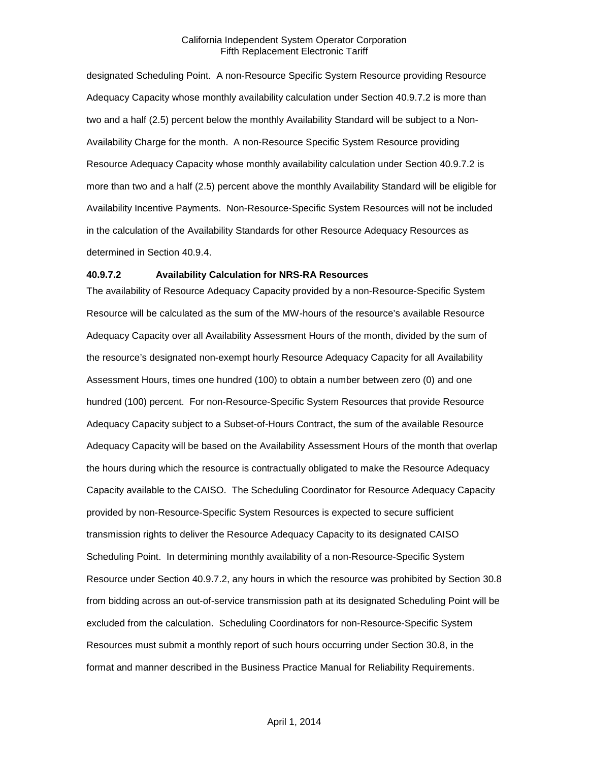designated Scheduling Point. A non-Resource Specific System Resource providing Resource Adequacy Capacity whose monthly availability calculation under Section 40.9.7.2 is more than two and a half (2.5) percent below the monthly Availability Standard will be subject to a Non-Availability Charge for the month. A non-Resource Specific System Resource providing Resource Adequacy Capacity whose monthly availability calculation under Section 40.9.7.2 is more than two and a half (2.5) percent above the monthly Availability Standard will be eligible for Availability Incentive Payments. Non-Resource-Specific System Resources will not be included in the calculation of the Availability Standards for other Resource Adequacy Resources as determined in Section 40.9.4.

#### **40.9.7.2 Availability Calculation for NRS-RA Resources**

The availability of Resource Adequacy Capacity provided by a non-Resource-Specific System Resource will be calculated as the sum of the MW-hours of the resource's available Resource Adequacy Capacity over all Availability Assessment Hours of the month, divided by the sum of the resource's designated non-exempt hourly Resource Adequacy Capacity for all Availability Assessment Hours, times one hundred (100) to obtain a number between zero (0) and one hundred (100) percent. For non-Resource-Specific System Resources that provide Resource Adequacy Capacity subject to a Subset-of-Hours Contract, the sum of the available Resource Adequacy Capacity will be based on the Availability Assessment Hours of the month that overlap the hours during which the resource is contractually obligated to make the Resource Adequacy Capacity available to the CAISO. The Scheduling Coordinator for Resource Adequacy Capacity provided by non-Resource-Specific System Resources is expected to secure sufficient transmission rights to deliver the Resource Adequacy Capacity to its designated CAISO Scheduling Point. In determining monthly availability of a non-Resource-Specific System Resource under Section 40.9.7.2, any hours in which the resource was prohibited by Section 30.8 from bidding across an out-of-service transmission path at its designated Scheduling Point will be excluded from the calculation. Scheduling Coordinators for non-Resource-Specific System Resources must submit a monthly report of such hours occurring under Section 30.8, in the format and manner described in the Business Practice Manual for Reliability Requirements.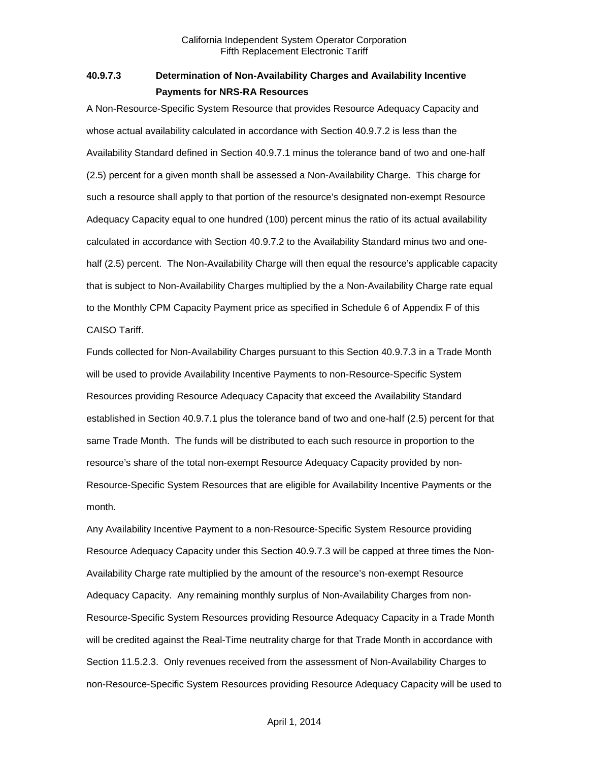# **40.9.7.3 Determination of Non-Availability Charges and Availability Incentive Payments for NRS-RA Resources**

A Non-Resource-Specific System Resource that provides Resource Adequacy Capacity and whose actual availability calculated in accordance with Section 40.9.7.2 is less than the Availability Standard defined in Section 40.9.7.1 minus the tolerance band of two and one-half (2.5) percent for a given month shall be assessed a Non-Availability Charge. This charge for such a resource shall apply to that portion of the resource's designated non-exempt Resource Adequacy Capacity equal to one hundred (100) percent minus the ratio of its actual availability calculated in accordance with Section 40.9.7.2 to the Availability Standard minus two and onehalf (2.5) percent. The Non-Availability Charge will then equal the resource's applicable capacity that is subject to Non-Availability Charges multiplied by the a Non-Availability Charge rate equal to the Monthly CPM Capacity Payment price as specified in Schedule 6 of Appendix F of this CAISO Tariff.

Funds collected for Non-Availability Charges pursuant to this Section 40.9.7.3 in a Trade Month will be used to provide Availability Incentive Payments to non-Resource-Specific System Resources providing Resource Adequacy Capacity that exceed the Availability Standard established in Section 40.9.7.1 plus the tolerance band of two and one-half (2.5) percent for that same Trade Month. The funds will be distributed to each such resource in proportion to the resource's share of the total non-exempt Resource Adequacy Capacity provided by non-Resource-Specific System Resources that are eligible for Availability Incentive Payments or the month.

Any Availability Incentive Payment to a non-Resource-Specific System Resource providing Resource Adequacy Capacity under this Section 40.9.7.3 will be capped at three times the Non-Availability Charge rate multiplied by the amount of the resource's non-exempt Resource Adequacy Capacity. Any remaining monthly surplus of Non-Availability Charges from non-Resource-Specific System Resources providing Resource Adequacy Capacity in a Trade Month will be credited against the Real-Time neutrality charge for that Trade Month in accordance with Section 11.5.2.3. Only revenues received from the assessment of Non-Availability Charges to non-Resource-Specific System Resources providing Resource Adequacy Capacity will be used to